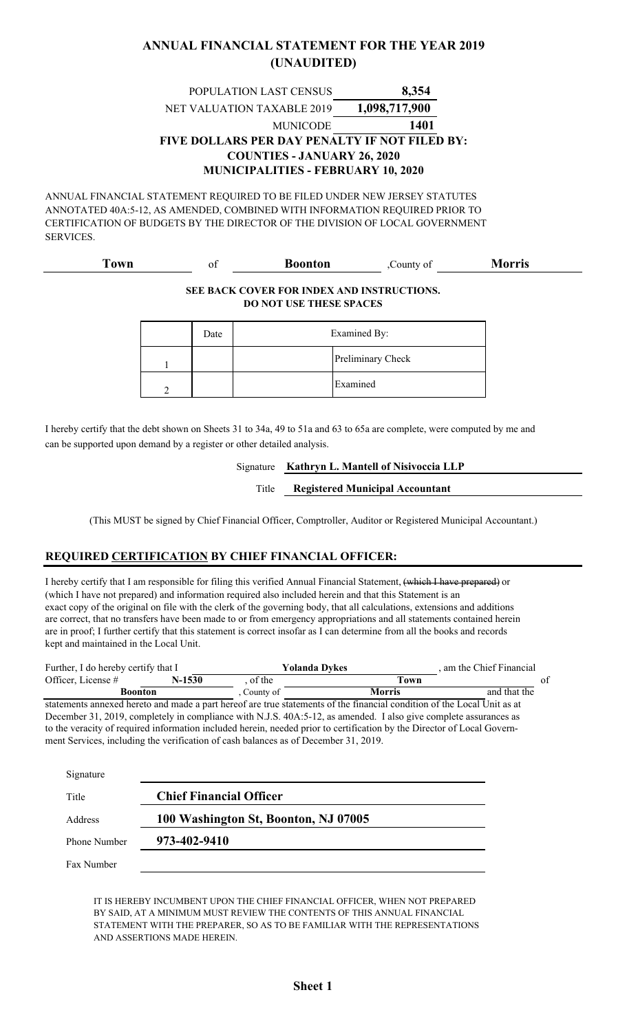#### **ANNUAL FINANCIAL STATEMENT FOR THE YEAR 2019 (UNAUDITED)**

#### **8,354 1401 MUNICIPALITIES - FEBRUARY 10, 2020** MUNICODE POPULATION LAST CENSUS NET VALUATION TAXABLE 2019 **FIVE DOLLARS PER DAY PENALTY IF NOT FILED BY: COUNTIES - JANUARY 26, 2020 1,098,717,900**

ANNUAL FINANCIAL STATEMENT REQUIRED TO BE FILED UNDER NEW JERSEY STATUTES ANNOTATED 40A:5-12, AS AMENDED, COMBINED WITH INFORMATION REQUIRED PRIOR TO CERTIFICATION OF BUDGETS BY THE DIRECTOR OF THE DIVISION OF LOCAL GOVERNMENT SERVICES.

#### of ,County of **Boonton Morris Town**

#### **SEE BACK COVER FOR INDEX AND INSTRUCTIONS. DO NOT USE THESE SPACES**

| Date | Examined By: |                   |
|------|--------------|-------------------|
|      |              | Preliminary Check |
|      |              | Examined          |

I hereby certify that the debt shown on Sheets 31 to 34a, 49 to 51a and 63 to 65a are complete, were computed by me and can be supported upon demand by a register or other detailed analysis.

#### **Kathryn L. Mantell of Nisivoccia LLP** Signature

**Registered Municipal Accountant** Title

(This MUST be signed by Chief Financial Officer, Comptroller, Auditor or Registered Municipal Accountant.)

#### **REQUIRED CERTIFICATION BY CHIEF FINANCIAL OFFICER:**

I hereby certify that I am responsible for filing this verified Annual Financial Statement, (which I have prepared) or (which I have not prepared) and information required also included herein and that this Statement is an exact copy of the original on file with the clerk of the governing body, that all calculations, extensions and additions are correct, that no transfers have been made to or from emergency appropriations and all statements contained herein are in proof; I further certify that this statement is correct insofar as I can determine from all the books and records kept and maintained in the Local Unit.

| Further, I do hereby certify that I                                                                                     |        |           | Yolanda Dvkes | am the Chief Financial. |    |
|-------------------------------------------------------------------------------------------------------------------------|--------|-----------|---------------|-------------------------|----|
| Officer, License #                                                                                                      | N-1530 | of the    | Town          |                         | ot |
| <b>Boonton</b>                                                                                                          |        | County of | <b>Morris</b> | and that the            |    |
| statements annexed hereto and made a part hereof are true statements of the financial condition of the Local Unit as at |        |           |               |                         |    |

December 31, 2019, completely in compliance with N.J.S. 40A:5-12, as amended. I also give complete assurances as to the veracity of required information included herein, needed prior to certification by the Director of Local Government Services, including the verification of cash balances as of December 31, 2019.

| Signature    |                                      |
|--------------|--------------------------------------|
| Title        | <b>Chief Financial Officer</b>       |
| Address      | 100 Washington St, Boonton, NJ 07005 |
| Phone Number | 973-402-9410                         |
| Fax Number   |                                      |

IT IS HEREBY INCUMBENT UPON THE CHIEF FINANCIAL OFFICER, WHEN NOT PREPARED BY SAID, AT A MINIMUM MUST REVIEW THE CONTENTS OF THIS ANNUAL FINANCIAL STATEMENT WITH THE PREPARER, SO AS TO BE FAMILIAR WITH THE REPRESENTATIONS AND ASSERTIONS MADE HEREIN.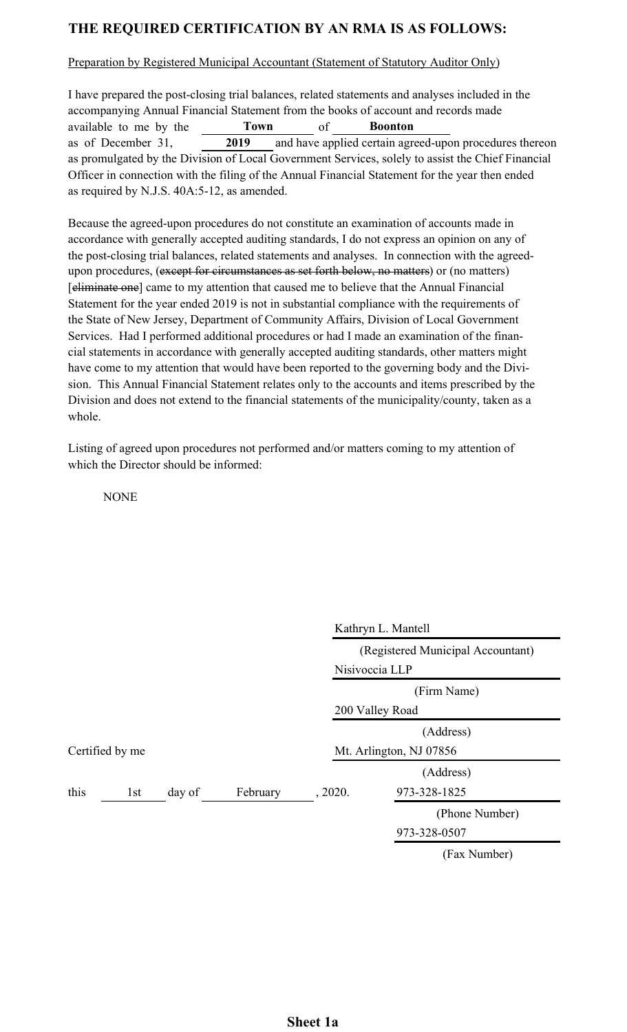## **THE REQUIRED CERTIFICATION BY AN RMA IS AS FOLLOWS:**

Preparation by Registered Municipal Accountant (Statement of Statutory Auditor Only)

I have prepared the post-closing trial balances, related statements and analyses included in the accompanying Annual Financial Statement from the books of account and records made available to me by the Town of as of December 31,  $\overline{2019}$  and have applied certain agreed-upon procedures thereon as promulgated by the Division of Local Government Services, solely to assist the Chief Financial Officer in connection with the filing of the Annual Financial Statement for the year then ended as required by N.J.S. 40A:5-12, as amended. **Town Boonton 2019**

Because the agreed-upon procedures do not constitute an examination of accounts made in accordance with generally accepted auditing standards, I do not express an opinion on any of the post-closing trial balances, related statements and analyses. In connection with the agreedupon procedures, (except for circumstances as set forth below, no matters) or (no matters) [eliminate one] came to my attention that caused me to believe that the Annual Financial Statement for the year ended 2019 is not in substantial compliance with the requirements of the State of New Jersey, Department of Community Affairs, Division of Local Government Services. Had I performed additional procedures or had I made an examination of the financial statements in accordance with generally accepted auditing standards, other matters might have come to my attention that would have been reported to the governing body and the Division. This Annual Financial Statement relates only to the accounts and items prescribed by the Division and does not extend to the financial statements of the municipality/county, taken as a whole.

Listing of agreed upon procedures not performed and/or matters coming to my attention of which the Director should be informed:

**NONE** 

|      |                 |        |          |                                   | Kathryn L. Mantell |  |
|------|-----------------|--------|----------|-----------------------------------|--------------------|--|
|      |                 |        |          | (Registered Municipal Accountant) |                    |  |
|      |                 |        |          | Nisivoccia LLP                    |                    |  |
|      |                 |        |          | (Firm Name)                       |                    |  |
|      |                 |        |          | 200 Valley Road                   |                    |  |
|      |                 |        |          | (Address)                         |                    |  |
|      | Certified by me |        |          | Mt. Arlington, NJ 07856           |                    |  |
|      |                 |        |          |                                   | (Address)          |  |
| this | 1st             | day of | February | , 2020.                           | 973-328-1825       |  |
|      |                 |        |          |                                   | (Phone Number)     |  |
|      |                 |        |          |                                   | 973-328-0507       |  |
|      |                 |        |          |                                   | (Fax Number)       |  |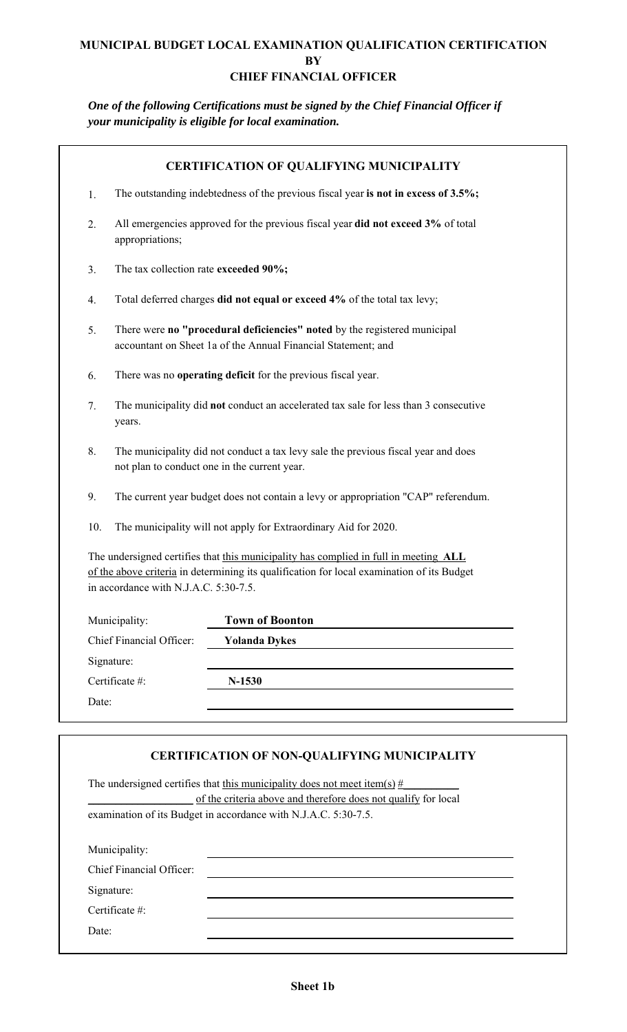#### **MUNICIPAL BUDGET LOCAL EXAMINATION QUALIFICATION CERTIFICATION BY CHIEF FINANCIAL OFFICER**

*One of the following Certifications must be signed by the Chief Financial Officer if your municipality is eligible for local examination.*

| 1.<br>2.<br>3.<br>4.<br>5. | appropriations;<br>The tax collection rate exceeded 90%; | The outstanding indebtedness of the previous fiscal year is not in excess of 3.5%;<br>All emergencies approved for the previous fiscal year did not exceed 3% of total<br>Total deferred charges did not equal or exceed 4% of the total tax levy; |
|----------------------------|----------------------------------------------------------|----------------------------------------------------------------------------------------------------------------------------------------------------------------------------------------------------------------------------------------------------|
|                            |                                                          |                                                                                                                                                                                                                                                    |
|                            |                                                          |                                                                                                                                                                                                                                                    |
|                            |                                                          |                                                                                                                                                                                                                                                    |
|                            |                                                          |                                                                                                                                                                                                                                                    |
|                            |                                                          | There were no "procedural deficiencies" noted by the registered municipal<br>accountant on Sheet 1a of the Annual Financial Statement; and                                                                                                         |
| 6.                         |                                                          | There was no operating deficit for the previous fiscal year.                                                                                                                                                                                       |
| 7.                         | years.                                                   | The municipality did not conduct an accelerated tax sale for less than 3 consecutive                                                                                                                                                               |
| 8.                         | not plan to conduct one in the current year.             | The municipality did not conduct a tax levy sale the previous fiscal year and does                                                                                                                                                                 |
| 9.                         |                                                          | The current year budget does not contain a levy or appropriation "CAP" referendum.                                                                                                                                                                 |
| 10.                        |                                                          | The municipality will not apply for Extraordinary Aid for 2020.                                                                                                                                                                                    |
|                            | in accordance with N.J.A.C. 5:30-7.5.                    | The undersigned certifies that this municipality has complied in full in meeting ALL<br>of the above criteria in determining its qualification for local examination of its Budget                                                                 |
| Municipality:              |                                                          | <b>Town of Boonton</b>                                                                                                                                                                                                                             |
|                            | <b>Chief Financial Officer:</b>                          | <b>Yolanda Dykes</b>                                                                                                                                                                                                                               |
| Signature:                 |                                                          |                                                                                                                                                                                                                                                    |
| Certificate #:             |                                                          | $N-1530$                                                                                                                                                                                                                                           |
| Date:                      |                                                          |                                                                                                                                                                                                                                                    |

|                          | <b>CERTIFICATION OF NON-QUALIFYING MUNICIPALITY</b>                        |
|--------------------------|----------------------------------------------------------------------------|
|                          | The undersigned certifies that this municipality does not meet item(s) $#$ |
|                          | of the criteria above and therefore does not qualify for local             |
|                          | examination of its Budget in accordance with N.J.A.C. 5:30-7.5.            |
|                          |                                                                            |
| Municipality:            |                                                                            |
| Chief Financial Officer: |                                                                            |
| Signature:               |                                                                            |
| Certificate #:           |                                                                            |
| Date:                    |                                                                            |
|                          |                                                                            |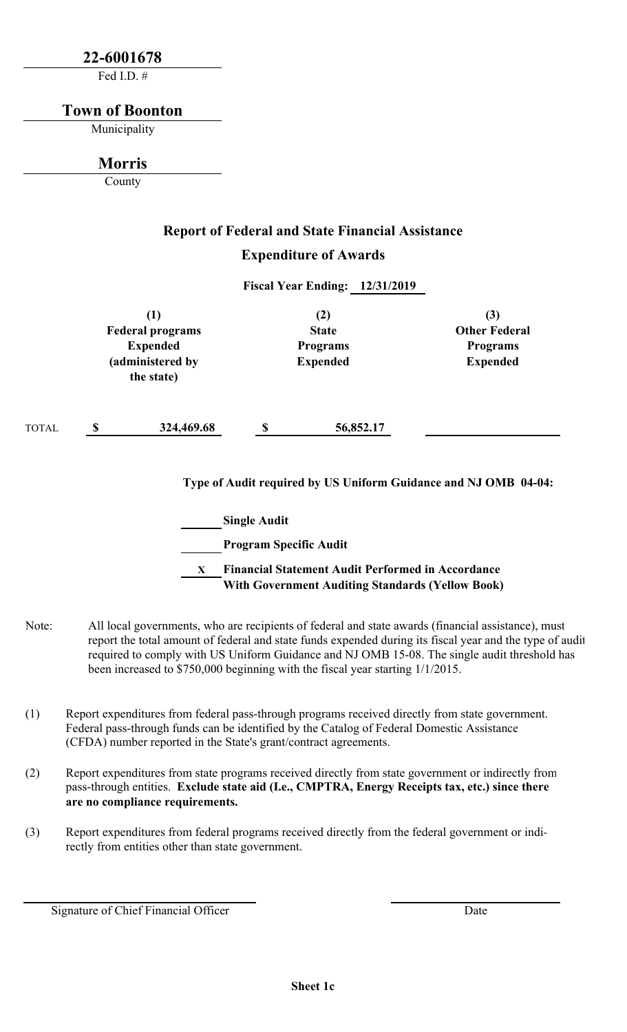## **22-6001678**

Fed I.D. #

#### **Town of Boonton**

Municipality

## **Morris**

County

TOTAL

# **Report of Federal and State Financial Assistance Expenditure of Awards**

**Fiscal Year Ending: 12/31/2019**

| $\bf(1)$<br><b>Federal programs</b><br><b>Expended</b><br>(administered by<br>the state) |            | (2)<br><b>State</b><br><b>Programs</b><br><b>Expended</b> |           | (3)<br><b>Other Federal</b><br><b>Programs</b><br><b>Expended</b> |
|------------------------------------------------------------------------------------------|------------|-----------------------------------------------------------|-----------|-------------------------------------------------------------------|
| <b>S</b>                                                                                 | 324,469.68 |                                                           | 56,852.17 |                                                                   |

**Type of Audit required by US Uniform Guidance and NJ OMB 04-04:**

**Single Audit Program Specific Audit X Financial Statement Audit Performed in Accordance With Government Auditing Standards (Yellow Book)**

- Note: All local governments, who are recipients of federal and state awards (financial assistance), must report the total amount of federal and state funds expended during its fiscal year and the type of audit required to comply with US Uniform Guidance and NJ OMB 15-08. The single audit threshold has been increased to \$750,000 beginning with the fiscal year starting 1/1/2015.
- (1) Report expenditures from federal pass-through programs received directly from state government. Federal pass-through funds can be identified by the Catalog of Federal Domestic Assistance (CFDA) number reported in the State's grant/contract agreements.
- (2) Report expenditures from state programs received directly from state government or indirectly from pass-through entities. **Exclude state aid (I.e., CMPTRA, Energy Receipts tax, etc.) since there are no compliance requirements.**
- (3) Report expenditures from federal programs received directly from the federal government or indirectly from entities other than state government.

Signature of Chief Financial Officer

Date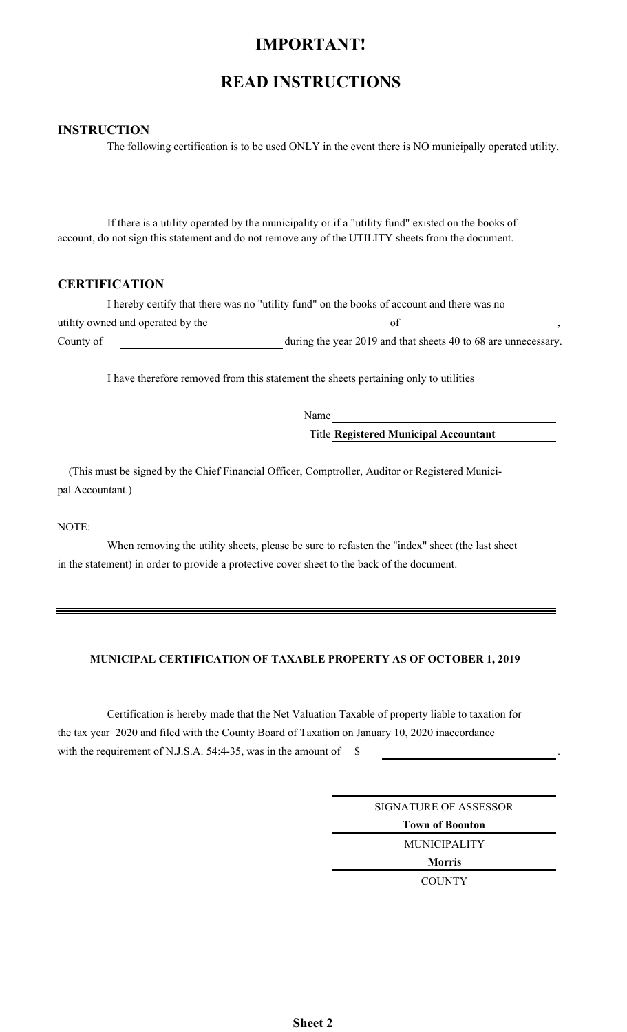## **IMPORTANT!**

## **READ INSTRUCTIONS**

#### **INSTRUCTION**

The following certification is to be used ONLY in the event there is NO municipally operated utility.

If there is a utility operated by the municipality or if a "utility fund" existed on the books of account, do not sign this statement and do not remove any of the UTILITY sheets from the document.

#### **CERTIFICATION**

|                                   | I hereby certify that there was no "utility fund" on the books of account and there was no |  |
|-----------------------------------|--------------------------------------------------------------------------------------------|--|
| utility owned and operated by the |                                                                                            |  |
| County of                         | during the year 2019 and that sheets 40 to 68 are unnecessary.                             |  |

I have therefore removed from this statement the sheets pertaining only to utilities

Name Title **Registered Municipal Accountant**

 (This must be signed by the Chief Financial Officer, Comptroller, Auditor or Registered Municipal Accountant.)

#### NOTE:

When removing the utility sheets, please be sure to refasten the "index" sheet (the last sheet in the statement) in order to provide a protective cover sheet to the back of the document.

#### **MUNICIPAL CERTIFICATION OF TAXABLE PROPERTY AS OF OCTOBER 1, 2019**

Certification is hereby made that the Net Valuation Taxable of property liable to taxation for the tax year 2020 and filed with the County Board of Taxation on January 10, 2020 inaccordance with the requirement of N.J.S.A. 54:4-35, was in the amount of  $\$$ 

> **Town of Boonton Morris** MUNICIPALITY **COUNTY** SIGNATURE OF ASSESSOR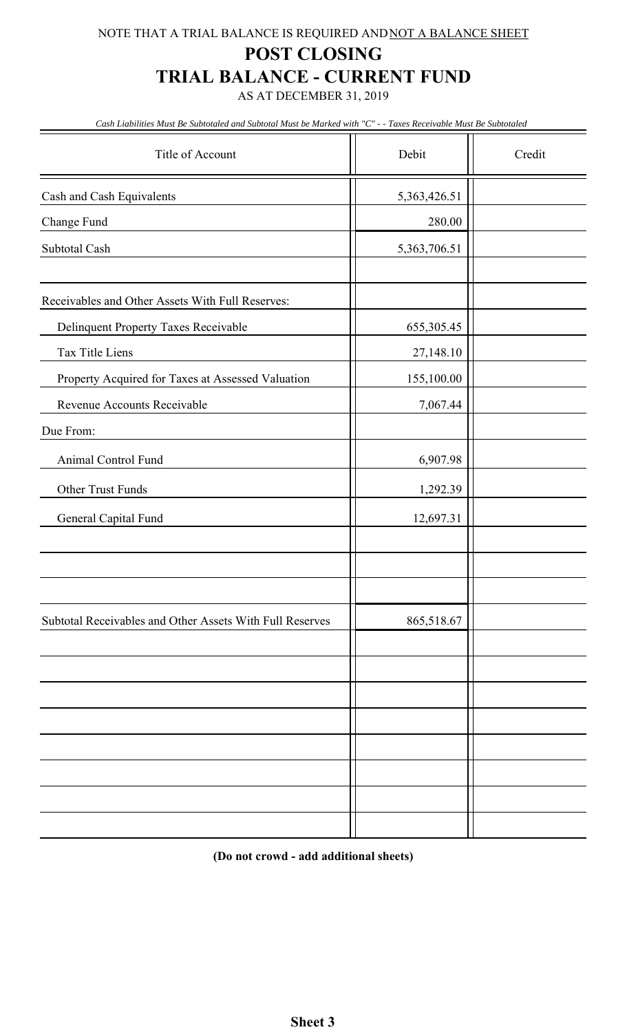## NOTE THAT A TRIAL BALANCE IS REQUIRED AND NOT A BALANCE SHEET

## **POST CLOSING**

## **TRIAL BALANCE - CURRENT FUND**

AS AT DECEMBER 31, 2019

*Cash Liabilities Must Be Subtotaled and Subtotal Must be Marked with "C" - - Taxes Receivable Must Be Subtotaled*

| Title of Account                                         | Debit        | Credit |
|----------------------------------------------------------|--------------|--------|
| Cash and Cash Equivalents                                | 5,363,426.51 |        |
| Change Fund                                              | 280.00       |        |
| Subtotal Cash                                            | 5,363,706.51 |        |
|                                                          |              |        |
| Receivables and Other Assets With Full Reserves:         |              |        |
| Delinquent Property Taxes Receivable                     | 655,305.45   |        |
| Tax Title Liens                                          | 27,148.10    |        |
| Property Acquired for Taxes at Assessed Valuation        | 155,100.00   |        |
| Revenue Accounts Receivable                              | 7,067.44     |        |
| Due From:                                                |              |        |
| Animal Control Fund                                      | 6,907.98     |        |
| Other Trust Funds                                        | 1,292.39     |        |
| General Capital Fund                                     | 12,697.31    |        |
|                                                          |              |        |
|                                                          |              |        |
|                                                          |              |        |
| Subtotal Receivables and Other Assets With Full Reserves | 865,518.67   |        |
|                                                          |              |        |
|                                                          |              |        |
|                                                          |              |        |
|                                                          |              |        |
|                                                          |              |        |
|                                                          |              |        |
|                                                          |              |        |
|                                                          |              |        |

**(Do not crowd - add additional sheets)**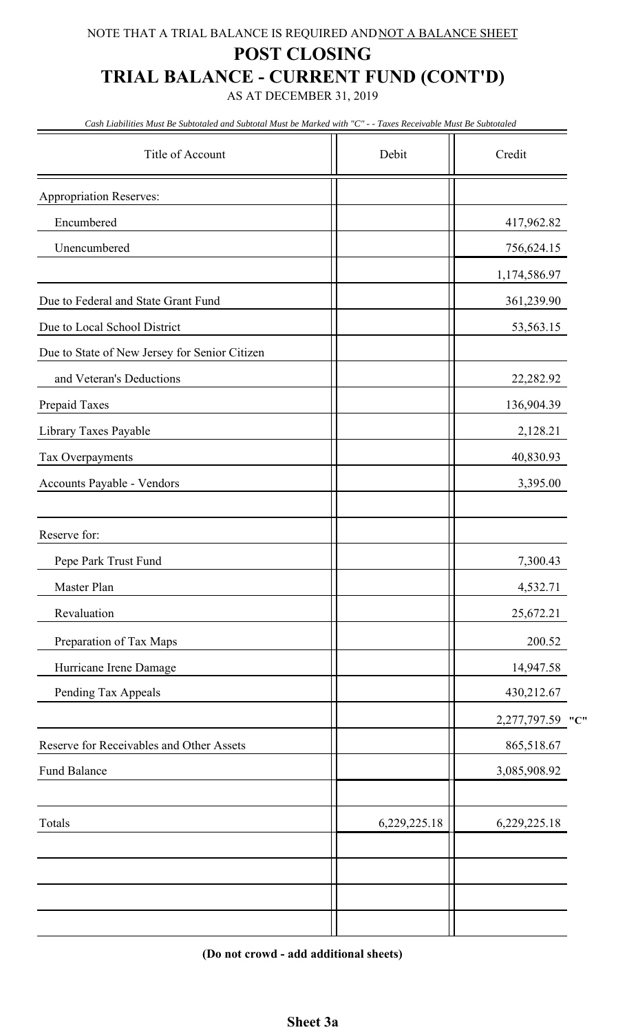# **POST CLOSING TRIAL BALANCE - CURRENT FUND (CONT'D)**

AS AT DECEMBER 31, 2019

*Cash Liabilities Must Be Subtotaled and Subtotal Must be Marked with "C" - - Taxes Receivable Must Be Subtotaled*

| Title of Account                              | Debit        | Credit           |
|-----------------------------------------------|--------------|------------------|
| <b>Appropriation Reserves:</b>                |              |                  |
| Encumbered                                    |              | 417,962.82       |
| Unencumbered                                  |              | 756,624.15       |
|                                               |              | 1,174,586.97     |
| Due to Federal and State Grant Fund           |              | 361,239.90       |
| Due to Local School District                  |              | 53,563.15        |
| Due to State of New Jersey for Senior Citizen |              |                  |
| and Veteran's Deductions                      |              | 22,282.92        |
| Prepaid Taxes                                 |              | 136,904.39       |
| Library Taxes Payable                         |              | 2,128.21         |
| Tax Overpayments                              |              | 40,830.93        |
| Accounts Payable - Vendors                    |              | 3,395.00         |
|                                               |              |                  |
| Reserve for:                                  |              |                  |
| Pepe Park Trust Fund                          |              | 7,300.43         |
| Master Plan                                   |              | 4,532.71         |
| Revaluation                                   |              | 25,672.21        |
| Preparation of Tax Maps                       |              | 200.52           |
| Hurricane Irene Damage                        |              | 14,947.58        |
| Pending Tax Appeals                           |              | 430,212.67       |
|                                               |              | 2,277,797.59 "C" |
| Reserve for Receivables and Other Assets      |              | 865,518.67       |
| Fund Balance                                  |              | 3,085,908.92     |
| Totals                                        | 6,229,225.18 | 6,229,225.18     |
|                                               |              |                  |
|                                               |              |                  |

**(Do not crowd - add additional sheets)**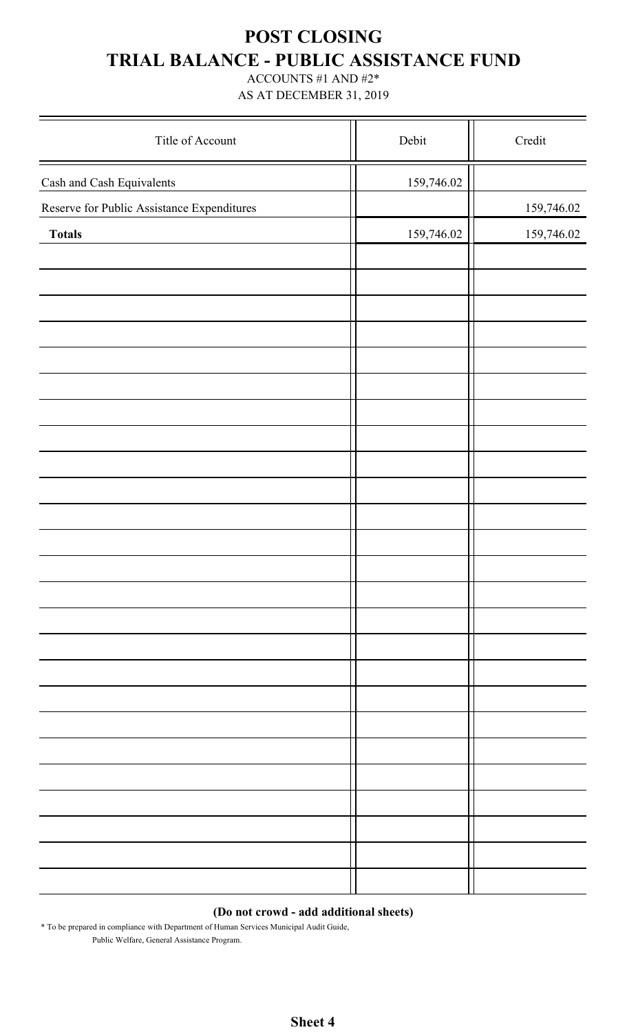# **POST CLOSING TRIAL BALANCE - PUBLIC ASSISTANCE FUND**

ACCOUNTS #1 AND #2\*

AS AT DECEMBER 31, 2019

| Title of Account                           | Debit      | Credit     |
|--------------------------------------------|------------|------------|
| Cash and Cash Equivalents                  | 159,746.02 |            |
| Reserve for Public Assistance Expenditures |            | 159,746.02 |
| <b>Totals</b>                              | 159,746.02 | 159,746.02 |
|                                            |            |            |
|                                            |            |            |
|                                            |            |            |
|                                            |            |            |
|                                            |            |            |
|                                            |            |            |
|                                            |            |            |
|                                            |            |            |
|                                            |            |            |
|                                            |            |            |
|                                            |            |            |
|                                            |            |            |
|                                            |            |            |
|                                            |            |            |
|                                            |            |            |
|                                            |            |            |
|                                            |            |            |
|                                            |            |            |
|                                            |            |            |
|                                            |            |            |
|                                            |            |            |
|                                            |            |            |
|                                            |            |            |
|                                            |            |            |
|                                            |            |            |
|                                            |            |            |

#### **(Do not crowd - add additional sheets)**

\* To be prepared in compliance with Department of Human Services Municipal Audit Guide, Public Welfare, General Assistance Program.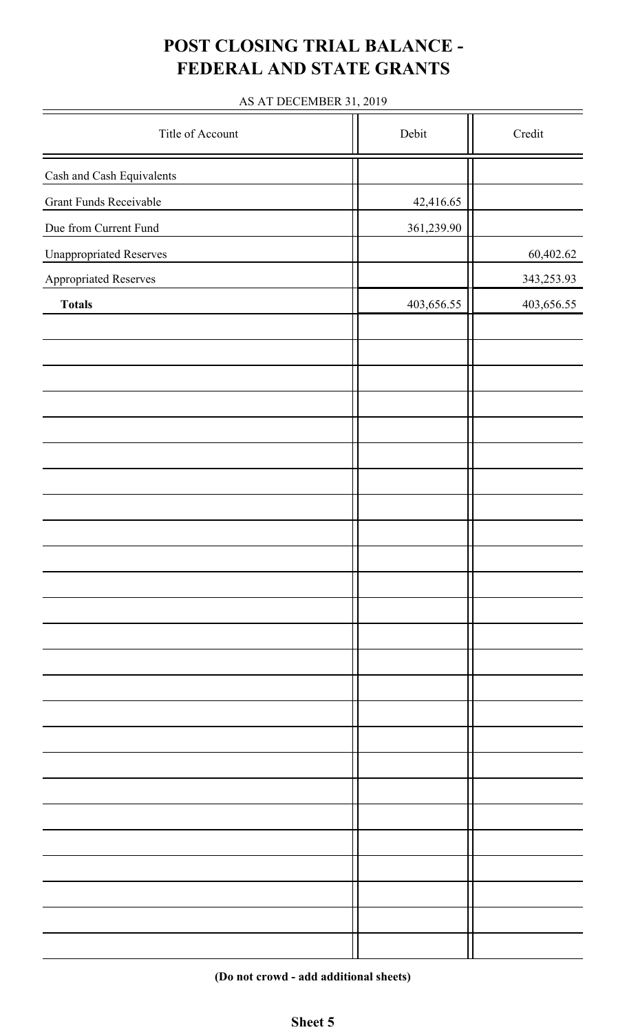# **POST CLOSING TRIAL BALANCE - FEDERAL AND STATE GRANTS**

## AS AT DECEMBER 31, 2019

| Title of Account               | Debit      | Credit     |
|--------------------------------|------------|------------|
| Cash and Cash Equivalents      |            |            |
| <b>Grant Funds Receivable</b>  | 42,416.65  |            |
| Due from Current Fund          | 361,239.90 |            |
| <b>Unappropriated Reserves</b> |            | 60,402.62  |
| Appropriated Reserves          |            | 343,253.93 |
| <b>Totals</b>                  | 403,656.55 | 403,656.55 |
|                                |            |            |
|                                |            |            |
|                                |            |            |
|                                |            |            |
|                                |            |            |
|                                |            |            |
|                                |            |            |
|                                |            |            |
|                                |            |            |
|                                |            |            |
|                                |            |            |
|                                |            |            |
|                                |            |            |
|                                |            |            |
|                                |            |            |
|                                |            |            |
|                                |            |            |
|                                |            |            |
|                                |            |            |
|                                |            |            |
|                                |            |            |
|                                |            |            |
|                                |            |            |
|                                |            |            |
|                                |            |            |

**(Do not crowd - add additional sheets)**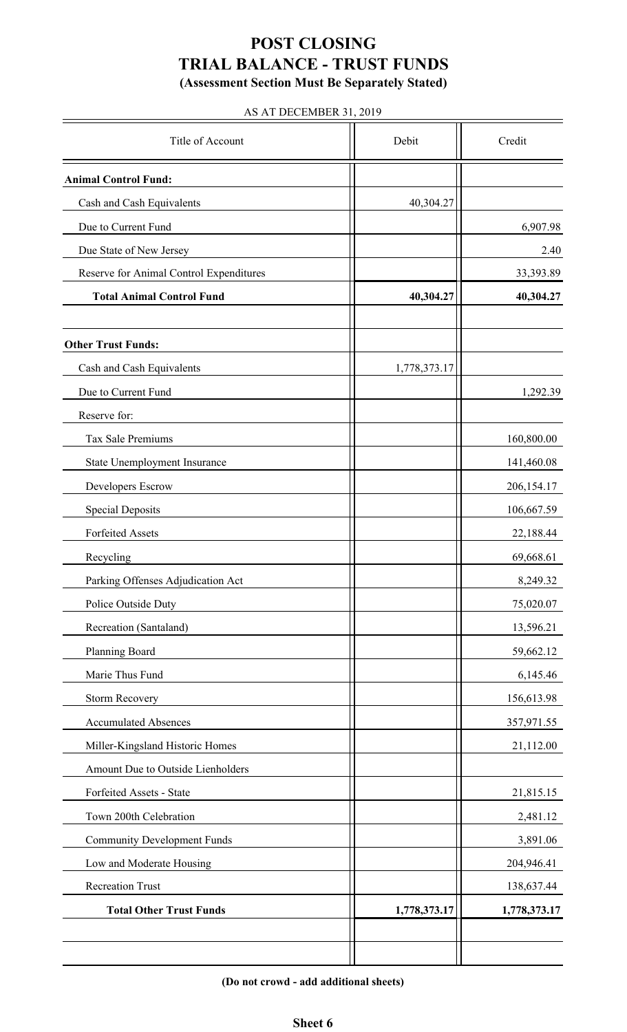## **POST CLOSING TRIAL BALANCE - TRUST FUNDS (Assessment Section Must Be Separately Stated)**

#### AS AT DECEMBER 31, 2019

| Title of Account                        | Debit        | Credit       |
|-----------------------------------------|--------------|--------------|
| <b>Animal Control Fund:</b>             |              |              |
| Cash and Cash Equivalents               | 40,304.27    |              |
| Due to Current Fund                     |              | 6,907.98     |
| Due State of New Jersey                 |              | 2.40         |
| Reserve for Animal Control Expenditures |              | 33,393.89    |
| <b>Total Animal Control Fund</b>        | 40,304.27    | 40,304.27    |
|                                         |              |              |
| <b>Other Trust Funds:</b>               |              |              |
| Cash and Cash Equivalents               | 1,778,373.17 |              |
| Due to Current Fund                     |              | 1,292.39     |
| Reserve for:                            |              |              |
| Tax Sale Premiums                       |              | 160,800.00   |
| State Unemployment Insurance            |              | 141,460.08   |
| Developers Escrow                       |              | 206,154.17   |
| <b>Special Deposits</b>                 |              | 106,667.59   |
| <b>Forfeited Assets</b>                 |              | 22,188.44    |
| Recycling                               |              | 69,668.61    |
| Parking Offenses Adjudication Act       |              | 8,249.32     |
| Police Outside Duty                     |              | 75,020.07    |
| Recreation (Santaland)                  |              | 13,596.21    |
| Planning Board                          |              | 59,662.12    |
| Marie Thus Fund                         |              | 6,145.46     |
| <b>Storm Recovery</b>                   |              | 156,613.98   |
| <b>Accumulated Absences</b>             |              | 357,971.55   |
| Miller-Kingsland Historic Homes         |              | 21,112.00    |
| Amount Due to Outside Lienholders       |              |              |
| Forfeited Assets - State                |              | 21,815.15    |
| Town 200th Celebration                  |              | 2,481.12     |
| <b>Community Development Funds</b>      |              | 3,891.06     |
| Low and Moderate Housing                |              | 204,946.41   |
| <b>Recreation Trust</b>                 |              | 138,637.44   |
| <b>Total Other Trust Funds</b>          | 1,778,373.17 | 1,778,373.17 |
|                                         |              |              |
|                                         |              |              |

**(Do not crowd - add additional sheets)**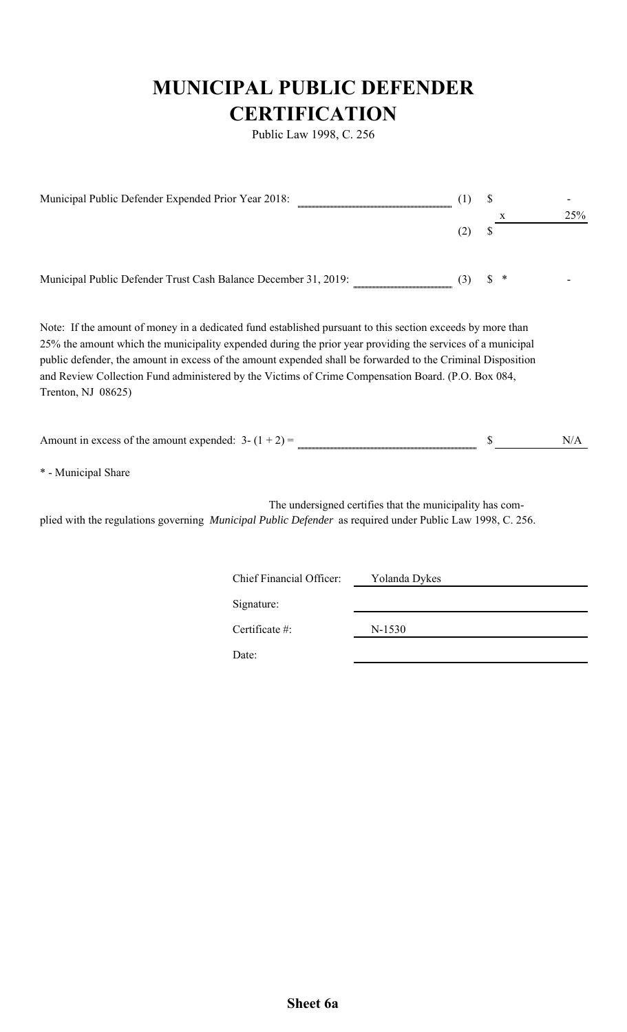# **MUNICIPAL PUBLIC DEFENDER CERTIFICATION**

Public Law 1998, C. 256

| Municipal Public Defender Expended Prior Year 2018:                                                                                                                                                                                                                                                                                                                                                                                                                 | \$<br>X                  | 25%                                                      |         |     |
|---------------------------------------------------------------------------------------------------------------------------------------------------------------------------------------------------------------------------------------------------------------------------------------------------------------------------------------------------------------------------------------------------------------------------------------------------------------------|--------------------------|----------------------------------------------------------|---------|-----|
|                                                                                                                                                                                                                                                                                                                                                                                                                                                                     |                          | (2)                                                      | \$      |     |
| Municipal Public Defender Trust Cash Balance December 31, 2019:                                                                                                                                                                                                                                                                                                                                                                                                     |                          | (3)                                                      | \$<br>* |     |
| Note: If the amount of money in a dedicated fund established pursuant to this section exceeds by more than<br>25% the amount which the municipality expended during the prior year providing the services of a municipal<br>public defender, the amount in excess of the amount expended shall be forwarded to the Criminal Disposition<br>and Review Collection Fund administered by the Victims of Crime Compensation Board. (P.O. Box 084,<br>Trenton, NJ 08625) |                          |                                                          |         |     |
| Amount in excess of the amount expended: $3 - (1 + 2) =$                                                                                                                                                                                                                                                                                                                                                                                                            |                          |                                                          |         | N/A |
| * - Municipal Share                                                                                                                                                                                                                                                                                                                                                                                                                                                 |                          |                                                          |         |     |
| plied with the regulations governing Municipal Public Defender as required under Public Law 1998, C. 256.                                                                                                                                                                                                                                                                                                                                                           |                          | The undersigned certifies that the municipality has com- |         |     |
|                                                                                                                                                                                                                                                                                                                                                                                                                                                                     | Chief Financial Officer: | Yolanda Dykes                                            |         |     |
|                                                                                                                                                                                                                                                                                                                                                                                                                                                                     | Signature:               |                                                          |         |     |
|                                                                                                                                                                                                                                                                                                                                                                                                                                                                     | Certificate #:           | N-1530                                                   |         |     |
|                                                                                                                                                                                                                                                                                                                                                                                                                                                                     | Date:                    |                                                          |         |     |
|                                                                                                                                                                                                                                                                                                                                                                                                                                                                     |                          |                                                          |         |     |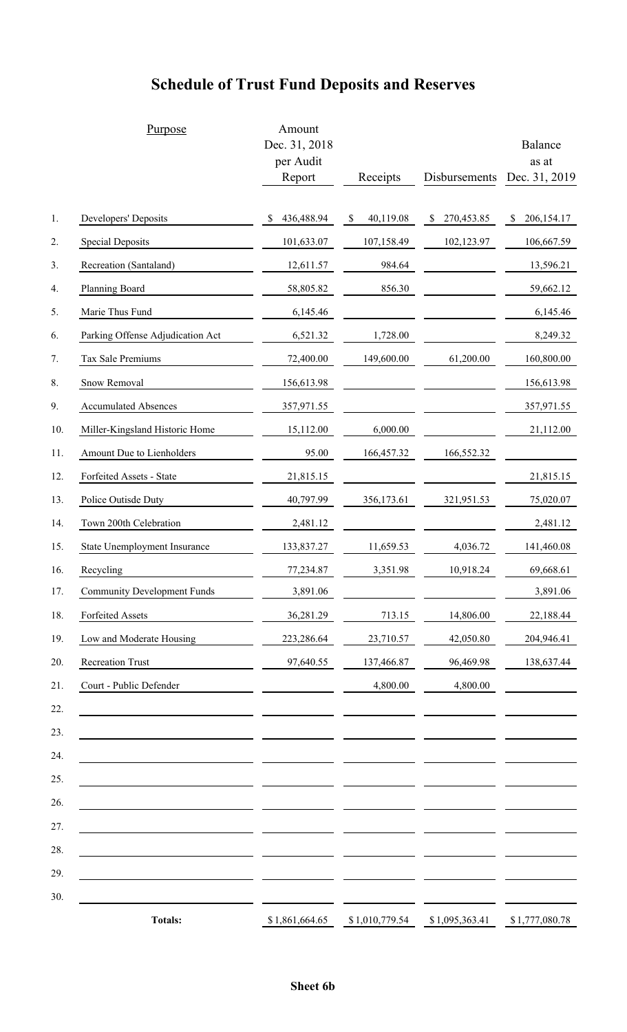|     | Purpose                            | Amount<br>Dec. 31, 2018<br>per Audit<br>Report | Receipts        | Disbursements    | Balance<br>as at<br>Dec. 31, 2019 |  |
|-----|------------------------------------|------------------------------------------------|-----------------|------------------|-----------------------------------|--|
| 1.  | Developers' Deposits               | S<br>436,488.94                                | 40,119.08<br>\$ | \$<br>270,453.85 | \$<br>206,154.17                  |  |
| 2.  | <b>Special Deposits</b>            | 101,633.07                                     | 107,158.49      | 102,123.97       | 106,667.59                        |  |
| 3.  | Recreation (Santaland)             | 12,611.57                                      | 984.64          |                  | 13,596.21                         |  |
| 4.  | Planning Board                     | 58,805.82                                      | 856.30          |                  | 59,662.12                         |  |
| 5.  | Marie Thus Fund                    | 6,145.46                                       |                 |                  | 6,145.46                          |  |
| 6.  | Parking Offense Adjudication Act   | 6,521.32                                       | 1,728.00        |                  | 8,249.32                          |  |
| 7.  | Tax Sale Premiums                  | 72,400.00                                      | 149,600.00      | 61,200.00        | 160,800.00                        |  |
| 8.  | Snow Removal                       | 156,613.98                                     |                 |                  | 156,613.98                        |  |
| 9.  | <b>Accumulated Absences</b>        | 357,971.55                                     |                 |                  | 357,971.55                        |  |
| 10. | Miller-Kingsland Historic Home     | 15,112.00                                      | 6,000.00        |                  | 21,112.00                         |  |
| 11. | Amount Due to Lienholders          | 95.00                                          | 166,457.32      | 166,552.32       |                                   |  |
| 12. | Forfeited Assets - State           | 21,815.15                                      |                 |                  | 21,815.15                         |  |
| 13. | Police Outisde Duty                | 40,797.99                                      | 356,173.61      | 321,951.53       | 75,020.07                         |  |
| 14. | Town 200th Celebration             | 2,481.12                                       |                 |                  | 2,481.12                          |  |
| 15. | State Unemployment Insurance       | 133,837.27                                     | 11,659.53       | 4,036.72         | 141,460.08                        |  |
| 16. | Recycling                          | 77,234.87                                      | 3,351.98        | 10,918.24        | 69,668.61                         |  |
| 17. | <b>Community Development Funds</b> | 3,891.06                                       |                 |                  | 3,891.06                          |  |
| 18. | Forfeited Assets                   | 36,281.29                                      | 713.15          | 14,806.00        | 22,188.44                         |  |
| 19. | Low and Moderate Housing           | 223,286.64                                     | 23,710.57       | 42,050.80        | 204,946.41                        |  |
| 20. | Recreation Trust                   | 97,640.55                                      | 137,466.87      | 96,469.98        | 138,637.44                        |  |
| 21. | Court - Public Defender            |                                                | 4,800.00        | 4,800.00         |                                   |  |
| 22. |                                    |                                                |                 |                  |                                   |  |
| 23. |                                    |                                                |                 |                  |                                   |  |
| 24. |                                    |                                                |                 |                  |                                   |  |
| 25. |                                    |                                                |                 |                  |                                   |  |
| 26. |                                    |                                                |                 |                  |                                   |  |
| 27. |                                    |                                                |                 |                  |                                   |  |
| 28. |                                    |                                                |                 |                  |                                   |  |
| 29. |                                    |                                                |                 |                  |                                   |  |
| 30. |                                    |                                                |                 |                  |                                   |  |
|     | <b>Totals:</b>                     | \$1,861,664.65                                 | \$1,010,779.54  | \$1,095,363.41   | \$1,777,080.78                    |  |

# **Schedule of Trust Fund Deposits and Reserves**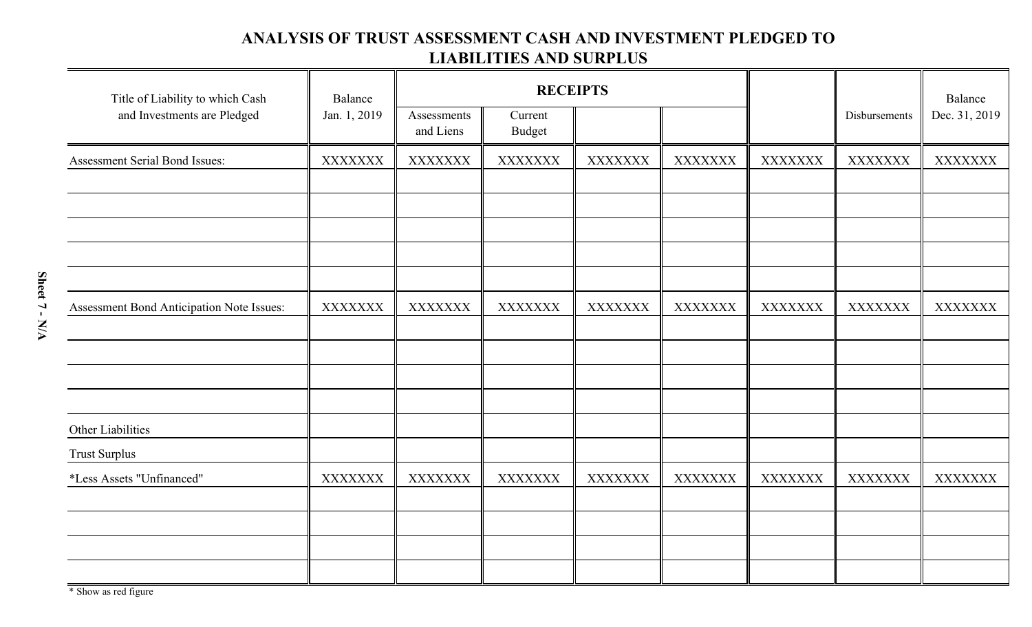## **ANALYSIS OF TRUST ASSESSMENT CASH AND INVESTMENT PLEDGED TO LIABILITIES AND SURPLUS**

| Title of Liability to which Cash          | Balance        |                          | <b>RECEIPTS</b>          |                |                |                |                |                |  | Balance |
|-------------------------------------------|----------------|--------------------------|--------------------------|----------------|----------------|----------------|----------------|----------------|--|---------|
| and Investments are Pledged               | Jan. 1, 2019   | Assessments<br>and Liens | Current<br><b>Budget</b> |                |                |                | Disbursements  | Dec. 31, 2019  |  |         |
| <b>Assessment Serial Bond Issues:</b>     | <b>XXXXXXX</b> | <b>XXXXXXX</b>           | <b>XXXXXXX</b>           | <b>XXXXXXX</b> | <b>XXXXXXX</b> | <b>XXXXXXX</b> | <b>XXXXXXX</b> | <b>XXXXXXX</b> |  |         |
|                                           |                |                          |                          |                |                |                |                |                |  |         |
|                                           |                |                          |                          |                |                |                |                |                |  |         |
|                                           |                |                          |                          |                |                |                |                |                |  |         |
|                                           |                |                          |                          |                |                |                |                |                |  |         |
|                                           |                |                          |                          |                |                |                |                |                |  |         |
| Assessment Bond Anticipation Note Issues: | <b>XXXXXXX</b> | <b>XXXXXXX</b>           | <b>XXXXXXX</b>           | <b>XXXXXXX</b> | <b>XXXXXXX</b> | <b>XXXXXXX</b> | <b>XXXXXXX</b> | <b>XXXXXXX</b> |  |         |
|                                           |                |                          |                          |                |                |                |                |                |  |         |
|                                           |                |                          |                          |                |                |                |                |                |  |         |
|                                           |                |                          |                          |                |                |                |                |                |  |         |
| Other Liabilities                         |                |                          |                          |                |                |                |                |                |  |         |
| <b>Trust Surplus</b>                      |                |                          |                          |                |                |                |                |                |  |         |
| *Less Assets "Unfinanced"                 | <b>XXXXXXX</b> | <b>XXXXXXX</b>           | <b>XXXXXXX</b>           | <b>XXXXXXX</b> | <b>XXXXXXX</b> | <b>XXXXXXX</b> | <b>XXXXXXX</b> | <b>XXXXXXX</b> |  |         |
|                                           |                |                          |                          |                |                |                |                |                |  |         |
|                                           |                |                          |                          |                |                |                |                |                |  |         |
|                                           |                |                          |                          |                |                |                |                |                |  |         |
|                                           |                |                          |                          |                |                |                |                |                |  |         |

\* Show as red figure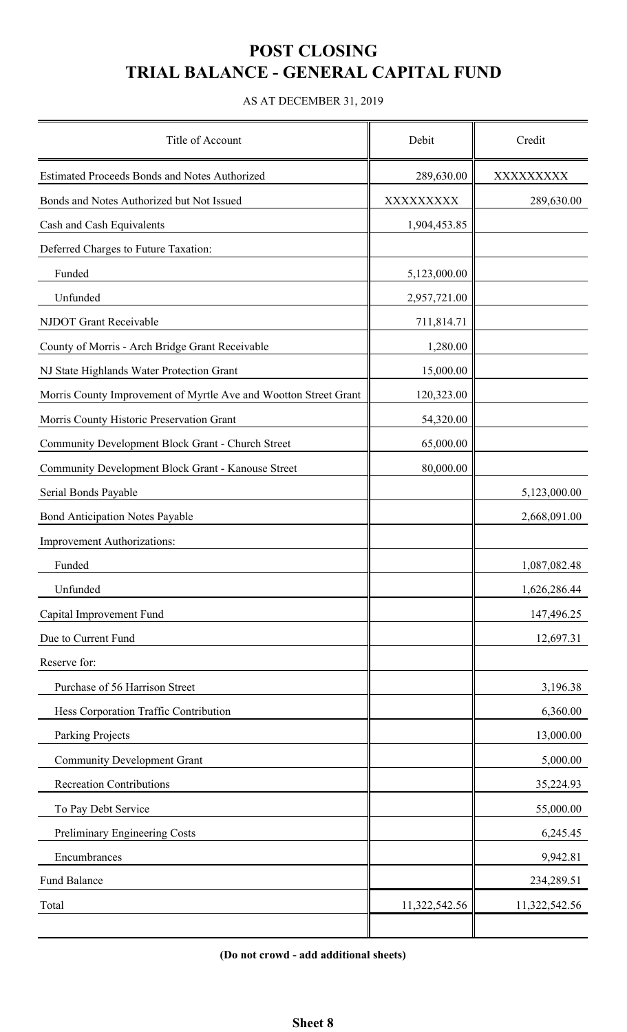# **POST CLOSING TRIAL BALANCE - GENERAL CAPITAL FUND**

#### AS AT DECEMBER 31, 2019

| Title of Account                                                 | Debit         | Credit        |
|------------------------------------------------------------------|---------------|---------------|
| Estimated Proceeds Bonds and Notes Authorized                    | 289,630.00    | XXXXXXXXX     |
| Bonds and Notes Authorized but Not Issued                        | XXXXXXXX      | 289,630.00    |
| Cash and Cash Equivalents                                        | 1,904,453.85  |               |
| Deferred Charges to Future Taxation:                             |               |               |
| Funded                                                           | 5,123,000.00  |               |
| Unfunded                                                         | 2,957,721.00  |               |
| NJDOT Grant Receivable                                           | 711,814.71    |               |
| County of Morris - Arch Bridge Grant Receivable                  | 1,280.00      |               |
| NJ State Highlands Water Protection Grant                        | 15,000.00     |               |
| Morris County Improvement of Myrtle Ave and Wootton Street Grant | 120,323.00    |               |
| Morris County Historic Preservation Grant                        | 54,320.00     |               |
| Community Development Block Grant - Church Street                | 65,000.00     |               |
| Community Development Block Grant - Kanouse Street               | 80,000.00     |               |
| Serial Bonds Payable                                             |               | 5,123,000.00  |
| <b>Bond Anticipation Notes Payable</b>                           |               | 2,668,091.00  |
| Improvement Authorizations:                                      |               |               |
| Funded                                                           |               | 1,087,082.48  |
| Unfunded                                                         |               | 1,626,286.44  |
| Capital Improvement Fund                                         |               | 147,496.25    |
| Due to Current Fund                                              |               | 12,697.31     |
| Reserve for:                                                     |               |               |
| Purchase of 56 Harrison Street                                   |               | 3,196.38      |
| Hess Corporation Traffic Contribution                            |               | 6,360.00      |
| Parking Projects                                                 |               | 13,000.00     |
| <b>Community Development Grant</b>                               |               | 5,000.00      |
| <b>Recreation Contributions</b>                                  |               | 35,224.93     |
| To Pay Debt Service                                              |               | 55,000.00     |
| Preliminary Engineering Costs                                    |               | 6,245.45      |
| Encumbrances                                                     |               | 9,942.81      |
| Fund Balance                                                     |               | 234,289.51    |
| Total                                                            | 11,322,542.56 | 11,322,542.56 |
|                                                                  |               |               |

**(Do not crowd - add additional sheets)**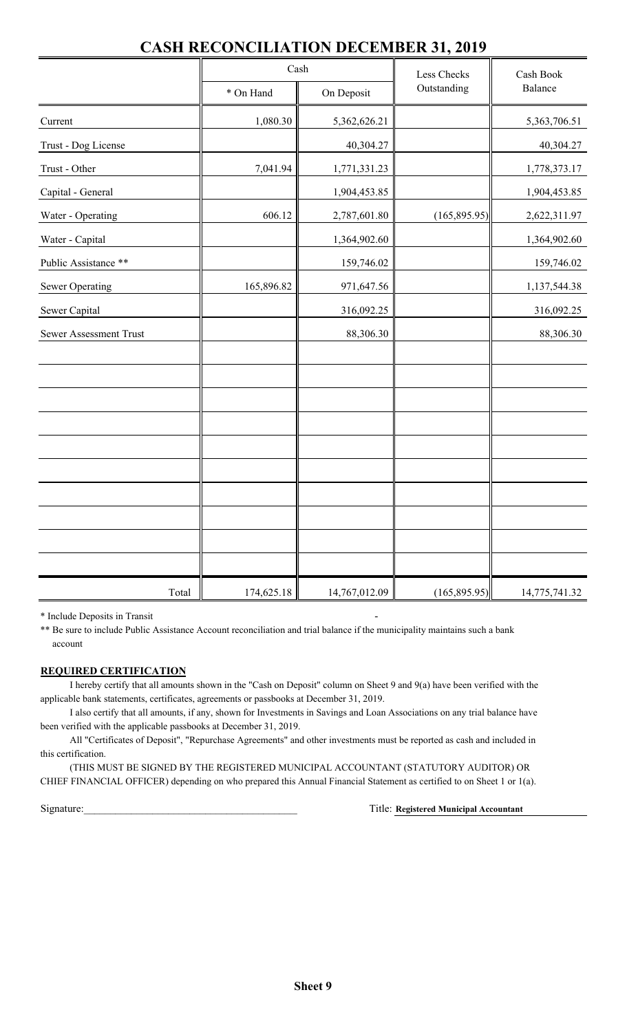|                        | Cash       |               | Less Checks   | Cash Book     |  |
|------------------------|------------|---------------|---------------|---------------|--|
|                        | * On Hand  | On Deposit    | Outstanding   | Balance       |  |
| Current                | 1,080.30   | 5,362,626.21  |               | 5,363,706.51  |  |
| Trust - Dog License    |            | 40,304.27     |               | 40,304.27     |  |
| Trust - Other          | 7,041.94   | 1,771,331.23  |               | 1,778,373.17  |  |
| Capital - General      |            | 1,904,453.85  |               | 1,904,453.85  |  |
| Water - Operating      | 606.12     | 2,787,601.80  | (165, 895.95) | 2,622,311.97  |  |
| Water - Capital        |            | 1,364,902.60  |               | 1,364,902.60  |  |
| Public Assistance **   |            | 159,746.02    |               | 159,746.02    |  |
| <b>Sewer Operating</b> | 165,896.82 | 971,647.56    |               | 1,137,544.38  |  |
| Sewer Capital          |            | 316,092.25    |               | 316,092.25    |  |
| Sewer Assessment Trust |            | 88,306.30     |               | 88,306.30     |  |
|                        |            |               |               |               |  |
|                        |            |               |               |               |  |
|                        |            |               |               |               |  |
|                        |            |               |               |               |  |
|                        |            |               |               |               |  |
|                        |            |               |               |               |  |
|                        |            |               |               |               |  |
|                        |            |               |               |               |  |
|                        |            |               |               |               |  |
|                        |            |               |               |               |  |
| Total                  | 174,625.18 | 14,767,012.09 | (165, 895.95) | 14,775,741.32 |  |

## **CASH RECONCILIATION DECEMBER 31, 2019**

\* Include Deposits in Transit -

\*\* Be sure to include Public Assistance Account reconciliation and trial balance if the municipality maintains such a bank account

#### **REQUIRED CERTIFICATION**

I hereby certify that all amounts shown in the "Cash on Deposit" column on Sheet 9 and 9(a) have been verified with the applicable bank statements, certificates, agreements or passbooks at December 31, 2019.

I also certify that all amounts, if any, shown for Investments in Savings and Loan Associations on any trial balance have been verified with the applicable passbooks at December 31, 2019.

All "Certificates of Deposit", "Repurchase Agreements" and other investments must be reported as cash and included in this certification.

(THIS MUST BE SIGNED BY THE REGISTERED MUNICIPAL ACCOUNTANT (STATUTORY AUDITOR) OR CHIEF FINANCIAL OFFICER) depending on who prepared this Annual Financial Statement as certified to on Sheet 1 or 1(a).

Signature:

**Registered Municipal Accountant**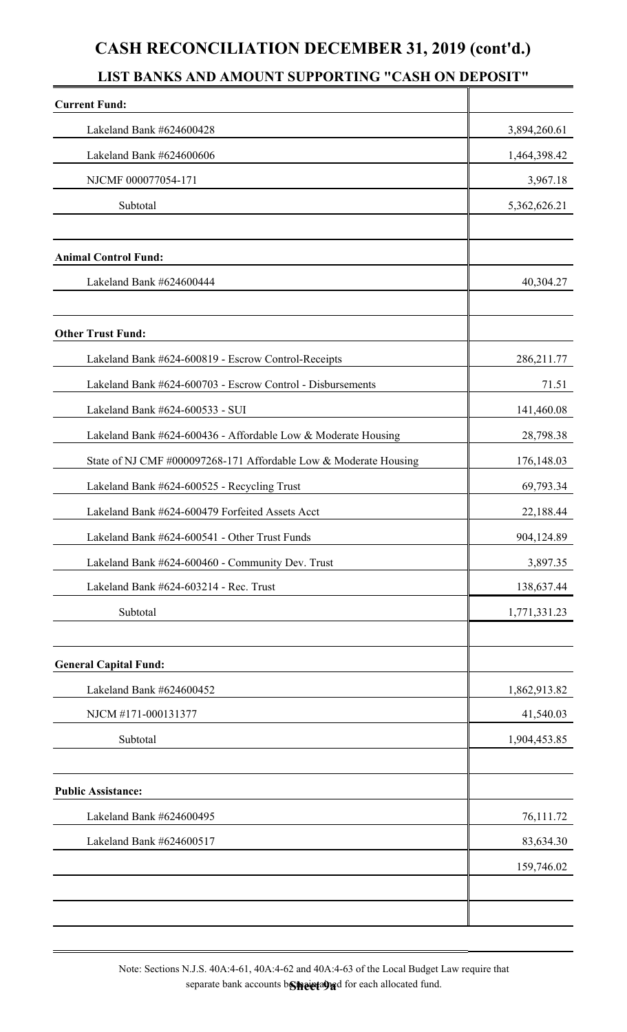# **CASH RECONCILIATION DECEMBER 31, 2019 (cont'd.)**

## **LIST BANKS AND AMOUNT SUPPORTING "CASH ON DEPOSIT"**

| <b>Current Fund:</b>                                             |              |
|------------------------------------------------------------------|--------------|
| Lakeland Bank #624600428                                         | 3,894,260.61 |
| Lakeland Bank #624600606                                         | 1,464,398.42 |
| NJCMF 000077054-171                                              | 3,967.18     |
| Subtotal                                                         | 5,362,626.21 |
| <b>Animal Control Fund:</b>                                      |              |
| Lakeland Bank #624600444                                         | 40,304.27    |
| <b>Other Trust Fund:</b>                                         |              |
| Lakeland Bank #624-600819 - Escrow Control-Receipts              | 286, 211.77  |
| Lakeland Bank #624-600703 - Escrow Control - Disbursements       | 71.51        |
| Lakeland Bank #624-600533 - SUI                                  | 141,460.08   |
| Lakeland Bank #624-600436 - Affordable Low & Moderate Housing    | 28,798.38    |
| State of NJ CMF #000097268-171 Affordable Low & Moderate Housing | 176, 148.03  |
| Lakeland Bank #624-600525 - Recycling Trust                      | 69,793.34    |
| Lakeland Bank #624-600479 Forfeited Assets Acct                  | 22,188.44    |
| Lakeland Bank #624-600541 - Other Trust Funds                    | 904,124.89   |
| Lakeland Bank #624-600460 - Community Dev. Trust                 | 3,897.35     |
| Lakeland Bank #624-603214 - Rec. Trust                           | 138,637.44   |
| Subtotal                                                         | 1,771,331.23 |
| <b>General Capital Fund:</b>                                     |              |
| Lakeland Bank #624600452                                         | 1,862,913.82 |
| NJCM #171-000131377                                              | 41,540.03    |
| Subtotal                                                         | 1,904,453.85 |
| <b>Public Assistance:</b>                                        |              |
| Lakeland Bank #624600495                                         | 76,111.72    |
| Lakeland Bank #624600517                                         | 83,634.30    |
|                                                                  | 159,746.02   |
|                                                                  |              |

Note: Sections N.J.S. 40A:4-61, 40A:4-62 and 40A:4-63 of the Local Budget Law require that separate bank accounts b**Sheeta9**ad for each allocated fund.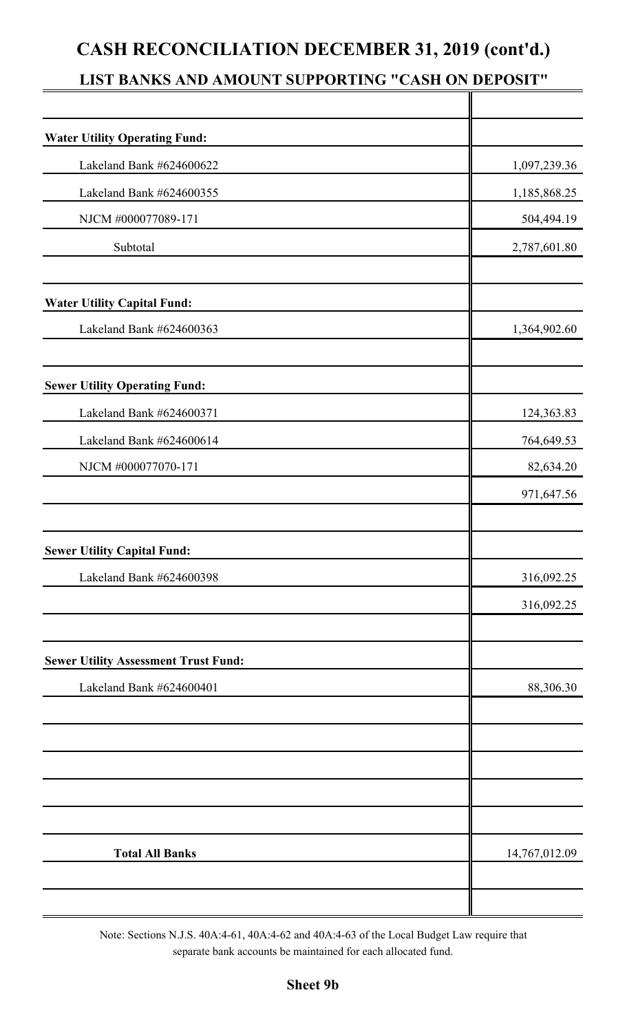# **CASH RECONCILIATION DECEMBER 31, 2019 (cont'd.)**

# **LIST BANKS AND AMOUNT SUPPORTING "CASH ON DEPOSIT"**

| <b>Water Utility Operating Fund:</b>        |               |
|---------------------------------------------|---------------|
| Lakeland Bank #624600622                    | 1,097,239.36  |
| Lakeland Bank #624600355                    | 1,185,868.25  |
| NJCM #000077089-171                         | 504,494.19    |
| Subtotal                                    | 2,787,601.80  |
| <b>Water Utility Capital Fund:</b>          |               |
| Lakeland Bank #624600363                    | 1,364,902.60  |
| <b>Sewer Utility Operating Fund:</b>        |               |
| Lakeland Bank #624600371                    | 124,363.83    |
| Lakeland Bank #624600614                    | 764,649.53    |
| NJCM #000077070-171                         | 82,634.20     |
|                                             | 971,647.56    |
| <b>Sewer Utility Capital Fund:</b>          |               |
| Lakeland Bank #624600398                    | 316,092.25    |
|                                             | 316,092.25    |
| <b>Sewer Utility Assessment Trust Fund:</b> |               |
| Lakeland Bank #624600401                    | 88,306.30     |
|                                             |               |
|                                             |               |
|                                             |               |
| <b>Total All Banks</b>                      | 14,767,012.09 |
|                                             |               |

Note: Sections N.J.S. 40A:4-61, 40A:4-62 and 40A:4-63 of the Local Budget Law require that separate bank accounts be maintained for each allocated fund.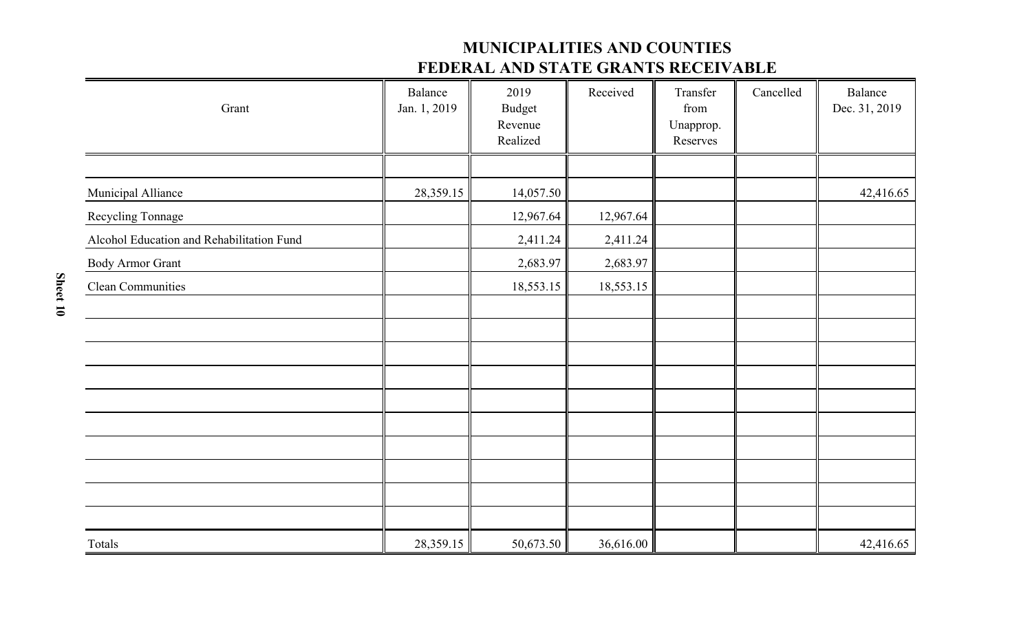## **MUNICIPALITIES AND COUNTIES FEDERAL AND STATE GRANTS RECEIVABLE**

| Grant                                     | Balance<br>Jan. 1, 2019 | 2019<br><b>Budget</b><br>Revenue<br>Realized | Received  | Transfer<br>from<br>Unapprop.<br>Reserves | Cancelled | Balance<br>Dec. 31, 2019 |
|-------------------------------------------|-------------------------|----------------------------------------------|-----------|-------------------------------------------|-----------|--------------------------|
|                                           |                         |                                              |           |                                           |           |                          |
| Municipal Alliance                        | 28,359.15               | 14,057.50                                    |           |                                           |           | 42,416.65                |
| Recycling Tonnage                         |                         | 12,967.64                                    | 12,967.64 |                                           |           |                          |
| Alcohol Education and Rehabilitation Fund |                         | 2,411.24                                     | 2,411.24  |                                           |           |                          |
| <b>Body Armor Grant</b>                   |                         | 2,683.97                                     | 2,683.97  |                                           |           |                          |
| Clean Communities                         |                         | 18,553.15                                    | 18,553.15 |                                           |           |                          |
|                                           |                         |                                              |           |                                           |           |                          |
|                                           |                         |                                              |           |                                           |           |                          |
|                                           |                         |                                              |           |                                           |           |                          |
|                                           |                         |                                              |           |                                           |           |                          |
|                                           |                         |                                              |           |                                           |           |                          |
|                                           |                         |                                              |           |                                           |           |                          |
|                                           |                         |                                              |           |                                           |           |                          |
|                                           |                         |                                              |           |                                           |           |                          |
|                                           |                         |                                              |           |                                           |           |                          |
|                                           |                         |                                              |           |                                           |           |                          |
| Totals                                    | 28,359.15               | 50,673.50                                    | 36,616.00 |                                           |           | 42,416.65                |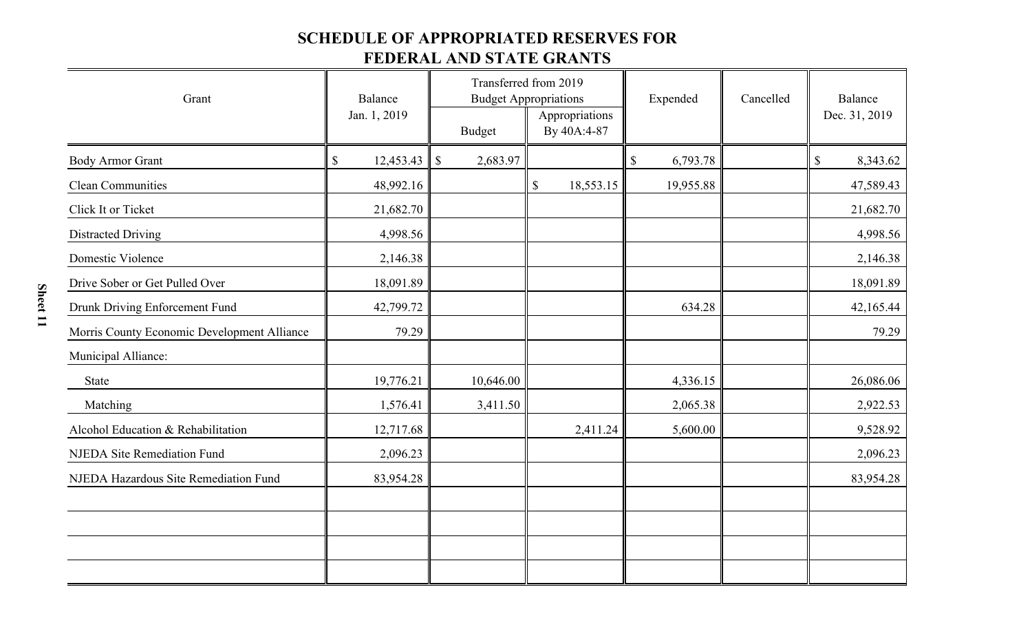# **SCHEDULE OF APPROPRIATED RESERVES FOR**

## **FEDERAL AND STATE GRANTS**

| Grant                                       | Balance                                |                           | Transferred from 2019<br><b>Budget Appropriations</b> | Expended                              | Cancelled | Balance        |  |
|---------------------------------------------|----------------------------------------|---------------------------|-------------------------------------------------------|---------------------------------------|-----------|----------------|--|
|                                             | Jan. 1, 2019<br><b>Budget</b>          |                           | Appropriations<br>By 40A:4-87                         |                                       |           | Dec. 31, 2019  |  |
| <b>Body Armor Grant</b>                     | $\boldsymbol{\mathsf{S}}$<br>12,453.43 | 2,683.97<br>$\mathcal{S}$ |                                                       | $\boldsymbol{\mathsf{S}}$<br>6,793.78 |           | \$<br>8,343.62 |  |
| <b>Clean Communities</b>                    | 48,992.16                              |                           | $\mathbb S$<br>18,553.15                              | 19,955.88                             |           | 47,589.43      |  |
| Click It or Ticket                          | 21,682.70                              |                           |                                                       |                                       |           | 21,682.70      |  |
| <b>Distracted Driving</b>                   | 4,998.56                               |                           |                                                       |                                       |           | 4,998.56       |  |
| Domestic Violence                           | 2,146.38                               |                           |                                                       |                                       |           | 2,146.38       |  |
| Drive Sober or Get Pulled Over              | 18,091.89                              |                           |                                                       |                                       |           | 18,091.89      |  |
| Drunk Driving Enforcement Fund              | 42,799.72                              |                           |                                                       | 634.28                                |           | 42,165.44      |  |
| Morris County Economic Development Alliance | 79.29                                  |                           |                                                       |                                       |           | 79.29          |  |
| Municipal Alliance:                         |                                        |                           |                                                       |                                       |           |                |  |
| State                                       | 19,776.21                              | 10,646.00                 |                                                       | 4,336.15                              |           | 26,086.06      |  |
| Matching                                    | 1,576.41                               | 3,411.50                  |                                                       | 2,065.38                              |           | 2,922.53       |  |
| Alcohol Education & Rehabilitation          | 12,717.68                              |                           | 2,411.24                                              | 5,600.00                              |           | 9,528.92       |  |
| <b>NJEDA Site Remediation Fund</b>          | 2,096.23                               |                           |                                                       |                                       |           | 2,096.23       |  |
| NJEDA Hazardous Site Remediation Fund       | 83,954.28                              |                           |                                                       |                                       |           | 83,954.28      |  |
|                                             |                                        |                           |                                                       |                                       |           |                |  |
|                                             |                                        |                           |                                                       |                                       |           |                |  |
|                                             |                                        |                           |                                                       |                                       |           |                |  |
|                                             |                                        |                           |                                                       |                                       |           |                |  |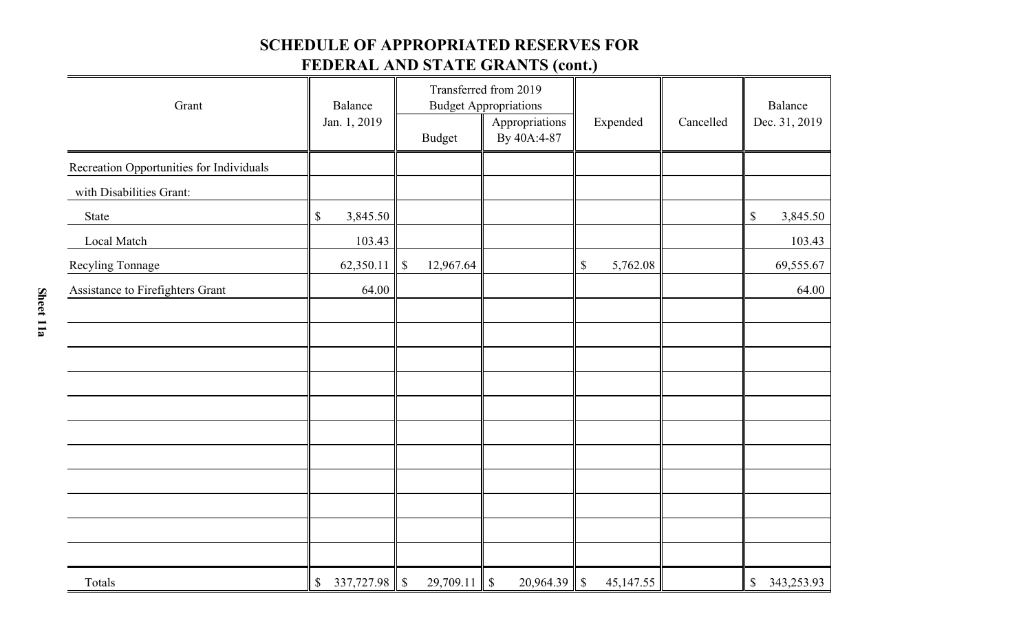## **SCHEDULE OF APPROPRIATED RESERVES FOR**

# **FEDERAL AND STATE GRANTS (cont.)**

| Grant                                    | Balance<br>Jan. 1, 2019 | <b>Budget</b>             | Transferred from 2019<br><b>Budget Appropriations</b><br>Appropriations<br>By 40A:4-87 | Expended                  | Cancelled | Balance<br>Dec. 31, 2019 |
|------------------------------------------|-------------------------|---------------------------|----------------------------------------------------------------------------------------|---------------------------|-----------|--------------------------|
| Recreation Opportunities for Individuals |                         |                           |                                                                                        |                           |           |                          |
| with Disabilities Grant:                 |                         |                           |                                                                                        |                           |           |                          |
| State                                    | $\$$<br>3,845.50        |                           |                                                                                        |                           |           | $\$$<br>3,845.50         |
| Local Match                              | 103.43                  |                           |                                                                                        |                           |           | 103.43                   |
| Recyling Tonnage                         | 62,350.11               | $\mathbb{S}$<br>12,967.64 |                                                                                        | $\$$<br>5,762.08          |           | 69,555.67                |
| Assistance to Firefighters Grant         | 64.00                   |                           |                                                                                        |                           |           | 64.00                    |
|                                          |                         |                           |                                                                                        |                           |           |                          |
|                                          |                         |                           |                                                                                        |                           |           |                          |
|                                          |                         |                           |                                                                                        |                           |           |                          |
|                                          |                         |                           |                                                                                        |                           |           |                          |
|                                          |                         |                           |                                                                                        |                           |           |                          |
|                                          |                         |                           |                                                                                        |                           |           |                          |
|                                          |                         |                           |                                                                                        |                           |           |                          |
|                                          |                         |                           |                                                                                        |                           |           |                          |
|                                          |                         |                           |                                                                                        |                           |           |                          |
|                                          |                         |                           |                                                                                        |                           |           |                          |
|                                          |                         |                           |                                                                                        |                           |           |                          |
| Totals                                   | 337,727.98<br>\$        | 29,709.11<br>$\mathbb{S}$ | $\sqrt{S}$<br>20,964.39                                                                | $\mathbb{S}$<br>45,147.55 |           | \$<br>343,253.93         |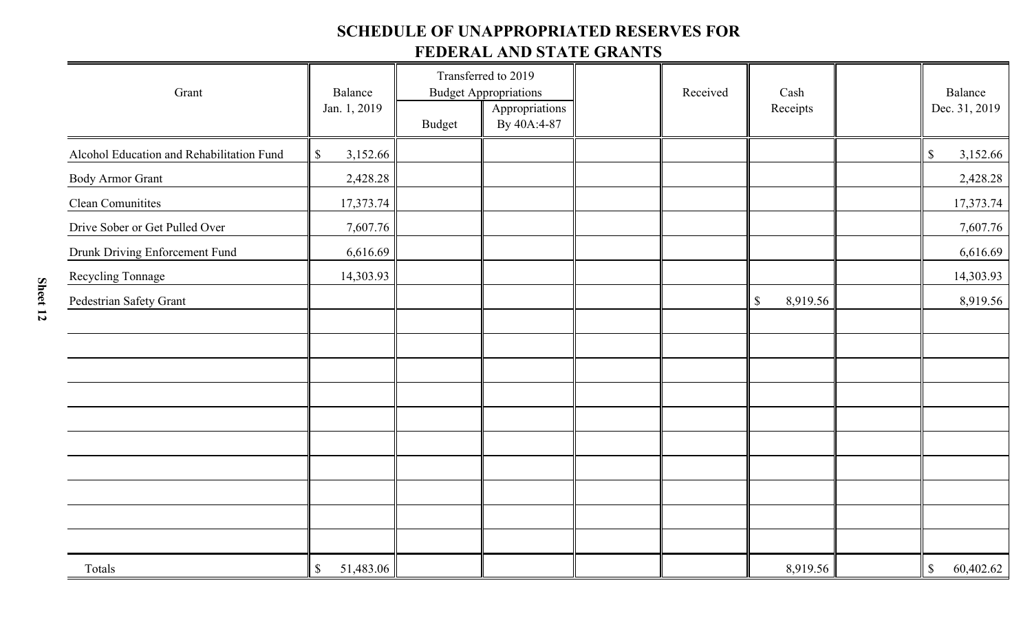## **SCHEDULE OF UNAPPROPRIATED RESERVES FOR FEDERAL AND STATE GRANTS**

| Grant                                     | Balance<br>Jan. 1, 2019                |               | Transferred to 2019<br><b>Budget Appropriations</b><br>Appropriations | Received | Cash<br>Receipts | Balance<br>Dec. 31, 2019              |
|-------------------------------------------|----------------------------------------|---------------|-----------------------------------------------------------------------|----------|------------------|---------------------------------------|
|                                           |                                        | <b>Budget</b> | By 40A:4-87                                                           |          |                  |                                       |
| Alcohol Education and Rehabilitation Fund | 3,152.66<br>$\boldsymbol{\mathsf{S}}$  |               |                                                                       |          |                  | $\boldsymbol{\mathsf{S}}$<br>3,152.66 |
| Body Armor Grant                          | 2,428.28                               |               |                                                                       |          |                  | 2,428.28                              |
| <b>Clean Comunitites</b>                  | 17,373.74                              |               |                                                                       |          |                  | 17,373.74                             |
| Drive Sober or Get Pulled Over            | 7,607.76                               |               |                                                                       |          |                  | 7,607.76                              |
| Drunk Driving Enforcement Fund            | 6,616.69                               |               |                                                                       |          |                  | 6,616.69                              |
| Recycling Tonnage                         | 14,303.93                              |               |                                                                       |          |                  | 14,303.93                             |
| Pedestrian Safety Grant                   |                                        |               |                                                                       |          | 8,919.56<br>\$   | 8,919.56                              |
|                                           |                                        |               |                                                                       |          |                  |                                       |
|                                           |                                        |               |                                                                       |          |                  |                                       |
|                                           |                                        |               |                                                                       |          |                  |                                       |
|                                           |                                        |               |                                                                       |          |                  |                                       |
|                                           |                                        |               |                                                                       |          |                  |                                       |
|                                           |                                        |               |                                                                       |          |                  |                                       |
|                                           |                                        |               |                                                                       |          |                  |                                       |
|                                           |                                        |               |                                                                       |          |                  |                                       |
|                                           |                                        |               |                                                                       |          |                  |                                       |
|                                           |                                        |               |                                                                       |          |                  |                                       |
| Totals                                    | $\boldsymbol{\mathsf{S}}$<br>51,483.06 |               |                                                                       |          | 8,919.56         | $\mathbb S$<br>60,402.62              |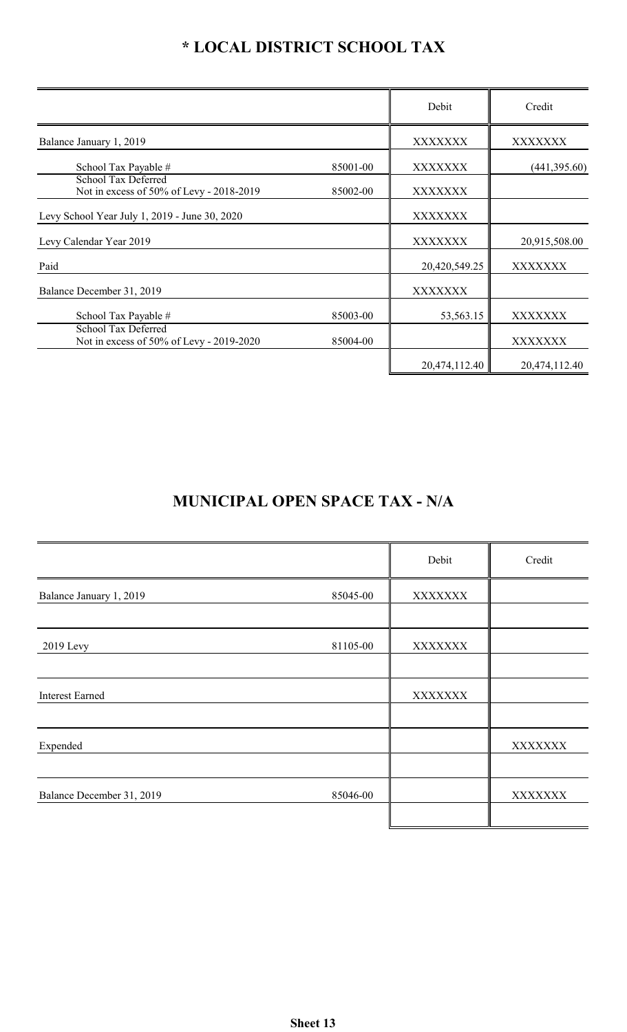# **\* LOCAL DISTRICT SCHOOL TAX**

|                                                                        |          | Debit          | Credit         |
|------------------------------------------------------------------------|----------|----------------|----------------|
| Balance January 1, 2019                                                |          | <b>XXXXXXX</b> | XXXXXXX        |
| School Tax Payable #                                                   | 85001-00 | XXXXXXX        | (441, 395.60)  |
| <b>School Tax Deferred</b><br>Not in excess of 50% of Levy - 2018-2019 | 85002-00 | <b>XXXXXXX</b> |                |
| Levy School Year July 1, 2019 - June 30, 2020                          |          | XXXXXXX        |                |
| Levy Calendar Year 2019                                                |          | XXXXXXX        | 20,915,508.00  |
| Paid                                                                   |          | 20,420,549.25  | XXXXXXX        |
| Balance December 31, 2019                                              |          | XXXXXXX        |                |
| School Tax Payable #                                                   | 85003-00 | 53,563.15      | XXXXXXX        |
| School Tax Deferred<br>Not in excess of 50% of Levy - 2019-2020        | 85004-00 |                | <b>XXXXXXX</b> |
|                                                                        |          | 20,474,112.40  | 20,474,112.40  |

# **MUNICIPAL OPEN SPACE TAX - N/A**

|                           |          | Debit          | Credit         |
|---------------------------|----------|----------------|----------------|
| Balance January 1, 2019   | 85045-00 | XXXXXXX        |                |
|                           |          |                |                |
| 2019 Levy                 | 81105-00 | XXXXXXX        |                |
|                           |          |                |                |
| <b>Interest Earned</b>    |          | <b>XXXXXXX</b> |                |
|                           |          |                |                |
| Expended                  |          |                | <b>XXXXXXX</b> |
|                           |          |                |                |
| Balance December 31, 2019 | 85046-00 |                | <b>XXXXXXX</b> |
|                           |          |                |                |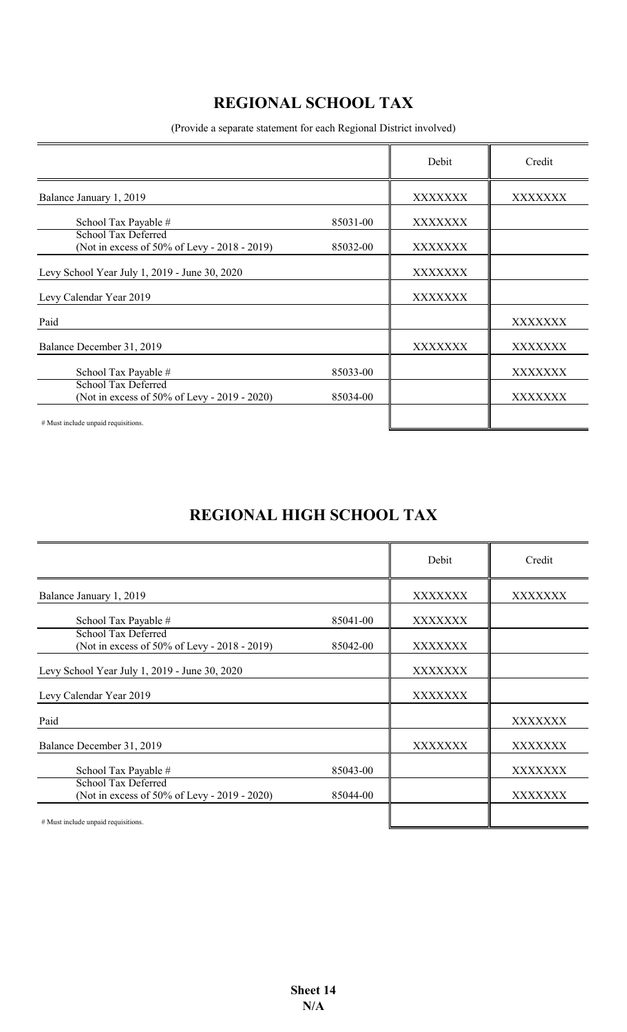# **REGIONAL SCHOOL TAX**

(Provide a separate statement for each Regional District involved)

|                                                                            |          | Debit          | Credit  |
|----------------------------------------------------------------------------|----------|----------------|---------|
| Balance January 1, 2019                                                    |          | XXXXXXX        | XXXXXXX |
| School Tax Payable #                                                       | 85031-00 | XXXXXXX        |         |
| <b>School Tax Deferred</b><br>(Not in excess of 50% of Levy - 2018 - 2019) | 85032-00 | XXXXXXX        |         |
| Levy School Year July 1, 2019 - June 30, 2020                              |          | XXXXXXX        |         |
| Levy Calendar Year 2019                                                    |          | XXXXXXX        |         |
| Paid                                                                       |          |                | XXXXXXX |
| Balance December 31, 2019                                                  |          | <b>XXXXXXX</b> | XXXXXXX |
| School Tax Payable #                                                       | 85033-00 |                | XXXXXXX |
| <b>School Tax Deferred</b><br>(Not in excess of 50% of Levy - 2019 - 2020) | 85034-00 |                | XXXXXXX |
| # Must include unpaid requisitions.                                        |          |                |         |

# **REGIONAL HIGH SCHOOL TAX**

|                                                                            |          | Debit          | Credit  |
|----------------------------------------------------------------------------|----------|----------------|---------|
| Balance January 1, 2019                                                    |          | XXXXXXX        | XXXXXXX |
| School Tax Payable #                                                       | 85041-00 | <b>XXXXXXX</b> |         |
| <b>School Tax Deferred</b><br>(Not in excess of 50% of Levy - 2018 - 2019) | 85042-00 | XXXXXXX        |         |
| Levy School Year July 1, 2019 - June 30, 2020                              |          | <b>XXXXXXX</b> |         |
| Levy Calendar Year 2019                                                    |          | XXXXXXX        |         |
| Paid                                                                       |          |                | XXXXXXX |
| Balance December 31, 2019                                                  |          | XXXXXXX        | XXXXXXX |
| School Tax Payable #                                                       | 85043-00 |                | XXXXXXX |
| <b>School Tax Deferred</b><br>(Not in excess of 50% of Levy - 2019 - 2020) | 85044-00 |                | XXXXXXX |
| # Must include unpaid requisitions.                                        |          |                |         |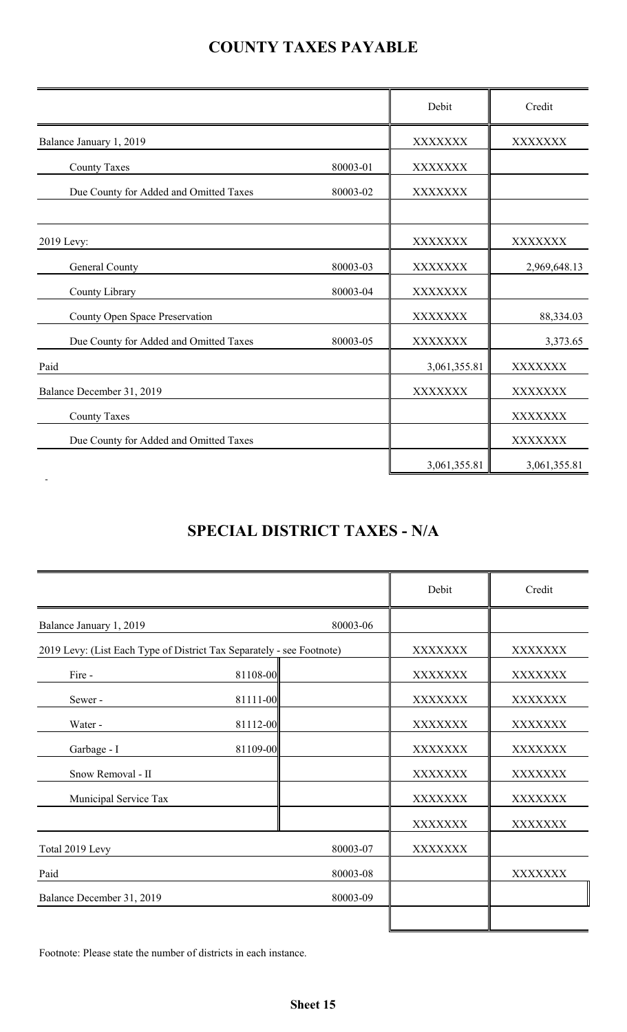# **COUNTY TAXES PAYABLE**

|                                        |          | Debit        | Credit         |
|----------------------------------------|----------|--------------|----------------|
| Balance January 1, 2019                |          | XXXXXXX      | XXXXXXX        |
| <b>County Taxes</b>                    | 80003-01 | XXXXXXX      |                |
| Due County for Added and Omitted Taxes | 80003-02 | XXXXXXX      |                |
| 2019 Levy:                             |          | XXXXXXX      | <b>XXXXXXX</b> |
| General County                         | 80003-03 | XXXXXXX      | 2,969,648.13   |
| County Library                         | 80003-04 | XXXXXXX      |                |
| County Open Space Preservation         |          | XXXXXXX      | 88,334.03      |
| Due County for Added and Omitted Taxes | 80003-05 | XXXXXXX      | 3,373.65       |
| Paid                                   |          | 3,061,355.81 | XXXXXXX        |
| Balance December 31, 2019              |          | XXXXXXX      | XXXXXXX        |
| <b>County Taxes</b>                    |          |              | XXXXXXX        |
| Due County for Added and Omitted Taxes |          |              | XXXXXXX        |
|                                        |          | 3,061,355.81 | 3,061,355.81   |

# **SPECIAL DISTRICT TAXES - N/A**

|                                                                       |          |          | Debit          | Credit         |
|-----------------------------------------------------------------------|----------|----------|----------------|----------------|
| Balance January 1, 2019                                               |          | 80003-06 |                |                |
| 2019 Levy: (List Each Type of District Tax Separately - see Footnote) |          |          | <b>XXXXXXX</b> | XXXXXXX        |
| Fire -                                                                | 81108-00 |          | <b>XXXXXXX</b> | XXXXXXX        |
| Sewer-                                                                | 81111-00 |          | <b>XXXXXXX</b> | XXXXXXX        |
| Water -                                                               | 81112-00 |          | <b>XXXXXXX</b> | XXXXXXX        |
| Garbage - I                                                           | 81109-00 |          | <b>XXXXXXX</b> | <b>XXXXXXX</b> |
| Snow Removal - II                                                     |          |          | <b>XXXXXXX</b> | XXXXXXX        |
| Municipal Service Tax                                                 |          |          | <b>XXXXXXX</b> | XXXXXXX        |
|                                                                       |          |          | <b>XXXXXXX</b> | XXXXXXX        |
| Total 2019 Levy                                                       |          | 80003-07 | <b>XXXXXXX</b> |                |
| Paid                                                                  |          | 80003-08 |                | XXXXXXX        |
| Balance December 31, 2019                                             |          | 80003-09 |                |                |
|                                                                       |          |          |                |                |

Footnote: Please state the number of districts in each instance.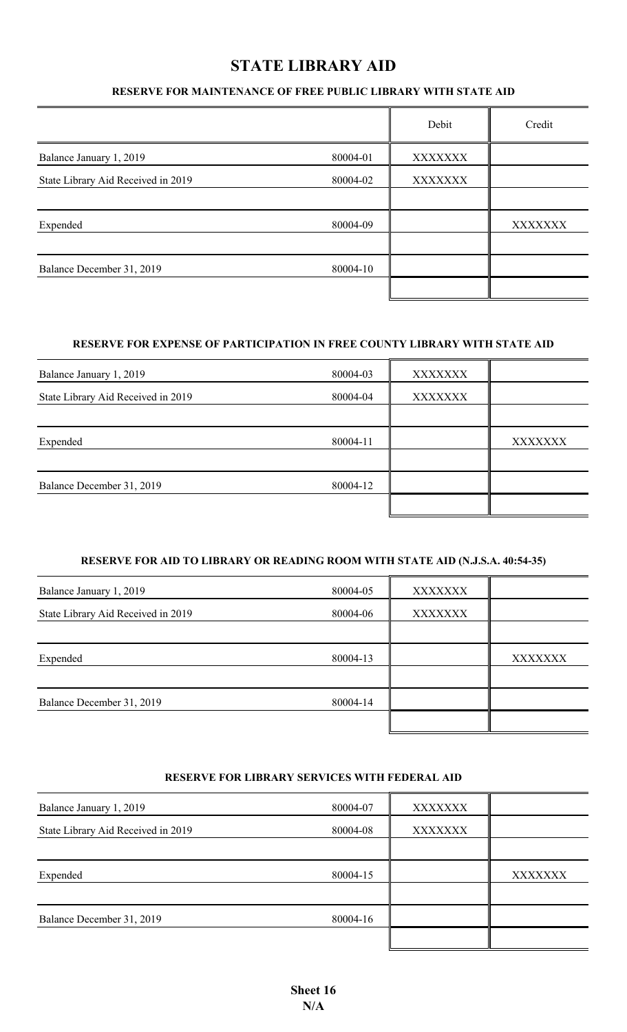## **STATE LIBRARY AID**

#### **RESERVE FOR MAINTENANCE OF FREE PUBLIC LIBRARY WITH STATE AID**

|                                    |          | Debit   | Credit         |
|------------------------------------|----------|---------|----------------|
| Balance January 1, 2019            | 80004-01 | XXXXXXX |                |
| State Library Aid Received in 2019 | 80004-02 | XXXXXXX |                |
|                                    |          |         |                |
| Expended                           | 80004-09 |         | <b>XXXXXXX</b> |
| Balance December 31, 2019          | 80004-10 |         |                |
|                                    |          |         |                |

#### **RESERVE FOR EXPENSE OF PARTICIPATION IN FREE COUNTY LIBRARY WITH STATE AID**

| Balance January 1, 2019            | 80004-03 | <b>XXXXXXX</b> |                |
|------------------------------------|----------|----------------|----------------|
| State Library Aid Received in 2019 | 80004-04 | XXXXXXX        |                |
|                                    |          |                |                |
| Expended                           | 80004-11 |                | <b>XXXXXXX</b> |
| Balance December 31, 2019          | 80004-12 |                |                |
|                                    |          |                |                |

#### **RESERVE FOR AID TO LIBRARY OR READING ROOM WITH STATE AID (N.J.S.A. 40:54-35)**

| Balance January 1, 2019            | 80004-05 | <b>XXXXXXX</b> |         |
|------------------------------------|----------|----------------|---------|
| State Library Aid Received in 2019 | 80004-06 | XXXXXXX        |         |
|                                    |          |                |         |
| Expended                           | 80004-13 |                | XXXXXXX |
|                                    |          |                |         |
| Balance December 31, 2019          | 80004-14 |                |         |
|                                    |          |                |         |

#### **RESERVE FOR LIBRARY SERVICES WITH FEDERAL AID**

| Balance January 1, 2019            | 80004-07 | <b>XXXXXXX</b> |         |
|------------------------------------|----------|----------------|---------|
| State Library Aid Received in 2019 | 80004-08 | <b>XXXXXXX</b> |         |
|                                    |          |                |         |
| Expended                           | 80004-15 |                | XXXXXXX |
|                                    |          |                |         |
| Balance December 31, 2019          | 80004-16 |                |         |
|                                    |          |                |         |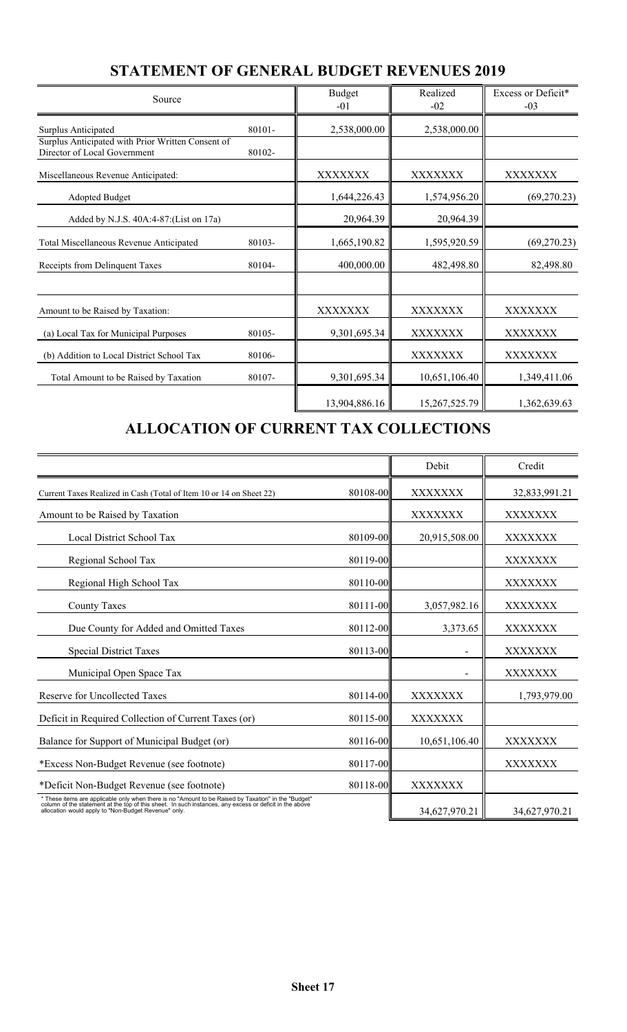| Source                                                                                                   |                  | <b>Budget</b><br>$-01$ | Realized<br>$-02$ | Excess or Deficit*<br>$-03$ |
|----------------------------------------------------------------------------------------------------------|------------------|------------------------|-------------------|-----------------------------|
| Surplus Anticipated<br>Surplus Anticipated with Prior Written Consent of<br>Director of Local Government | 80101-<br>80102- | 2,538,000.00           | 2,538,000.00      |                             |
| Miscellaneous Revenue Anticipated:                                                                       |                  | XXXXXXX                | XXXXXXX           | XXXXXXX                     |
| <b>Adopted Budget</b>                                                                                    |                  | 1,644,226.43           | 1,574,956.20      | (69,270.23)                 |
| Added by N.J.S. 40A:4-87: (List on 17a)                                                                  |                  | 20,964.39              | 20,964.39         |                             |
| Total Miscellaneous Revenue Anticipated                                                                  | 80103-           | 1,665,190.82           | 1,595,920.59      | (69, 270.23)                |
| Receipts from Delinquent Taxes                                                                           | 80104-           | 400,000.00             | 482,498.80        | 82,498.80                   |
| Amount to be Raised by Taxation:                                                                         |                  | XXXXXXX                | XXXXXXX           | XXXXXXX                     |
| (a) Local Tax for Municipal Purposes                                                                     | 80105-           | 9,301,695.34           | XXXXXXX           | XXXXXXX                     |
| (b) Addition to Local District School Tax                                                                | 80106-           |                        | XXXXXXX           | XXXXXXX                     |
| Total Amount to be Raised by Taxation                                                                    | 80107-           | 9,301,695.34           | 10,651,106.40     | 1,349,411.06                |
|                                                                                                          |                  | 13,904,886.16          | 15,267,525.79     | 1,362,639.63                |

## **STATEMENT OF GENERAL BUDGET REVENUES 2019**

# **ALLOCATION OF CURRENT TAX COLLECTIONS**

|                                                                                                                                                                                                                                                                         |          | Debit         | Credit        |
|-------------------------------------------------------------------------------------------------------------------------------------------------------------------------------------------------------------------------------------------------------------------------|----------|---------------|---------------|
| Current Taxes Realized in Cash (Total of Item 10 or 14 on Sheet 22)                                                                                                                                                                                                     | 80108-00 | XXXXXXX       | 32,833,991.21 |
| Amount to be Raised by Taxation                                                                                                                                                                                                                                         |          | XXXXXXX       | XXXXXXX       |
| Local District School Tax                                                                                                                                                                                                                                               | 80109-00 | 20,915,508.00 | XXXXXXX       |
| Regional School Tax                                                                                                                                                                                                                                                     | 80119-00 |               | XXXXXXX       |
| Regional High School Tax                                                                                                                                                                                                                                                | 80110-00 |               | XXXXXXX       |
| <b>County Taxes</b>                                                                                                                                                                                                                                                     | 80111-00 | 3,057,982.16  | XXXXXXX       |
| Due County for Added and Omitted Taxes                                                                                                                                                                                                                                  | 80112-00 | 3,373.65      | XXXXXXX       |
| <b>Special District Taxes</b>                                                                                                                                                                                                                                           | 80113-00 |               | XXXXXXX       |
| Municipal Open Space Tax                                                                                                                                                                                                                                                |          |               | XXXXXXX       |
| Reserve for Uncollected Taxes                                                                                                                                                                                                                                           | 80114-00 | XXXXXXX       | 1,793,979.00  |
| Deficit in Required Collection of Current Taxes (or)                                                                                                                                                                                                                    | 80115-00 | XXXXXXX       |               |
| Balance for Support of Municipal Budget (or)                                                                                                                                                                                                                            | 80116-00 | 10,651,106.40 | XXXXXXX       |
| *Excess Non-Budget Revenue (see footnote)                                                                                                                                                                                                                               | 80117-00 |               | XXXXXXX       |
| *Deficit Non-Budget Revenue (see footnote)                                                                                                                                                                                                                              | 80118-00 | XXXXXXX       |               |
| * These items are applicable only when there is no "Amount to be Raised by Taxation" in the "Budget"<br>column of the statement at the top of this sheet. In such instances, any excess or deficit in the above<br>allocation would apply to "Non-Budget Revenue" only. |          | 34,627,970.21 | 34,627,970.21 |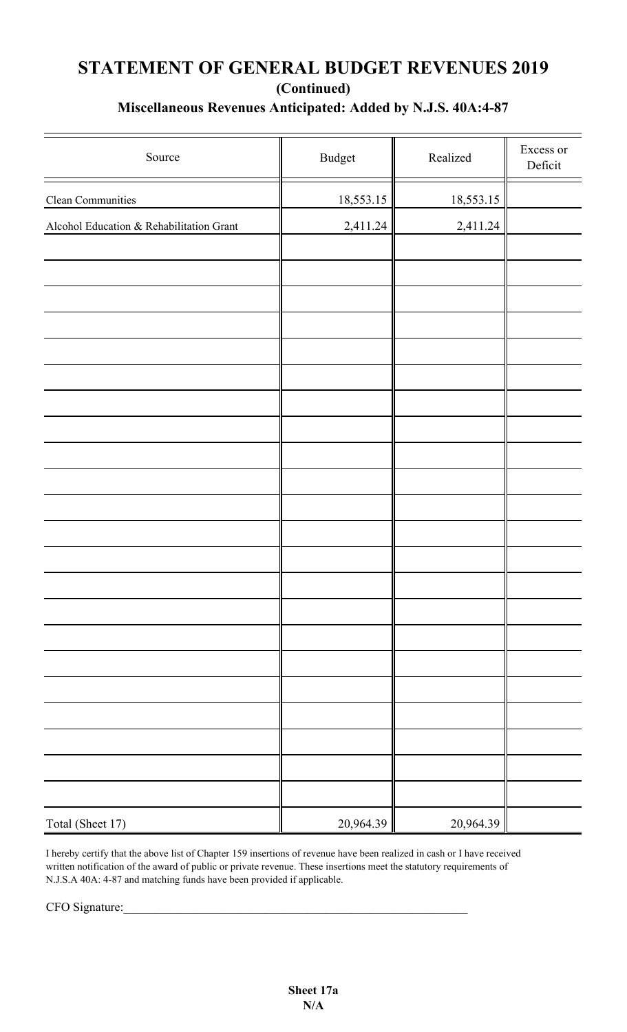## **(Continued) STATEMENT OF GENERAL BUDGET REVENUES 2019 Miscellaneous Revenues Anticipated: Added by N.J.S. 40A:4-87**

| Source                                   | $\mathbf{B} \mathbf{u} \mathbf{d} \mathbf{g}$ et | Realized  | Excess or<br>Deficit |
|------------------------------------------|--------------------------------------------------|-----------|----------------------|
| Clean Communities                        | 18,553.15                                        | 18,553.15 |                      |
| Alcohol Education & Rehabilitation Grant | 2,411.24                                         | 2,411.24  |                      |
|                                          |                                                  |           |                      |
|                                          |                                                  |           |                      |
|                                          |                                                  |           |                      |
|                                          |                                                  |           |                      |
|                                          |                                                  |           |                      |
|                                          |                                                  |           |                      |
|                                          |                                                  |           |                      |
|                                          |                                                  |           |                      |
|                                          |                                                  |           |                      |
|                                          |                                                  |           |                      |
|                                          |                                                  |           |                      |
|                                          |                                                  |           |                      |
|                                          |                                                  |           |                      |
|                                          |                                                  |           |                      |
|                                          |                                                  |           |                      |
|                                          |                                                  |           |                      |
|                                          |                                                  |           |                      |
|                                          |                                                  |           |                      |
|                                          |                                                  |           |                      |
|                                          |                                                  |           |                      |
| Total (Sheet 17)                         | 20,964.39                                        | 20,964.39 |                      |

I hereby certify that the above list of Chapter 159 insertions of revenue have been realized in cash or I have received written notification of the award of public or private revenue. These insertions meet the statutory requirements of N.J.S.A 40A: 4-87 and matching funds have been provided if applicable.

CFO Signature: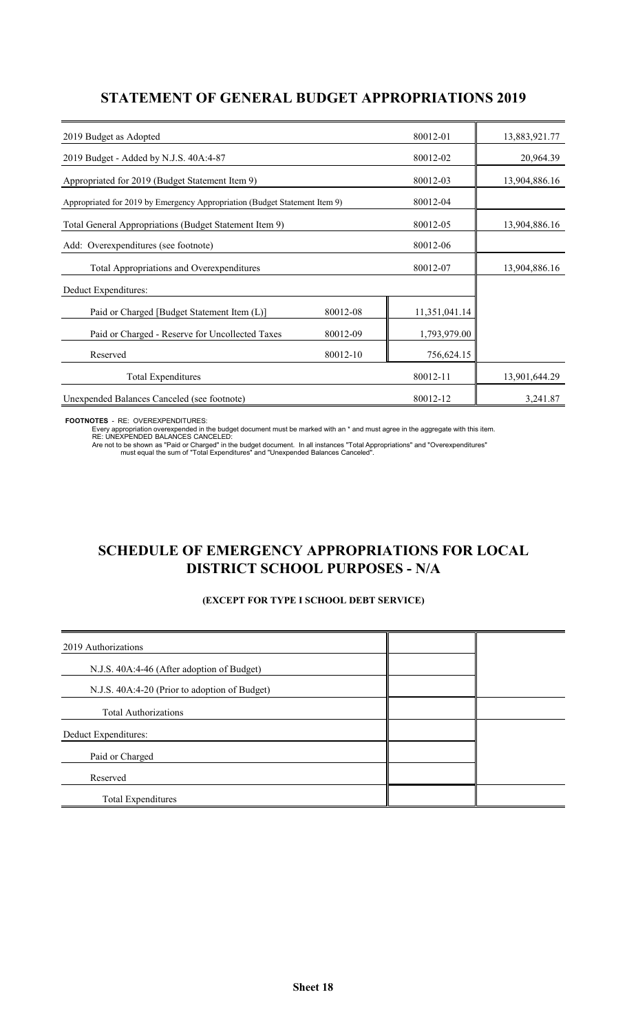## **STATEMENT OF GENERAL BUDGET APPROPRIATIONS 2019**

| 80012-01<br>2019 Budget as Adopted                                         |          | 13,883,921.77 |               |
|----------------------------------------------------------------------------|----------|---------------|---------------|
| 2019 Budget - Added by N.J.S. 40A:4-87                                     |          | 80012-02      | 20,964.39     |
| Appropriated for 2019 (Budget Statement Item 9)                            |          | 80012-03      | 13,904,886.16 |
| Appropriated for 2019 by Emergency Appropriation (Budget Statement Item 9) |          | 80012-04      |               |
| Total General Appropriations (Budget Statement Item 9)                     |          | 80012-05      | 13,904,886.16 |
| Add: Overexpenditures (see footnote)                                       |          | 80012-06      |               |
| Total Appropriations and Overexpenditures                                  |          | 80012-07      | 13,904,886.16 |
| Deduct Expenditures:                                                       |          |               |               |
| Paid or Charged [Budget Statement Item (L)]                                | 80012-08 | 11,351,041.14 |               |
| Paid or Charged - Reserve for Uncollected Taxes                            | 80012-09 | 1,793,979.00  |               |
| Reserved                                                                   | 80012-10 | 756,624.15    |               |
| <b>Total Expenditures</b>                                                  |          | 80012-11      | 13,901,644.29 |
| Unexpended Balances Canceled (see footnote)                                |          | 80012-12      | 3,241.87      |

**FOOTNOTES** - RE: OVEREXPENDITURES:

Every appropriation overexpended in the budget document must be marked with an \* and must agree in the aggregate with this item.<br>RE: UNEXPENDED BALANCES CANCELED:<br>Are not to be shown as "Paid or Charged" in the budget docu

## **SCHEDULE OF EMERGENCY APPROPRIATIONS FOR LOCAL DISTRICT SCHOOL PURPOSES - N/A**

#### **(EXCEPT FOR TYPE I SCHOOL DEBT SERVICE)**

| 2019 Authorizations                           |  |
|-----------------------------------------------|--|
| N.J.S. 40A:4-46 (After adoption of Budget)    |  |
| N.J.S. 40A:4-20 (Prior to adoption of Budget) |  |
| <b>Total Authorizations</b>                   |  |
| Deduct Expenditures:                          |  |
| Paid or Charged                               |  |
| Reserved                                      |  |
| Total Expenditures                            |  |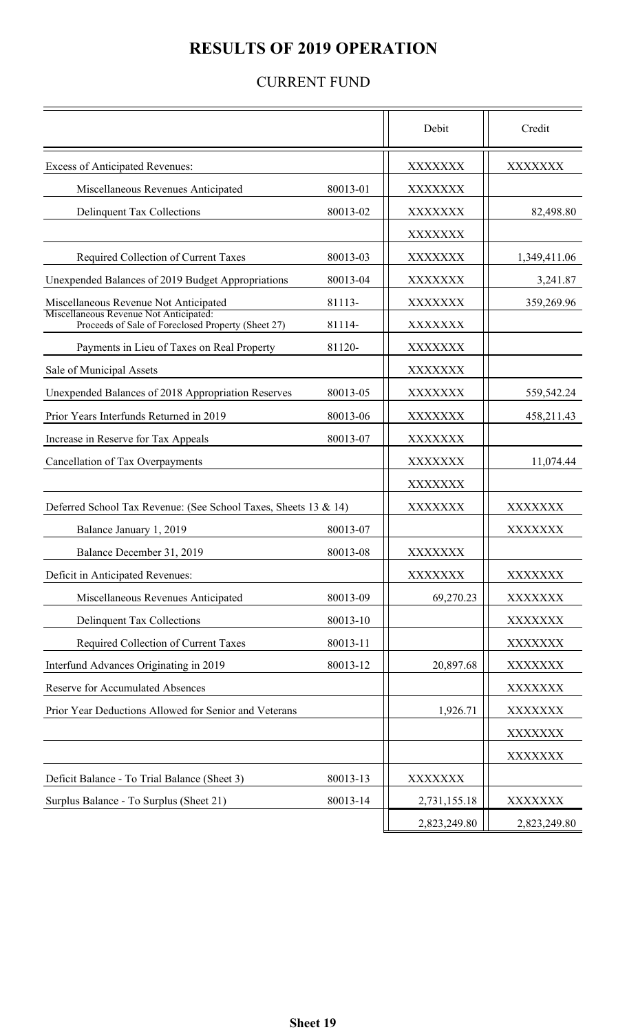# **RESULTS OF 2019 OPERATION**

## CURRENT FUND

|                                                                                              |          | Debit          | Credit         |
|----------------------------------------------------------------------------------------------|----------|----------------|----------------|
| <b>Excess of Anticipated Revenues:</b>                                                       |          | <b>XXXXXXX</b> | <b>XXXXXXX</b> |
| Miscellaneous Revenues Anticipated                                                           | 80013-01 | <b>XXXXXXX</b> |                |
| <b>Delinquent Tax Collections</b>                                                            | 80013-02 | <b>XXXXXXX</b> | 82,498.80      |
|                                                                                              |          | <b>XXXXXXX</b> |                |
| Required Collection of Current Taxes                                                         | 80013-03 | <b>XXXXXXX</b> | 1,349,411.06   |
| Unexpended Balances of 2019 Budget Appropriations                                            | 80013-04 | <b>XXXXXXX</b> | 3,241.87       |
| Miscellaneous Revenue Not Anticipated                                                        | 81113-   | <b>XXXXXXX</b> | 359,269.96     |
| Miscellaneous Revenue Not Anticipated:<br>Proceeds of Sale of Foreclosed Property (Sheet 27) | 81114-   | XXXXXXX        |                |
| Payments in Lieu of Taxes on Real Property                                                   | 81120-   | <b>XXXXXXX</b> |                |
| Sale of Municipal Assets                                                                     |          | <b>XXXXXXX</b> |                |
| Unexpended Balances of 2018 Appropriation Reserves                                           | 80013-05 | <b>XXXXXXX</b> | 559,542.24     |
| Prior Years Interfunds Returned in 2019                                                      | 80013-06 | <b>XXXXXXX</b> | 458,211.43     |
| Increase in Reserve for Tax Appeals                                                          | 80013-07 | <b>XXXXXXX</b> |                |
| Cancellation of Tax Overpayments                                                             |          | <b>XXXXXXX</b> | 11,074.44      |
|                                                                                              |          | <b>XXXXXXX</b> |                |
| Deferred School Tax Revenue: (See School Taxes, Sheets 13 & 14)                              |          | XXXXXXX        | <b>XXXXXXX</b> |
| Balance January 1, 2019                                                                      | 80013-07 |                | XXXXXXX        |
| Balance December 31, 2019                                                                    | 80013-08 | <b>XXXXXXX</b> |                |
| Deficit in Anticipated Revenues:                                                             |          | <b>XXXXXXX</b> | XXXXXXX        |
| Miscellaneous Revenues Anticipated                                                           | 80013-09 | 69,270.23      | <b>XXXXXXX</b> |
| <b>Delinquent Tax Collections</b>                                                            | 80013-10 |                | <b>XXXXXXX</b> |
| Required Collection of Current Taxes                                                         | 80013-11 |                | <b>XXXXXXX</b> |
| Interfund Advances Originating in 2019                                                       | 80013-12 | 20,897.68      | <b>XXXXXXX</b> |
| <b>Reserve for Accumulated Absences</b>                                                      |          |                | <b>XXXXXXX</b> |
| Prior Year Deductions Allowed for Senior and Veterans                                        |          | 1,926.71       | <b>XXXXXXX</b> |
|                                                                                              |          |                | <b>XXXXXXX</b> |
|                                                                                              |          |                | <b>XXXXXXX</b> |
| Deficit Balance - To Trial Balance (Sheet 3)                                                 | 80013-13 | <b>XXXXXXX</b> |                |
| Surplus Balance - To Surplus (Sheet 21)                                                      | 80013-14 | 2,731,155.18   | <b>XXXXXXX</b> |
|                                                                                              |          | 2,823,249.80   | 2,823,249.80   |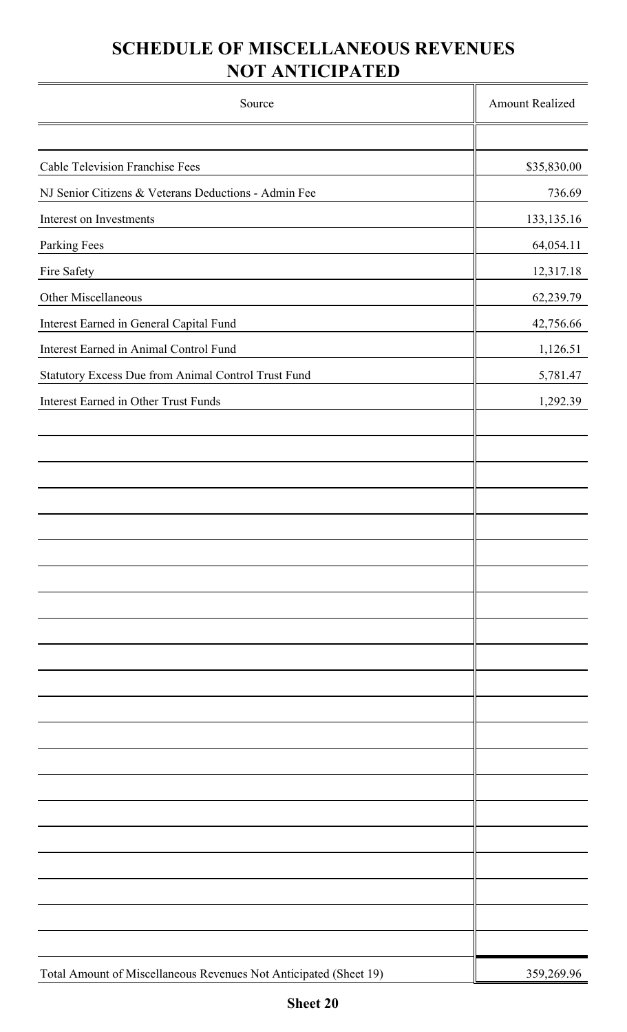# **NOT ANTICIPATED SCHEDULE OF MISCELLANEOUS REVENUES**

| Source                                                            | <b>Amount Realized</b> |
|-------------------------------------------------------------------|------------------------|
|                                                                   |                        |
| <b>Cable Television Franchise Fees</b>                            | \$35,830.00            |
| NJ Senior Citizens & Veterans Deductions - Admin Fee              | 736.69                 |
| Interest on Investments                                           | 133, 135. 16           |
| <b>Parking Fees</b>                                               | 64,054.11              |
| Fire Safety                                                       | 12,317.18              |
| Other Miscellaneous                                               | 62,239.79              |
| Interest Earned in General Capital Fund                           | 42,756.66              |
| Interest Earned in Animal Control Fund                            | 1,126.51               |
| Statutory Excess Due from Animal Control Trust Fund               | 5,781.47               |
| Interest Earned in Other Trust Funds                              | 1,292.39               |
|                                                                   |                        |
|                                                                   |                        |
|                                                                   |                        |
|                                                                   |                        |
|                                                                   |                        |
|                                                                   |                        |
|                                                                   |                        |
|                                                                   |                        |
|                                                                   |                        |
|                                                                   |                        |
|                                                                   |                        |
|                                                                   |                        |
|                                                                   |                        |
|                                                                   |                        |
|                                                                   |                        |
|                                                                   |                        |
|                                                                   |                        |
|                                                                   |                        |
|                                                                   |                        |
|                                                                   |                        |
|                                                                   |                        |
| Total Amount of Miscellaneous Revenues Not Anticipated (Sheet 19) | 359,269.96             |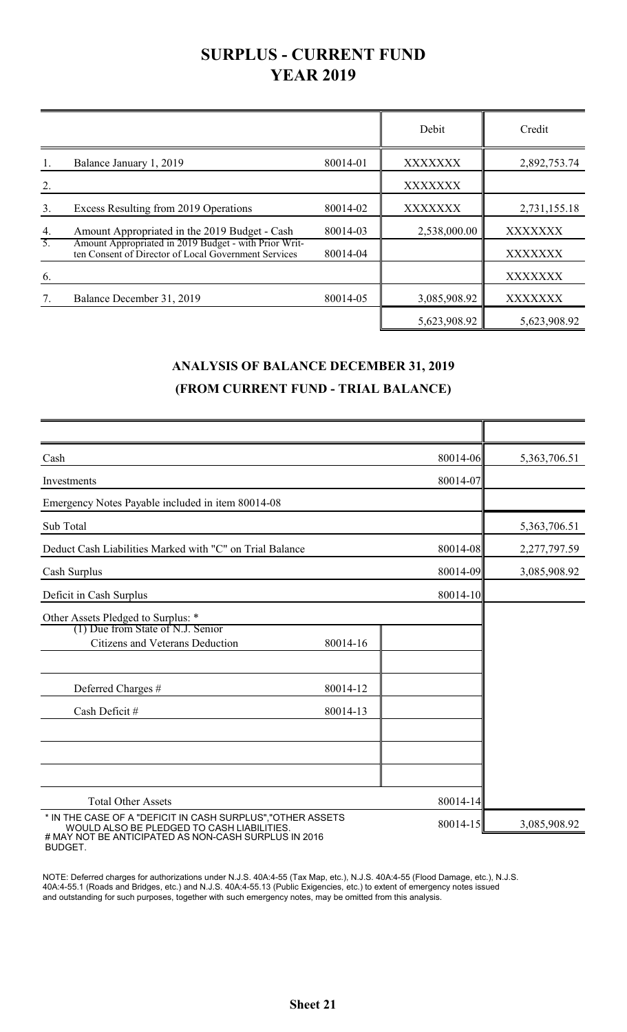# **SURPLUS - CURRENT FUND YEAR 2019**

|    |                                                                                                               |          | Debit          | Credit         |
|----|---------------------------------------------------------------------------------------------------------------|----------|----------------|----------------|
|    | Balance January 1, 2019                                                                                       | 80014-01 | <b>XXXXXXX</b> | 2,892,753.74   |
| 2. |                                                                                                               |          | XXXXXXX        |                |
| 3. | Excess Resulting from 2019 Operations                                                                         | 80014-02 | <b>XXXXXXX</b> | 2,731,155.18   |
| 4. | Amount Appropriated in the 2019 Budget - Cash                                                                 | 80014-03 | 2,538,000.00   | <b>XXXXXXX</b> |
| 5. | Amount Appropriated in 2019 Budget - with Prior Writ-<br>ten Consent of Director of Local Government Services | 80014-04 |                | XXXXXXX        |
| 6. |                                                                                                               |          |                | XXXXXXX        |
| 7. | Balance December 31, 2019                                                                                     | 80014-05 | 3,085,908.92   | <b>XXXXXXX</b> |
|    |                                                                                                               |          | 5,623,908.92   | 5,623,908.92   |

## **ANALYSIS OF BALANCE DECEMBER 31, 2019 (FROM CURRENT FUND - TRIAL BALANCE)**

| Cash                                                                                                                                                              |          | 80014-06 | 5,363,706.51 |
|-------------------------------------------------------------------------------------------------------------------------------------------------------------------|----------|----------|--------------|
| Investments                                                                                                                                                       |          | 80014-07 |              |
| Emergency Notes Payable included in item 80014-08                                                                                                                 |          |          |              |
| Sub Total                                                                                                                                                         |          |          | 5,363,706.51 |
| Deduct Cash Liabilities Marked with "C" on Trial Balance                                                                                                          |          | 80014-08 | 2,277,797.59 |
| Cash Surplus                                                                                                                                                      |          | 80014-09 | 3,085,908.92 |
| Deficit in Cash Surplus                                                                                                                                           |          | 80014-10 |              |
| Other Assets Pledged to Surplus: *                                                                                                                                |          |          |              |
| (1) Due from State of N.J. Senior<br>Citizens and Veterans Deduction                                                                                              | 80014-16 |          |              |
| Deferred Charges #                                                                                                                                                | 80014-12 |          |              |
| Cash Deficit #                                                                                                                                                    | 80014-13 |          |              |
|                                                                                                                                                                   |          |          |              |
| <b>Total Other Assets</b>                                                                                                                                         |          | 80014-14 |              |
| * IN THE CASE OF A "DEFICIT IN CASH SURPLUS", "OTHER ASSETS<br>WOULD ALSO BE PLEDGED TO CASH LIABILITIES.<br># MAY NOT BE ANTICIPATED AS NON-CASH SURPLUS IN 2016 |          | 80014-15 | 3,085,908.92 |

BUDGET.

NOTE: Deferred charges for authorizations under N.J.S. 40A:4-55 (Tax Map, etc.), N.J.S. 40A:4-55 (Flood Damage, etc.), N.J.S. 40A:4-55.1 (Roads and Bridges, etc.) and N.J.S. 40A:4-55.13 (Public Exigencies, etc.) to extent of emergency notes issued and outstanding for such purposes, together with such emergency notes, may be omitted from this analysis.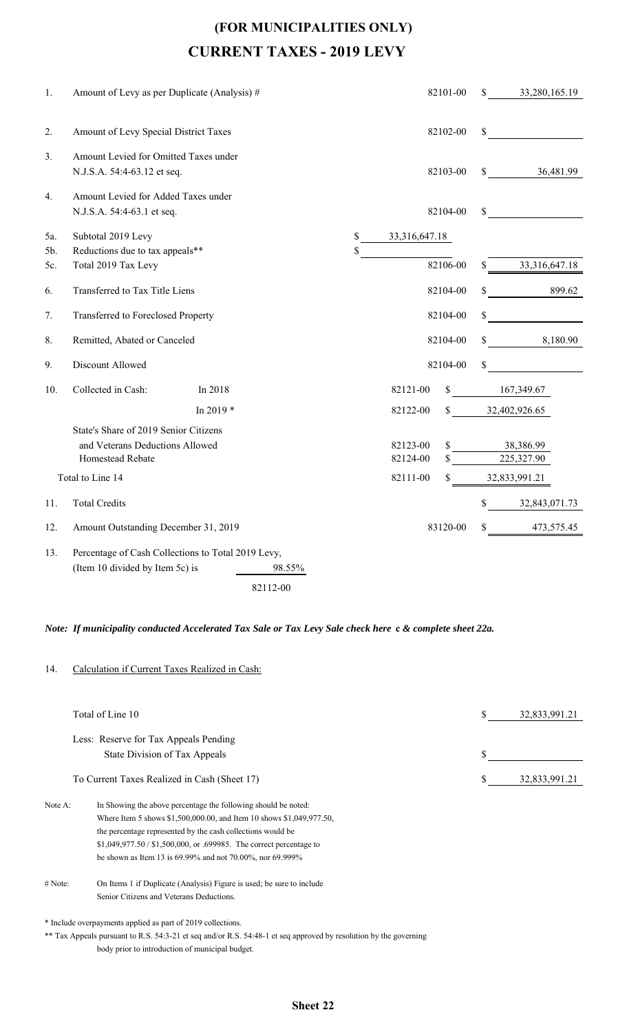# **(FOR MUNICIPALITIES ONLY) CURRENT TAXES - 2019 LEVY**

| 1.  | Amount of Levy as per Duplicate (Analysis) #                         | 82101-00                             | \$33,280,165.19                  |
|-----|----------------------------------------------------------------------|--------------------------------------|----------------------------------|
| 2.  | Amount of Levy Special District Taxes                                | 82102-00                             | $\mathbb{S}$                     |
| 3.  | Amount Levied for Omitted Taxes under<br>N.J.S.A. 54:4-63.12 et seq. | 82103-00                             | $\frac{\$}{\$}$ 36,481.99        |
| 4.  | Amount Levied for Added Taxes under<br>N.J.S.A. 54:4-63.1 et seq.    | 82104-00                             | \$                               |
| 5a. | Subtotal 2019 Levy                                                   | \$33,316,647.18                      |                                  |
| 5b. | Reductions due to tax appeals**                                      | \$                                   |                                  |
| 5c. | Total 2019 Tax Levy                                                  | 82106-00                             | 33, 316, 647. 18<br>$\mathbb{S}$ |
| 6.  | Transferred to Tax Title Liens                                       | 82104-00                             | 899.62                           |
| 7.  | Transferred to Foreclosed Property                                   | 82104-00                             | S.                               |
| 8.  | Remitted, Abated or Canceled                                         | 82104-00                             | $\frac{\$}{8}$ 8,180.90          |
| 9.  | Discount Allowed                                                     | 82104-00                             | $\mathbb{S}$                     |
| 10. | Collected in Cash:<br>In 2018                                        | 82121-00                             | \$167,349.67                     |
|     | In 2019 $*$                                                          | 82122-00                             | $\$\$ 32,402,926.65              |
|     | State's Share of 2019 Senior Citizens                                |                                      |                                  |
|     | and Veterans Deductions Allowed<br>Homestead Rebate                  | 82123-00<br>$\mathbb{S}$<br>82124-00 | 38,386.99<br>225,327.90          |
|     |                                                                      |                                      |                                  |
|     | Total to Line 14                                                     | 82111-00                             | \$ 32,833,991.21                 |
| 11. | <b>Total Credits</b>                                                 |                                      | \$32,843,071.73                  |
| 12. | Amount Outstanding December 31, 2019                                 | 83120-00                             | \$ 473,575.45                    |
| 13. | Percentage of Cash Collections to Total 2019 Levy,                   |                                      |                                  |
|     | (Item 10 divided by Item 5c) is<br>98.55%                            |                                      |                                  |
|     | 82112-00                                                             |                                      |                                  |

#### *Note: If municipality conducted Accelerated Tax Sale or Tax Levy Sale check here* **c** *& complete sheet 22a.*

#### 14. Calculation if Current Taxes Realized in Cash:

|         | Total of Line 10                                                      | S | 32,833,991.21 |
|---------|-----------------------------------------------------------------------|---|---------------|
|         | Less: Reserve for Tax Appeals Pending                                 |   |               |
|         | State Division of Tax Appeals                                         | S |               |
|         | To Current Taxes Realized in Cash (Sheet 17)                          |   | 32,833,991.21 |
| Note A: | In Showing the above percentage the following should be noted:        |   |               |
|         | Where Item 5 shows \$1,500,000.00, and Item 10 shows \$1,049,977.50,  |   |               |
|         | the percentage represented by the cash collections would be           |   |               |
|         | \$1,049,977.50 / \$1,500,000, or .699985. The correct percentage to   |   |               |
|         | be shown as Item 13 is $69.99\%$ and not 70.00%, nor 69.999%          |   |               |
| # Note: | On Items 1 if Duplicate (Analysis) Figure is used; be sure to include |   |               |
|         | Senior Citizens and Veterans Deductions.                              |   |               |
|         | * Include overpayments applied as part of 2019 collections.           |   |               |
|         |                                                                       |   |               |

\*\* Tax Appeals pursuant to R.S. 54:3-21 et seq and/or R.S. 54:48-1 et seq approved by resolution by the governing body prior to introduction of municipal budget.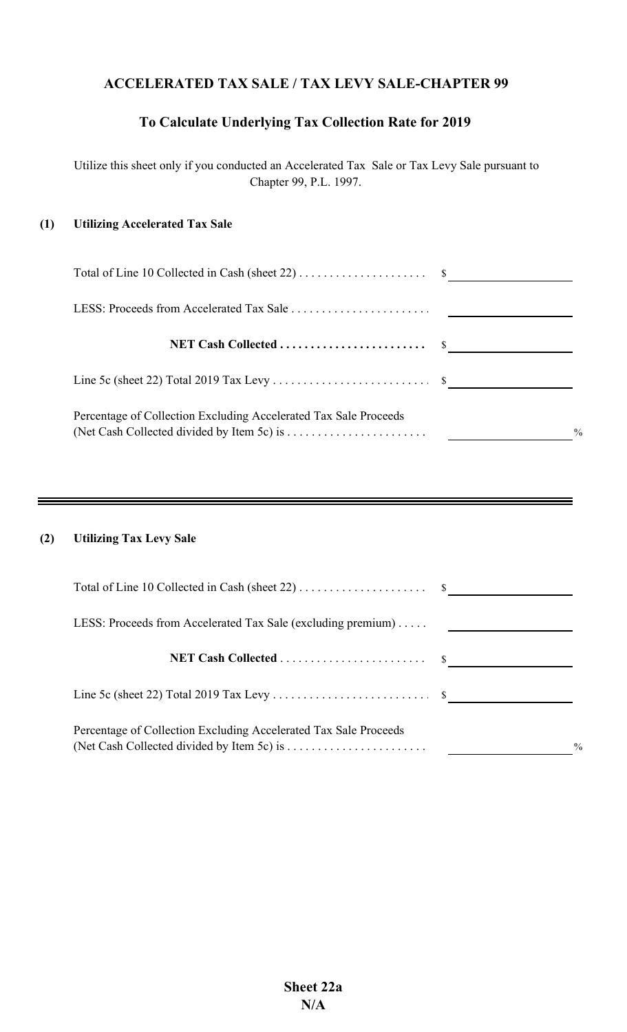## **ACCELERATED TAX SALE / TAX LEVY SALE-CHAPTER 99**

## **To Calculate Underlying Tax Collection Rate for 2019**

Utilize this sheet only if you conducted an Accelerated Tax Sale or Tax Levy Sale pursuant to Chapter 99, P.L. 1997.

#### **(1) Utilizing Accelerated Tax Sale**

| Percentage of Collection Excluding Accelerated Tax Sale Proceeds<br>(Net Cash Collected divided by Item 5c) is $\dots\dots\dots\dots\dots\dots\dots\dots$ | $^{0}/_{0}$ |
|-----------------------------------------------------------------------------------------------------------------------------------------------------------|-------------|

### **(2) Utilizing Tax Levy Sale**

| LESS: Proceeds from Accelerated Tax Sale (excluding premium) $\dots$ |               |
|----------------------------------------------------------------------|---------------|
|                                                                      |               |
|                                                                      |               |
| Percentage of Collection Excluding Accelerated Tax Sale Proceeds     | $\frac{0}{0}$ |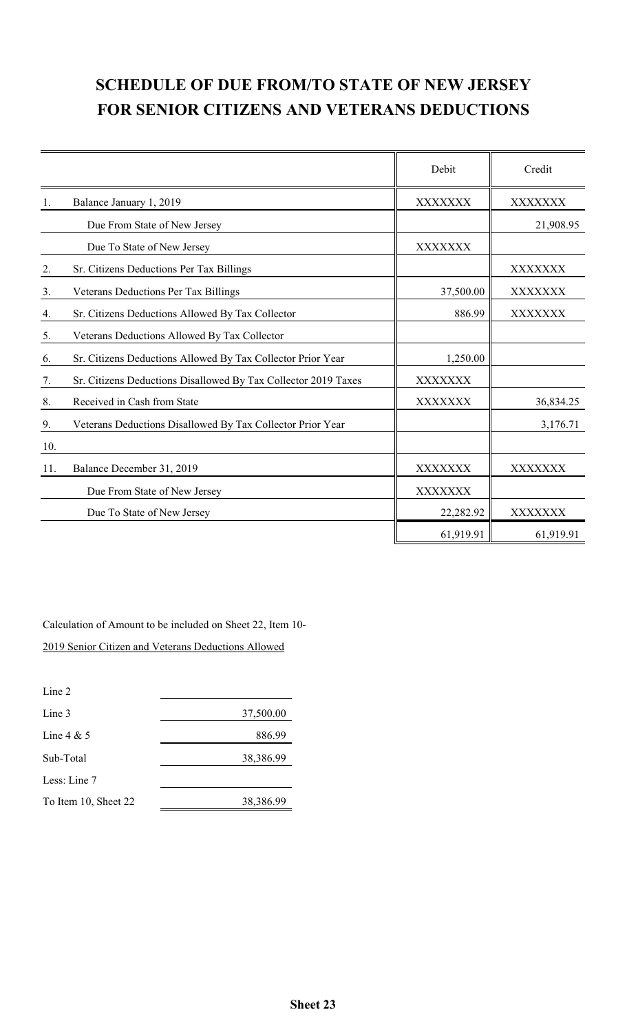# **SCHEDULE OF DUE FROM/TO STATE OF NEW JERSEY FOR SENIOR CITIZENS AND VETERANS DEDUCTIONS**

|     |                                                                | Debit     | Credit    |
|-----|----------------------------------------------------------------|-----------|-----------|
| 1.  | Balance January 1, 2019                                        | XXXXXXX   | XXXXXXX   |
|     | Due From State of New Jersey                                   |           | 21,908.95 |
|     | Due To State of New Jersey                                     | XXXXXXX   |           |
| 2.  | Sr. Citizens Deductions Per Tax Billings                       |           | XXXXXXX   |
| 3.  | Veterans Deductions Per Tax Billings                           | 37,500.00 | XXXXXXX   |
| 4.  | Sr. Citizens Deductions Allowed By Tax Collector               | 886.99    | XXXXXXX   |
| 5.  | Veterans Deductions Allowed By Tax Collector                   |           |           |
| 6.  | Sr. Citizens Deductions Allowed By Tax Collector Prior Year    | 1,250.00  |           |
| 7.  | Sr. Citizens Deductions Disallowed By Tax Collector 2019 Taxes | XXXXXXX   |           |
| 8.  | Received in Cash from State                                    | XXXXXXX   | 36,834.25 |
| 9.  | Veterans Deductions Disallowed By Tax Collector Prior Year     |           | 3,176.71  |
| 10. |                                                                |           |           |
| 11. | Balance December 31, 2019                                      | XXXXXXX   | XXXXXXX   |
|     | Due From State of New Jersey                                   | XXXXXXX   |           |
|     | Due To State of New Jersey                                     | 22,282.92 | XXXXXXX   |
|     |                                                                | 61,919.91 | 61,919.91 |

Calculation of Amount to be included on Sheet 22, Item 10-

2019 Senior Citizen and Veterans Deductions Allowed

| Line 2               |           |
|----------------------|-----------|
| Line 3               | 37,500.00 |
| Line $4 & 5$         | 886.99    |
| Sub-Total            | 38,386.99 |
| Less: Line 7         |           |
| To Item 10, Sheet 22 | 38,386.99 |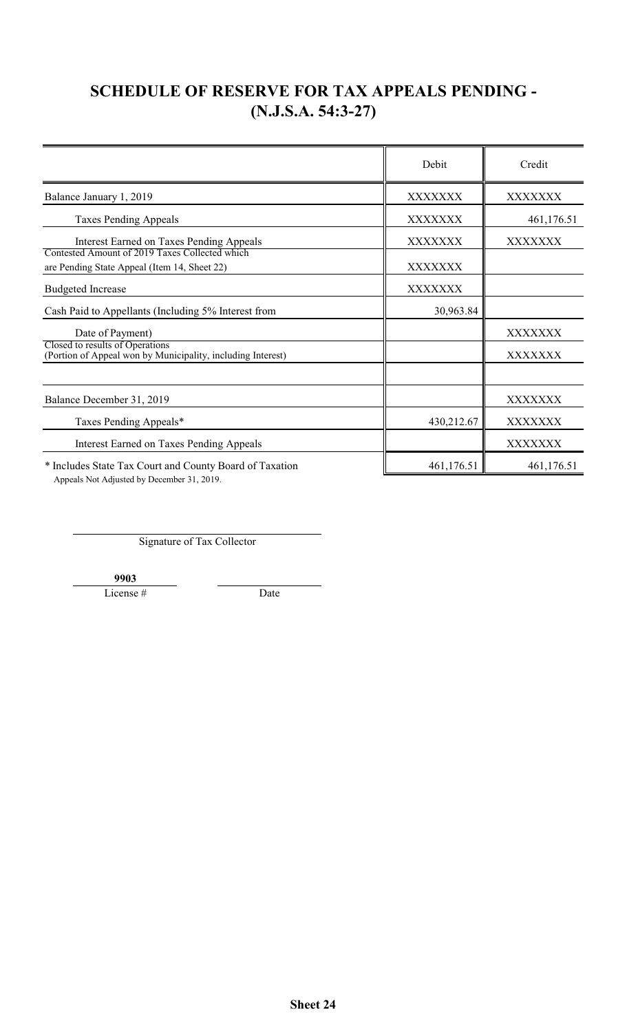# **SCHEDULE OF RESERVE FOR TAX APPEALS PENDING - (N.J.S.A. 54:3-27)**

|                                                                                                       | Debit      | Credit         |
|-------------------------------------------------------------------------------------------------------|------------|----------------|
| Balance January 1, 2019                                                                               | XXXXXXX    | XXXXXXX        |
| <b>Taxes Pending Appeals</b>                                                                          | XXXXXXX    | 461,176.51     |
| Interest Earned on Taxes Pending Appeals<br>Contested Amount of 2019 Taxes Collected which            | XXXXXXX    | XXXXXXX        |
| are Pending State Appeal (Item 14, Sheet 22)                                                          | XXXXXXX    |                |
| <b>Budgeted Increase</b>                                                                              | XXXXXXX    |                |
| Cash Paid to Appellants (Including 5% Interest from                                                   | 30,963.84  |                |
| Date of Payment)                                                                                      |            | XXXXXXX        |
| Closed to results of Operations<br>(Portion of Appeal won by Municipality, including Interest)        |            | XXXXXXX        |
|                                                                                                       |            |                |
| Balance December 31, 2019                                                                             |            | XXXXXXX        |
| Taxes Pending Appeals*                                                                                | 430,212.67 | XXXXXXX        |
| <b>Interest Earned on Taxes Pending Appeals</b>                                                       |            | <b>XXXXXXX</b> |
| * Includes State Tax Court and County Board of Taxation<br>Appeals Not Adjusted by December 31, 2019. | 461,176.51 | 461,176.51     |

Signature of Tax Collector

**9903**

License # Date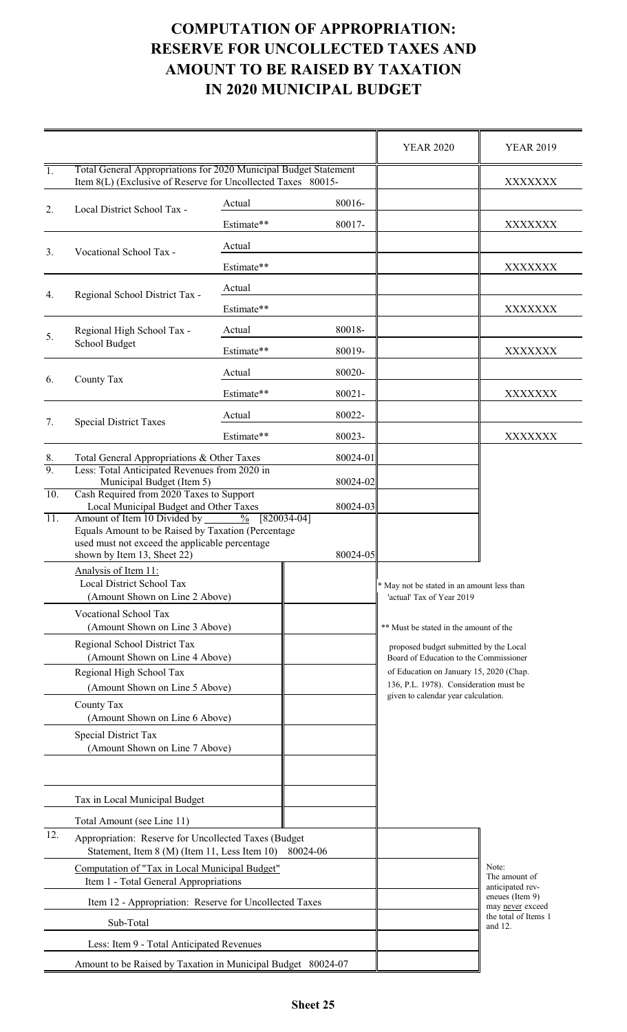# **AMOUNT TO BE RAISED BY TAXATION COMPUTATION OF APPROPRIATION: RESERVE FOR UNCOLLECTED TAXES AND IN 2020 MUNICIPAL BUDGET**

|                                           |                                                                                                                                                                                                                                                 |            |                                                                                   | <b>YEAR 2020</b>                                                                                                                                                                                                                                                                           | <b>YEAR 2019</b> |  |
|-------------------------------------------|-------------------------------------------------------------------------------------------------------------------------------------------------------------------------------------------------------------------------------------------------|------------|-----------------------------------------------------------------------------------|--------------------------------------------------------------------------------------------------------------------------------------------------------------------------------------------------------------------------------------------------------------------------------------------|------------------|--|
| $\overline{1}$ .                          | Total General Appropriations for 2020 Municipal Budget Statement<br>Item 8(L) (Exclusive of Reserve for Uncollected Taxes 80015-                                                                                                                |            |                                                                                   |                                                                                                                                                                                                                                                                                            | XXXXXXX          |  |
| 2.                                        |                                                                                                                                                                                                                                                 | Actual     | 80016-                                                                            |                                                                                                                                                                                                                                                                                            |                  |  |
|                                           | Local District School Tax -                                                                                                                                                                                                                     | Estimate** | 80017-                                                                            |                                                                                                                                                                                                                                                                                            | XXXXXXX          |  |
| 3.                                        |                                                                                                                                                                                                                                                 | Actual     |                                                                                   |                                                                                                                                                                                                                                                                                            |                  |  |
|                                           | Vocational School Tax -                                                                                                                                                                                                                         | Estimate** |                                                                                   |                                                                                                                                                                                                                                                                                            | XXXXXXX          |  |
| 4.                                        | Regional School District Tax -                                                                                                                                                                                                                  | Actual     |                                                                                   |                                                                                                                                                                                                                                                                                            |                  |  |
|                                           |                                                                                                                                                                                                                                                 | Estimate** |                                                                                   |                                                                                                                                                                                                                                                                                            | XXXXXXX          |  |
| 5.                                        | Regional High School Tax -                                                                                                                                                                                                                      | Actual     | 80018-                                                                            |                                                                                                                                                                                                                                                                                            |                  |  |
|                                           | School Budget                                                                                                                                                                                                                                   | Estimate** | 80019-                                                                            |                                                                                                                                                                                                                                                                                            | XXXXXXX          |  |
| 6.                                        | County Tax                                                                                                                                                                                                                                      | Actual     | 80020-                                                                            |                                                                                                                                                                                                                                                                                            |                  |  |
|                                           |                                                                                                                                                                                                                                                 | Estimate** | 80021-                                                                            |                                                                                                                                                                                                                                                                                            | XXXXXXX          |  |
| 7.                                        | <b>Special District Taxes</b>                                                                                                                                                                                                                   | Actual     | 80022-                                                                            |                                                                                                                                                                                                                                                                                            |                  |  |
|                                           |                                                                                                                                                                                                                                                 | Estimate** | 80023-                                                                            |                                                                                                                                                                                                                                                                                            | XXXXXXX          |  |
| 8.                                        | Total General Appropriations & Other Taxes                                                                                                                                                                                                      |            | 80024-01                                                                          |                                                                                                                                                                                                                                                                                            |                  |  |
| $\overline{9}$ .                          | Less: Total Anticipated Revenues from 2020 in<br>Municipal Budget (Item 5)<br>Cash Required from 2020 Taxes to Support                                                                                                                          |            | 80024-02                                                                          |                                                                                                                                                                                                                                                                                            |                  |  |
| 10.                                       |                                                                                                                                                                                                                                                 |            | 80024-03                                                                          |                                                                                                                                                                                                                                                                                            |                  |  |
| $\overline{11}$ .                         | Local Municipal Budget and Other Taxes<br>Amount of Item 10 Divided by<br>$\frac{0}{0}$<br>$[820034-04]$<br>Equals Amount to be Raised by Taxation (Percentage<br>used must not exceed the applicable percentage<br>shown by Item 13, Sheet 22) |            |                                                                                   | 80024-05                                                                                                                                                                                                                                                                                   |                  |  |
|                                           | Analysis of Item 11:<br>Local District School Tax<br>(Amount Shown on Line 2 Above)                                                                                                                                                             |            |                                                                                   | * May not be stated in an amount less than<br>'actual' Tax of Year 2019<br>** Must be stated in the amount of the<br>proposed budget submitted by the Local<br>Board of Education to the Commissioner<br>of Education on January 15, 2020 (Chap.<br>136, P.L. 1978). Consideration must be |                  |  |
|                                           | Vocational School Tax<br>(Amount Shown on Line 3 Above)                                                                                                                                                                                         |            |                                                                                   |                                                                                                                                                                                                                                                                                            |                  |  |
|                                           | Regional School District Tax<br>(Amount Shown on Line 4 Above)                                                                                                                                                                                  |            |                                                                                   |                                                                                                                                                                                                                                                                                            |                  |  |
|                                           | Regional High School Tax<br>(Amount Shown on Line 5 Above)<br>County Tax<br>(Amount Shown on Line 6 Above)                                                                                                                                      |            |                                                                                   |                                                                                                                                                                                                                                                                                            |                  |  |
|                                           |                                                                                                                                                                                                                                                 |            |                                                                                   | given to calendar year calculation.                                                                                                                                                                                                                                                        |                  |  |
|                                           | Special District Tax<br>(Amount Shown on Line 7 Above)                                                                                                                                                                                          |            |                                                                                   |                                                                                                                                                                                                                                                                                            |                  |  |
|                                           | Tax in Local Municipal Budget                                                                                                                                                                                                                   |            |                                                                                   |                                                                                                                                                                                                                                                                                            |                  |  |
|                                           | Total Amount (see Line 11)                                                                                                                                                                                                                      |            |                                                                                   |                                                                                                                                                                                                                                                                                            |                  |  |
|                                           | 12.<br>Appropriation: Reserve for Uncollected Taxes (Budget<br>Statement, Item 8 (M) (Item 11, Less Item 10)<br>80024-06                                                                                                                        |            |                                                                                   |                                                                                                                                                                                                                                                                                            |                  |  |
|                                           | Computation of "Tax in Local Municipal Budget"<br>Item 1 - Total General Appropriations                                                                                                                                                         |            | Note:<br>The amount of<br>anticipated rev-<br>eneues (Item 9)<br>may never exceed |                                                                                                                                                                                                                                                                                            |                  |  |
|                                           | Item 12 - Appropriation: Reserve for Uncollected Taxes                                                                                                                                                                                          |            |                                                                                   |                                                                                                                                                                                                                                                                                            |                  |  |
| Sub-Total                                 |                                                                                                                                                                                                                                                 |            |                                                                                   | the total of Items 1<br>and 12.                                                                                                                                                                                                                                                            |                  |  |
| Less: Item 9 - Total Anticipated Revenues |                                                                                                                                                                                                                                                 |            |                                                                                   |                                                                                                                                                                                                                                                                                            |                  |  |
|                                           | Amount to be Raised by Taxation in Municipal Budget 80024-07                                                                                                                                                                                    |            |                                                                                   |                                                                                                                                                                                                                                                                                            |                  |  |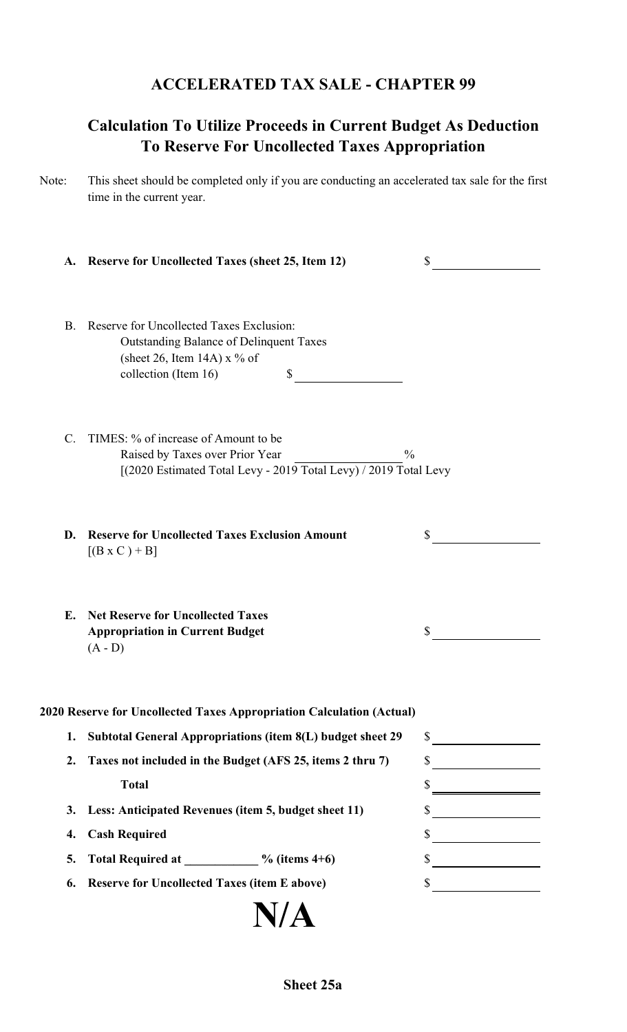## **ACCELERATED TAX SALE - CHAPTER 99**

# **Calculation To Utilize Proceeds in Current Budget As Deduction To Reserve For Uncollected Taxes Appropriation**

Note: This sheet should be completed only if you are conducting an accelerated tax sale for the first time in the current year.

|           | A. Reserve for Uncollected Taxes (sheet 25, Item 12)                                                                                                         | \$                          |
|-----------|--------------------------------------------------------------------------------------------------------------------------------------------------------------|-----------------------------|
| <b>B.</b> | Reserve for Uncollected Taxes Exclusion:<br><b>Outstanding Balance of Delinquent Taxes</b><br>(sheet 26, Item 14A) $x$ % of<br>collection (Item 16)<br>S     |                             |
| C.        | TIMES: % of increase of Amount to be<br>Raised by Taxes over Prior Year<br>$\frac{0}{0}$<br>[(2020 Estimated Total Levy - 2019 Total Levy) / 2019 Total Levy |                             |
| D.        | <b>Reserve for Uncollected Taxes Exclusion Amount</b><br>$[(B \times C) + B]$                                                                                | \$                          |
| E.        | <b>Net Reserve for Uncollected Taxes</b><br><b>Appropriation in Current Budget</b><br>$(A - D)$                                                              | S                           |
|           | 2020 Reserve for Uncollected Taxes Appropriation Calculation (Actual)                                                                                        |                             |
| 1.        | Subtotal General Appropriations (item 8(L) budget sheet 29                                                                                                   | $\frac{\text{S}}{\text{S}}$ |
| 2.        | Taxes not included in the Budget (AFS 25, items 2 thru 7)                                                                                                    | $\frac{\sqrt{2}}{2}$        |
|           | <b>Total</b>                                                                                                                                                 | $\frac{\text{S}}{\text{S}}$ |
| 3.        | Less: Anticipated Revenues (item 5, budget sheet 11)                                                                                                         | $\frac{\text{S}}{\text{S}}$ |
| 4.        | <b>Cash Required</b>                                                                                                                                         | $\frac{\sqrt{2}}{2}$        |
| 5.        | Total Required at ___________ % (items 4+6)                                                                                                                  | $\frac{\sqrt{2}}{2}$        |
| 6.        | <b>Reserve for Uncollected Taxes (item E above)</b>                                                                                                          | $\frac{\sqrt{2}}{2}$        |
|           | N/A                                                                                                                                                          |                             |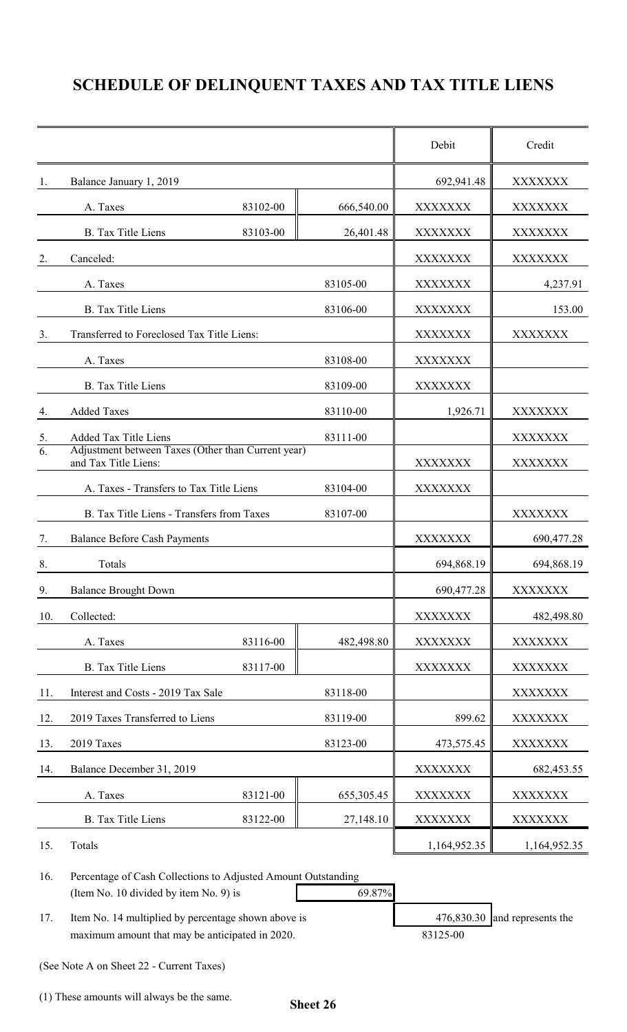# **SCHEDULE OF DELINQUENT TAXES AND TAX TITLE LIENS**

|                  |                                                                            |            | Debit          | Credit         |
|------------------|----------------------------------------------------------------------------|------------|----------------|----------------|
| 1.               | Balance January 1, 2019                                                    |            | 692,941.48     | XXXXXXX        |
|                  | A. Taxes<br>83102-00                                                       | 666,540.00 | <b>XXXXXXX</b> | XXXXXXX        |
|                  | <b>B.</b> Tax Title Liens<br>83103-00                                      | 26,401.48  | <b>XXXXXXX</b> | XXXXXXX        |
| 2.               | Canceled:                                                                  |            | <b>XXXXXXX</b> | XXXXXXX        |
|                  | A. Taxes                                                                   | 83105-00   | <b>XXXXXXX</b> | 4,237.91       |
|                  | <b>B.</b> Tax Title Liens                                                  | 83106-00   | <b>XXXXXXX</b> | 153.00         |
| 3.               | Transferred to Foreclosed Tax Title Liens:                                 |            | XXXXXXX        | XXXXXXX        |
|                  | A. Taxes                                                                   | 83108-00   | <b>XXXXXXX</b> |                |
|                  | <b>B.</b> Tax Title Liens                                                  | 83109-00   | <b>XXXXXXX</b> |                |
| 4.               | <b>Added Taxes</b>                                                         | 83110-00   | 1,926.71       | XXXXXXX        |
| 5.               | Added Tax Title Liens                                                      | 83111-00   |                | XXXXXXX        |
| $\overline{6}$ . | Adjustment between Taxes (Other than Current year)<br>and Tax Title Liens: |            | <b>XXXXXXX</b> | XXXXXXX        |
|                  | A. Taxes - Transfers to Tax Title Liens                                    | 83104-00   | <b>XXXXXXX</b> |                |
|                  | B. Tax Title Liens - Transfers from Taxes                                  | 83107-00   |                | XXXXXXX        |
| 7.               | <b>Balance Before Cash Payments</b>                                        |            | <b>XXXXXXX</b> | 690, 477.28    |
| 8.               | Totals                                                                     |            | 694,868.19     | 694,868.19     |
| 9.               | <b>Balance Brought Down</b>                                                |            | 690,477.28     | <b>XXXXXXX</b> |
| 10.              | Collected:                                                                 |            | <b>XXXXXXX</b> | 482,498.80     |
|                  | 83116-00<br>A. Taxes                                                       | 482,498.80 | <b>XXXXXXX</b> | <b>XXXXXXX</b> |
|                  | 83117-00<br><b>B.</b> Tax Title Liens                                      |            | <b>XXXXXXX</b> | <b>XXXXXXX</b> |
| 11.              | Interest and Costs - 2019 Tax Sale                                         | 83118-00   |                | XXXXXXX        |
| 12.              | 2019 Taxes Transferred to Liens                                            | 83119-00   | 899.62         | XXXXXXX        |
| 13.              | 2019 Taxes                                                                 | 83123-00   | 473,575.45     | XXXXXXX        |
| 14.              | Balance December 31, 2019                                                  |            | XXXXXXX        | 682,453.55     |
|                  | 83121-00<br>A. Taxes                                                       | 655,305.45 | XXXXXXX        | XXXXXXX        |
|                  | <b>B.</b> Tax Title Liens<br>83122-00                                      | 27,148.10  | <b>XXXXXXX</b> | XXXXXXX        |
| 15.              | Totals                                                                     |            | 1,164,952.35   | 1,164,952.35   |

16. Percentage of Cash Collections to Adjusted Amount Outstanding (Item No. 10 divided by item No. 9) is 69.87%

17. Item No. 14 multiplied by percentage shown above is 476,830.30 and represents the maximum amount that may be anticipated in 2020. 83125-00

(See Note A on Sheet 22 - Current Taxes)

(1) These amounts will always be the same.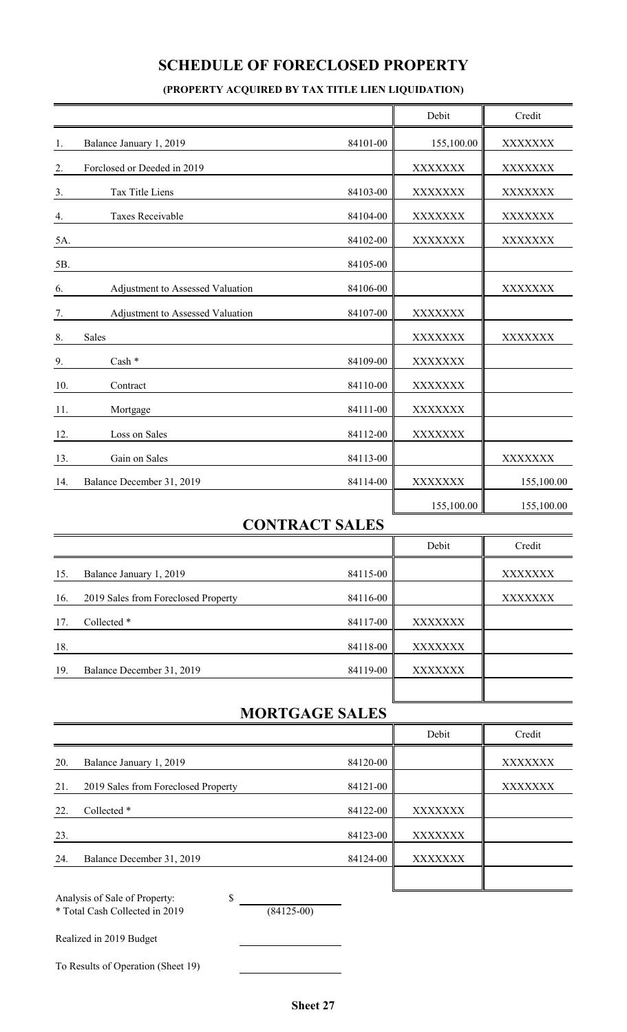## **SCHEDULE OF FORECLOSED PROPERTY**

#### **(PROPERTY ACQUIRED BY TAX TITLE LIEN LIQUIDATION)**

|                                                                                       |                                     |                       |  | Debit          | Credit     |
|---------------------------------------------------------------------------------------|-------------------------------------|-----------------------|--|----------------|------------|
| 1.                                                                                    | Balance January 1, 2019             | 84101-00              |  | 155,100.00     | XXXXXXX    |
| 2.                                                                                    | Forclosed or Deeded in 2019         |                       |  | XXXXXXX        | XXXXXXX    |
| 3.                                                                                    | Tax Title Liens                     | 84103-00              |  | XXXXXXX        | XXXXXXX    |
| 4.                                                                                    | <b>Taxes Receivable</b>             | 84104-00              |  | XXXXXXX        | XXXXXXX    |
| 5A.                                                                                   |                                     | 84102-00              |  | XXXXXXX        | XXXXXXX    |
| 5B.                                                                                   |                                     | 84105-00              |  |                |            |
| 6.                                                                                    | Adjustment to Assessed Valuation    | 84106-00              |  |                | XXXXXXX    |
| 7.                                                                                    | Adjustment to Assessed Valuation    | 84107-00              |  | XXXXXXX        |            |
| 8.                                                                                    | Sales                               |                       |  | XXXXXXX        | XXXXXXX    |
| 9.                                                                                    | Cash *                              | 84109-00              |  | XXXXXXX        |            |
| 10.                                                                                   | Contract                            | 84110-00              |  | XXXXXXX        |            |
| 11.                                                                                   | Mortgage                            | 84111-00              |  | XXXXXXX        |            |
| 12.                                                                                   | Loss on Sales                       | 84112-00              |  | XXXXXXX        |            |
| 13.                                                                                   | Gain on Sales                       | 84113-00              |  |                | XXXXXXX    |
| 14.                                                                                   | Balance December 31, 2019           | 84114-00              |  | <b>XXXXXXX</b> | 155,100.00 |
|                                                                                       |                                     |                       |  | 155,100.00     | 155,100.00 |
|                                                                                       |                                     | <b>CONTRACT SALES</b> |  |                |            |
|                                                                                       |                                     |                       |  | Debit          | Credit     |
| 15.                                                                                   | Balance January 1, 2019             | 84115-00              |  |                | XXXXXXX    |
| 16.                                                                                   | 2019 Sales from Foreclosed Property | 84116-00              |  |                | XXXXXXX    |
| 17.                                                                                   | Collected *                         | 84117-00              |  | XXXXXXX        |            |
| 18.                                                                                   |                                     | 84118-00              |  | <b>XXXXXXX</b> |            |
| 19.                                                                                   | Balance December 31, 2019           | 84119-00              |  | XXXXXXX        |            |
|                                                                                       |                                     |                       |  |                |            |
|                                                                                       |                                     | <b>MORTGAGE SALES</b> |  |                |            |
|                                                                                       |                                     |                       |  | Debit          | Credit     |
| 20.                                                                                   | Balance January 1, 2019             | 84120-00              |  |                | XXXXXXX    |
| 21.                                                                                   | 2019 Sales from Foreclosed Property | 84121-00              |  |                | XXXXXXX    |
| 22.                                                                                   | Collected *                         | 84122-00              |  | XXXXXXX        |            |
| 23.                                                                                   |                                     | 84123-00              |  | <b>XXXXXXX</b> |            |
| 24.                                                                                   | Balance December 31, 2019           | 84124-00              |  | XXXXXXX        |            |
| Analysis of Sale of Property:<br>\$<br>* Total Cash Collected in 2019<br>$(84125-00)$ |                                     |                       |  |                |            |
|                                                                                       | Realized in 2019 Budget             |                       |  |                |            |
|                                                                                       | To Results of Operation (Sheet 19)  |                       |  |                |            |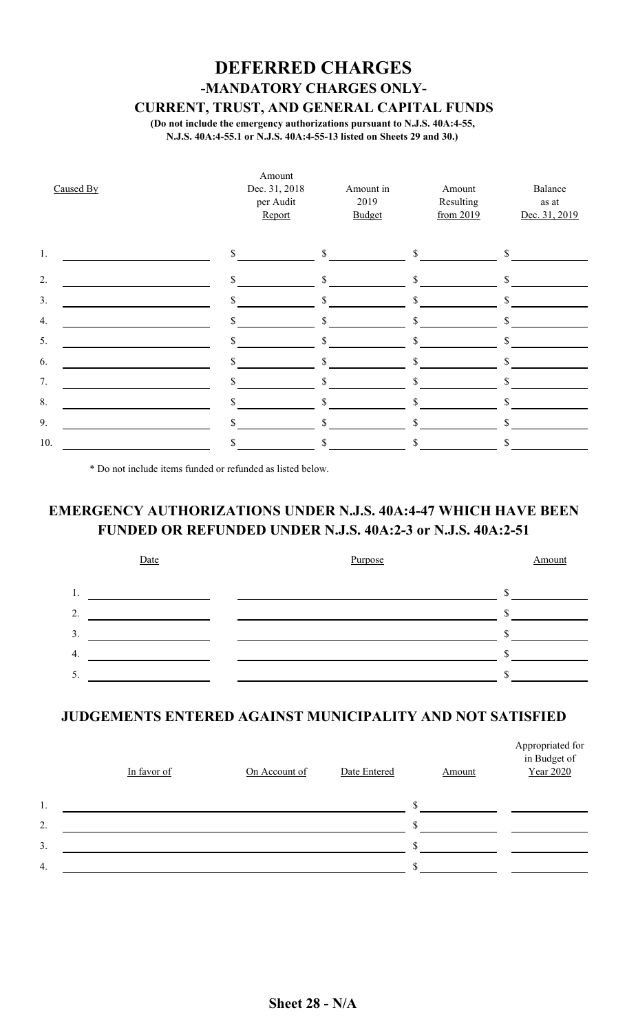# **DEFERRED CHARGES -MANDATORY CHARGES ONLY-**

**CURRENT, TRUST, AND GENERAL CAPITAL FUNDS**

**(Do not include the emergency authorizations pursuant to N.J.S. 40A:4-55, N.J.S. 40A:4-55.1 or N.J.S. 40A:4-55-13 listed on Sheets 29 and 30.)**

| Caused By | Amount<br>Dec. 31, 2018<br>per Audit<br>Report | Amount in<br>2019<br>Budget | Amount<br>Resulting<br>from 2019 | Balance<br>$\!$ as $\!$<br>Dec. 31, 2019 |
|-----------|------------------------------------------------|-----------------------------|----------------------------------|------------------------------------------|
| 1.        | $\mathcal{S}$                                  | \$                          | \$                               | \$                                       |
| 2.        | \$                                             | \$                          | \$                               | \$                                       |
| 3.        | \$                                             | \$                          | \$                               | \$                                       |
| 4.        | \$                                             | \$                          | \$                               | \$                                       |
| 5.        | \$                                             | $\mathbb{S}$                | \$                               | \$                                       |
| 6.        |                                                |                             | \$                               | \$                                       |
| 7.        | \$                                             | S                           |                                  | \$                                       |
| 8.        | \$                                             | \$                          | \$                               | \$                                       |
| 9.        | \$                                             | \$                          | \$                               | \$                                       |
| 10.       | \$                                             | \$                          | \$                               | \$                                       |

\* Do not include items funded or refunded as listed below.

## **EMERGENCY AUTHORIZATIONS UNDER N.J.S. 40A:4-47 WHICH HAVE BEEN FUNDED OR REFUNDED UNDER N.J.S. 40A:2-3 or N.J.S. 40A:2-51**



### **JUDGEMENTS ENTERED AGAINST MUNICIPALITY AND NOT SATISFIED**

|    | In favor of | On Account of | Date Entered | <b>Amount</b> | Appropriated for<br>in Budget of<br>Year 2020 |
|----|-------------|---------------|--------------|---------------|-----------------------------------------------|
| 1. |             |               |              |               |                                               |
| 2. |             |               |              |               |                                               |
| 3. |             |               |              |               |                                               |
| 4. |             |               |              |               |                                               |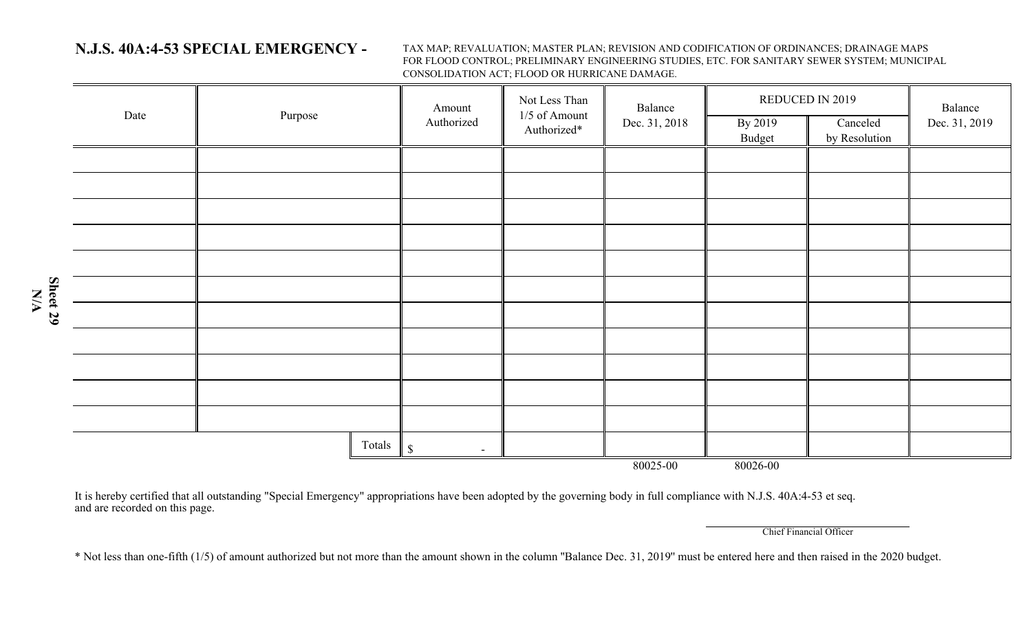## **N.J.S. 40A:4-53 SPECIAL EMERGENCY -**

**N/A**

TAX MAP; REVALUATION; MASTER PLAN; REVISION AND CODIFICATION OF ORDINANCES; DRAINAGE MAPS FOR FLOOD CONTROL; PRELIMINARY ENGINEERING STUDIES, ETC. FOR SANITARY SEWER SYSTEM; MUNICIPAL CONSOLIDATION ACT; FLOOD OR HURRICANE DAMAGE.

|          | Date | Purpose |              | Amount<br>Authorized     | Not Less Than<br>1/5 of Amount<br>Authorized* | Balance<br>Dec. 31, 2018 | By 2019<br>Budget | REDUCED IN 2019<br>Canceled<br>by Resolution | Balance<br>Dec. 31, 2019 |
|----------|------|---------|--------------|--------------------------|-----------------------------------------------|--------------------------|-------------------|----------------------------------------------|--------------------------|
|          |      |         |              |                          |                                               |                          |                   |                                              |                          |
|          |      |         |              |                          |                                               |                          |                   |                                              |                          |
|          |      |         |              |                          |                                               |                          |                   |                                              |                          |
|          |      |         |              |                          |                                               |                          |                   |                                              |                          |
|          |      |         |              |                          |                                               |                          |                   |                                              |                          |
| Sheet 29 |      |         |              |                          |                                               |                          |                   |                                              |                          |
|          |      |         |              |                          |                                               |                          |                   |                                              |                          |
|          |      |         |              |                          |                                               |                          |                   |                                              |                          |
|          |      |         |              |                          |                                               |                          |                   |                                              |                          |
|          |      |         |              |                          |                                               |                          |                   |                                              |                          |
|          |      |         |              |                          |                                               |                          |                   |                                              |                          |
|          |      |         | Totals $\ \$ | $\overline{\phantom{a}}$ |                                               |                          |                   |                                              |                          |
|          |      |         |              |                          |                                               | 80025-00                 | 80026-00          |                                              |                          |

It is hereby certified that all outstanding "Special Emergency" appropriations have been adopted by the governing body in full compliance with N.J.S. 40A:4-53 et seq. and are recorded on this page.

Chief Financial Officer

\* Not less than one-fifth (1/5) of amount authorized but not more than the amount shown in the column ''Balance Dec. 31, 2019'' must be entered here and then raised in the 2020 budget.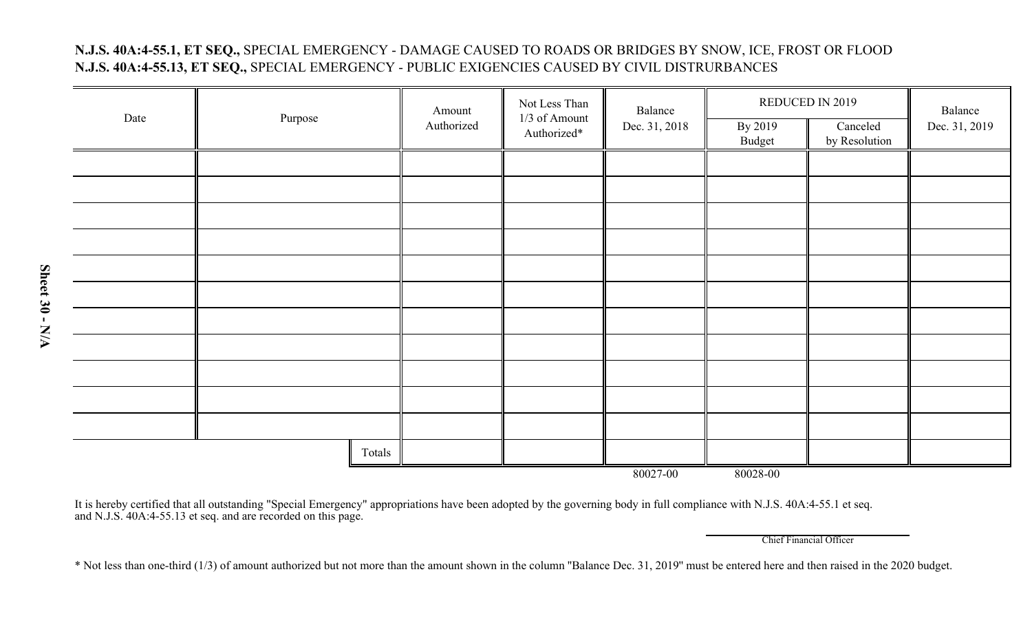### **N.J.S. 40A:4-55.1, ET SEQ.,** SPECIAL EMERGENCY - DAMAGE CAUSED TO ROADS OR BRIDGES BY SNOW, ICE, FROST OR FLOOD **N.J.S. 40A:4-55.13, ET SEQ.,** SPECIAL EMERGENCY - PUBLIC EXIGENCIES CAUSED BY CIVIL DISTRURBANCES

| Date |                      | Amount     | Not Less Than<br>1/3 of Amount | Balance       | REDUCED IN 2019   | Balance                   |               |  |
|------|----------------------|------------|--------------------------------|---------------|-------------------|---------------------------|---------------|--|
|      | Purpose              | Authorized | Authorized*                    | Dec. 31, 2018 | By 2019<br>Budget | Canceled<br>by Resolution | Dec. 31, 2019 |  |
|      |                      |            |                                |               |                   |                           |               |  |
|      |                      |            |                                |               |                   |                           |               |  |
|      |                      |            |                                |               |                   |                           |               |  |
|      |                      |            |                                |               |                   |                           |               |  |
|      |                      |            |                                |               |                   |                           |               |  |
|      |                      |            |                                |               |                   |                           |               |  |
|      |                      |            |                                |               |                   |                           |               |  |
|      |                      |            |                                |               |                   |                           |               |  |
|      |                      |            |                                |               |                   |                           |               |  |
|      |                      |            |                                |               |                   |                           |               |  |
|      |                      |            |                                |               |                   |                           |               |  |
|      | Totals               |            |                                |               |                   |                           |               |  |
|      | 80027-00<br>80028-00 |            |                                |               |                   |                           |               |  |

It is hereby certified that all outstanding "Special Emergency" appropriations have been adopted by the governing body in full compliance with N.J.S. 40A:4-55.1 et seq. an d N.J.S. 40A:4-55.13 et seq. an d are recor ded on this page.

Chief Financial Officer

\* Not less than one-third (1/3) of amount authorized but not more than the amount shown in the column ''Balance Dec. 31, 2019'' must be entered here and then raised in the 2020 budget.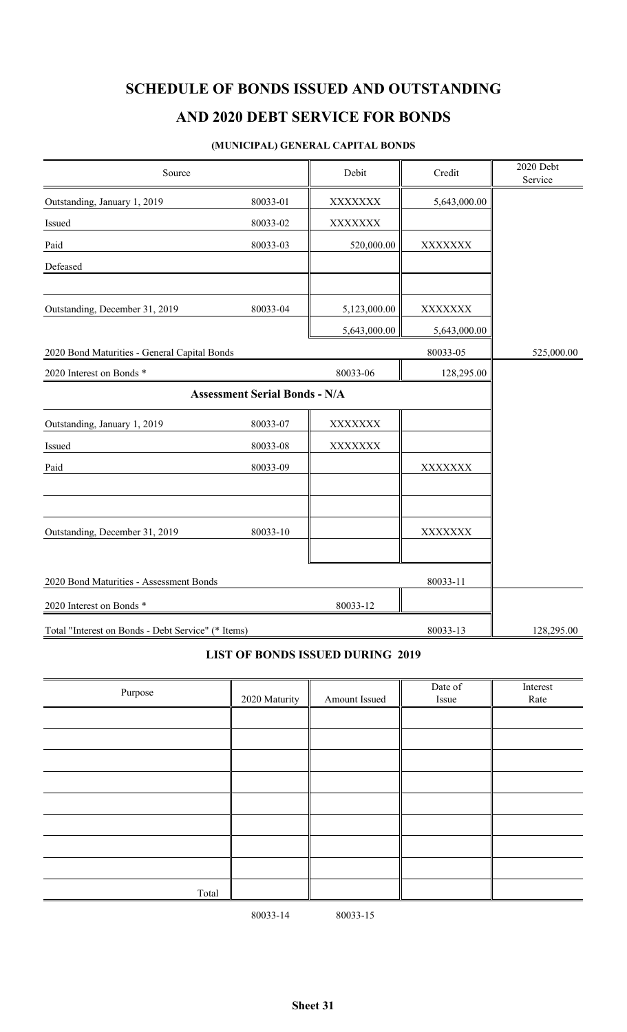## **AND 2020 DEBT SERVICE FOR BONDS**

#### **(MUNICIPAL) GENERAL CAPITAL BONDS**

| Source                                             |                                      | Debit          | Credit         | 2020 Debt<br>Service |
|----------------------------------------------------|--------------------------------------|----------------|----------------|----------------------|
| Outstanding, January 1, 2019                       | 80033-01                             | <b>XXXXXXX</b> | 5,643,000.00   |                      |
| Issued                                             | 80033-02                             | <b>XXXXXXX</b> |                |                      |
| Paid                                               | 80033-03                             | 520,000.00     | <b>XXXXXXX</b> |                      |
| Defeased                                           |                                      |                |                |                      |
| Outstanding, December 31, 2019                     | 80033-04                             | 5,123,000.00   | XXXXXXX        |                      |
|                                                    |                                      | 5,643,000.00   | 5,643,000.00   |                      |
| 2020 Bond Maturities - General Capital Bonds       |                                      |                | 80033-05       | 525,000.00           |
| 2020 Interest on Bonds *                           |                                      | 80033-06       | 128,295.00     |                      |
|                                                    | <b>Assessment Serial Bonds - N/A</b> |                |                |                      |
| Outstanding, January 1, 2019                       | 80033-07                             | XXXXXXX        |                |                      |
| Issued                                             | 80033-08                             | <b>XXXXXXX</b> |                |                      |
| Paid                                               | 80033-09                             |                | XXXXXXX        |                      |
|                                                    |                                      |                |                |                      |
| Outstanding, December 31, 2019                     | 80033-10                             |                | XXXXXXX        |                      |
|                                                    |                                      |                |                |                      |
| 2020 Bond Maturities - Assessment Bonds            |                                      |                | 80033-11       |                      |
| 2020 Interest on Bonds *                           |                                      | 80033-12       |                |                      |
| Total "Interest on Bonds - Debt Service" (* Items) |                                      |                | 80033-13       | 128,295.00           |

### **LIST OF BONDS ISSUED DURING 2019**

|         |               |               | Date of | Interest |
|---------|---------------|---------------|---------|----------|
| Purpose | 2020 Maturity | Amount Issued | Issue   | Rate     |
|         |               |               |         |          |
|         |               |               |         |          |
|         |               |               |         |          |
|         |               |               |         |          |
|         |               |               |         |          |
|         |               |               |         |          |
|         |               |               |         |          |
|         |               |               |         |          |
| Total   |               |               |         |          |

80033-14 80033-15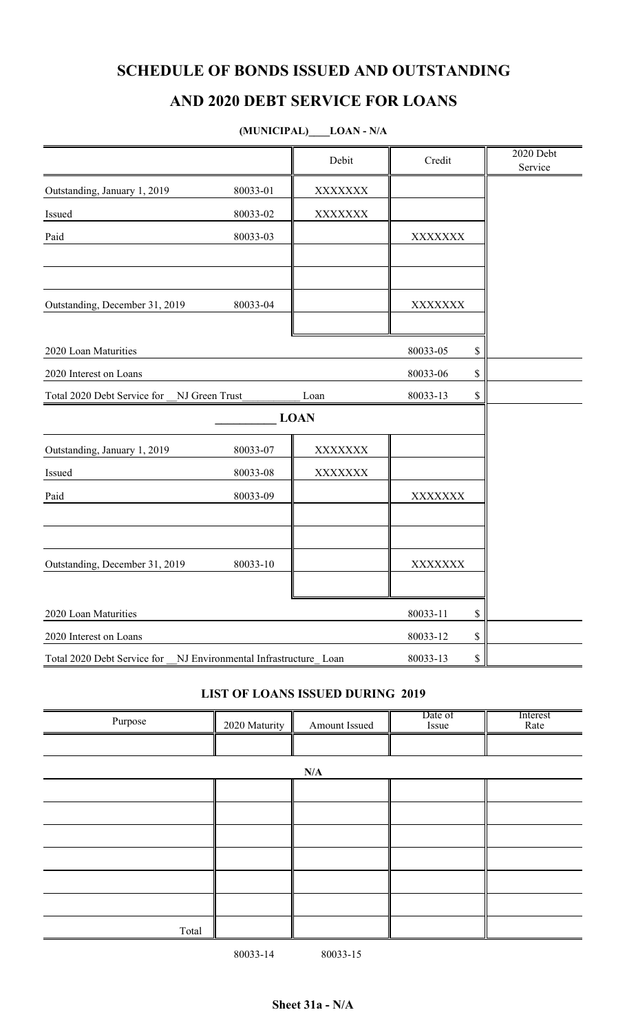## **AND 2020 DEBT SERVICE FOR LOANS**

## **(MUNICIPAL)\_\_\_\_LOAN - N/A**

|                                               |                                      | Debit          | Credit         | 2020 Debt<br>Service |
|-----------------------------------------------|--------------------------------------|----------------|----------------|----------------------|
| Outstanding, January 1, 2019                  | 80033-01                             | <b>XXXXXXX</b> |                |                      |
| Issued                                        | 80033-02                             | <b>XXXXXXX</b> |                |                      |
| Paid                                          | 80033-03                             |                | <b>XXXXXXX</b> |                      |
|                                               |                                      |                |                |                      |
| Outstanding, December 31, 2019                | 80033-04                             |                | <b>XXXXXXX</b> |                      |
| 2020 Loan Maturities                          |                                      |                | 80033-05       | \$                   |
| 2020 Interest on Loans                        |                                      |                | 80033-06       | \$                   |
| NJ Green Trust<br>Total 2020 Debt Service for |                                      | Loan           | 80033-13       | \$                   |
|                                               |                                      | <b>LOAN</b>    |                |                      |
| Outstanding, January 1, 2019                  | 80033-07                             | XXXXXXX        |                |                      |
| Issued                                        | 80033-08                             | XXXXXXX        |                |                      |
| Paid                                          | 80033-09                             |                | <b>XXXXXXX</b> |                      |
|                                               |                                      |                |                |                      |
| Outstanding, December 31, 2019                | 80033-10                             |                | <b>XXXXXXX</b> |                      |
| 2020 Loan Maturities                          |                                      |                | 80033-11       | \$                   |
| 2020 Interest on Loans                        |                                      |                | 80033-12       | \$                   |
| Total 2020 Debt Service for                   | NJ Environmental Infrastructure Loan |                | 80033-13       | \$                   |

### **LIST OF LOANS ISSUED DURING 2019**

| Purpose | 2020 Maturity | Amount Issued | Date of<br>Issue | Interest<br>Rate |
|---------|---------------|---------------|------------------|------------------|
|         |               |               |                  |                  |
|         |               | N/A           |                  |                  |
|         |               |               |                  |                  |
|         |               |               |                  |                  |
|         |               |               |                  |                  |
|         |               |               |                  |                  |
|         |               |               |                  |                  |
|         |               |               |                  |                  |
| Total   |               |               |                  |                  |

80033-14 80033-15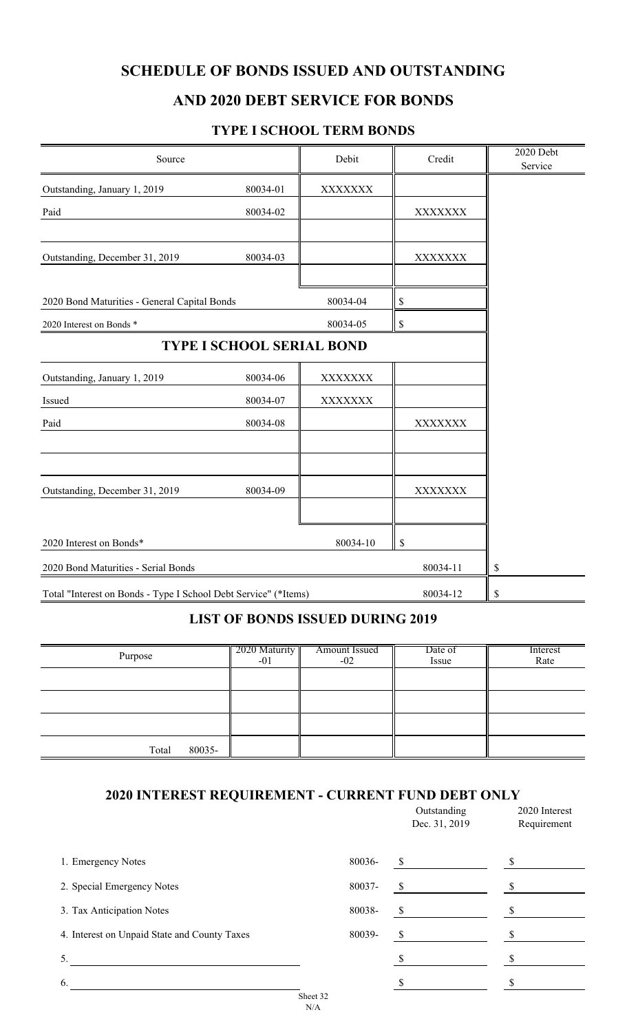## **AND 2020 DEBT SERVICE FOR BONDS**

### **TYPE I SCHOOL TERM BONDS**

| Source                                                          |                                  | Debit    | Credit         | 2020 Debt<br>Service |
|-----------------------------------------------------------------|----------------------------------|----------|----------------|----------------------|
| Outstanding, January 1, 2019                                    | 80034-01                         | XXXXXXX  |                |                      |
| Paid                                                            | 80034-02                         |          | <b>XXXXXXX</b> |                      |
| Outstanding, December 31, 2019                                  | 80034-03                         |          | <b>XXXXXXX</b> |                      |
| 2020 Bond Maturities - General Capital Bonds                    |                                  | 80034-04 | \$             |                      |
| 2020 Interest on Bonds *                                        |                                  | 80034-05 | \$             |                      |
|                                                                 | <b>TYPE I SCHOOL SERIAL BOND</b> |          |                |                      |
| Outstanding, January 1, 2019                                    | 80034-06                         | XXXXXXX  |                |                      |
| Issued                                                          | 80034-07                         | XXXXXXX  |                |                      |
| Paid                                                            | 80034-08                         |          | <b>XXXXXXX</b> |                      |
|                                                                 |                                  |          |                |                      |
| Outstanding, December 31, 2019                                  | 80034-09                         |          | <b>XXXXXXX</b> |                      |
| 2020 Interest on Bonds*                                         |                                  | 80034-10 | \$             |                      |
| 2020 Bond Maturities - Serial Bonds                             |                                  |          | 80034-11       | \$                   |
| Total "Interest on Bonds - Type I School Debt Service" (*Items) |                                  |          | 80034-12       | \$                   |

### **LIST OF BONDS ISSUED DURING 2019**

| Purpose         | $2020$ Maturity<br>$-01$ | <b>Amount Issued</b><br>$-02$ | Date of<br>Issue | Interest<br>Rate |
|-----------------|--------------------------|-------------------------------|------------------|------------------|
|                 |                          |                               |                  |                  |
|                 |                          |                               |                  |                  |
|                 |                          |                               |                  |                  |
| 80035-<br>Total |                          |                               |                  |                  |

#### **2020 INTEREST REQUIREMENT - CURRENT FUND DEBT ONLY**

|                                              |                 |        | Outstanding<br>Dec. 31, 2019 | 2020 Interest<br>Requirement |
|----------------------------------------------|-----------------|--------|------------------------------|------------------------------|
| 1. Emergency Notes                           |                 | 80036- | $\mathbb{S}$                 |                              |
| 2. Special Emergency Notes                   |                 | 80037- | \$                           |                              |
| 3. Tax Anticipation Notes                    |                 | 80038- | S                            |                              |
| 4. Interest on Unpaid State and County Taxes |                 | 80039- | \$                           |                              |
| 5.                                           |                 |        |                              |                              |
| 6.                                           |                 |        |                              |                              |
|                                              | Sheet 32<br>N/A |        |                              |                              |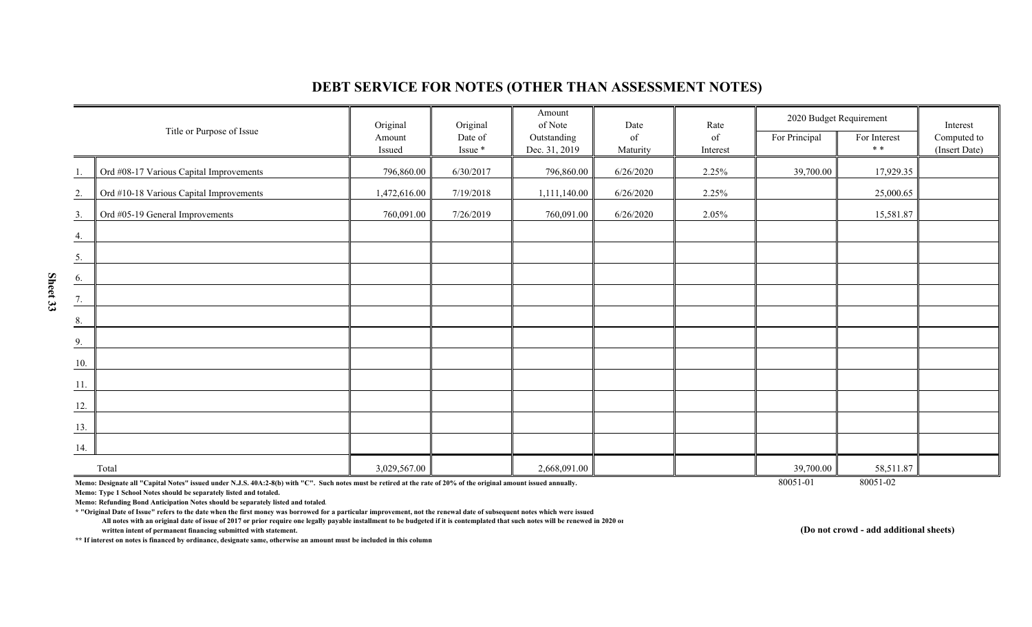|     |                                         | Original         | Original           | Amount<br>of Note            | Date           | Rate           | 2020 Budget Requirement |                     | Interest                     |
|-----|-----------------------------------------|------------------|--------------------|------------------------------|----------------|----------------|-------------------------|---------------------|------------------------------|
|     | Title or Purpose of Issue               | Amount<br>Issued | Date of<br>Issue * | Outstanding<br>Dec. 31, 2019 | of<br>Maturity | of<br>Interest | For Principal           | For Interest<br>* * | Computed to<br>(Insert Date) |
| 1.  | Ord #08-17 Various Capital Improvements | 796,860.00       | 6/30/2017          | 796,860.00                   | 6/26/2020      | 2.25%          | 39,700.00               | 17,929.35           |                              |
| 2.  | Ord #10-18 Various Capital Improvements | 1,472,616.00     | 7/19/2018          | 1,111,140.00                 | 6/26/2020      | 2.25%          |                         | 25,000.65           |                              |
| 3.  | Ord #05-19 General Improvements         | 760,091.00       | 7/26/2019          | 760,091.00                   | 6/26/2020      | 2.05%          |                         | 15,581.87           |                              |
| 4.  |                                         |                  |                    |                              |                |                |                         |                     |                              |
| 5.  |                                         |                  |                    |                              |                |                |                         |                     |                              |
| 6.  |                                         |                  |                    |                              |                |                |                         |                     |                              |
| 7.  |                                         |                  |                    |                              |                |                |                         |                     |                              |
| 8.  |                                         |                  |                    |                              |                |                |                         |                     |                              |
| 9.  |                                         |                  |                    |                              |                |                |                         |                     |                              |
| 10. |                                         |                  |                    |                              |                |                |                         |                     |                              |
| 11. |                                         |                  |                    |                              |                |                |                         |                     |                              |
| 12. |                                         |                  |                    |                              |                |                |                         |                     |                              |
| 13. |                                         |                  |                    |                              |                |                |                         |                     |                              |
| 14. |                                         |                  |                    |                              |                |                |                         |                     |                              |
|     | Total                                   | 3,029,567.00     |                    | 2,668,091.00                 |                |                | 39,700.00               | 58,511.87           |                              |

### **DEBT SERVICE FOR NOTES (OTHER THAN ASSESSMENT NOTES)**

Memo: Designate all "Capital Notes" issued under N.J.S. 40A:2-8(b) with "C". Such notes must be retired at the rate of 20% of the original amount issued annually. 80051-02 80051-01 80051-02

**Memo: Type 1 School Notes should be separately listed and totaled.**

**Memo: Refunding Bond Anticipation Notes should be separately listed and totaled.**

**\* "Original Date of Issue" refers to the date when the first money was borrowed for a particular improvement, not the renewal date of subsequent notes which were issued**

 **All notes with an original date of issue of 2017 or prior require one legally payable installment to be budgeted if it is contemplated that such notes will be renewed in 2020 or written intent of permanent financing submitted with statement.**

**\*\* If interest on notes is financed by ordinance, designate same, otherwise an amount must be included in this column**

**(Do not crowd - add additional sheets)**

**Sheet 33**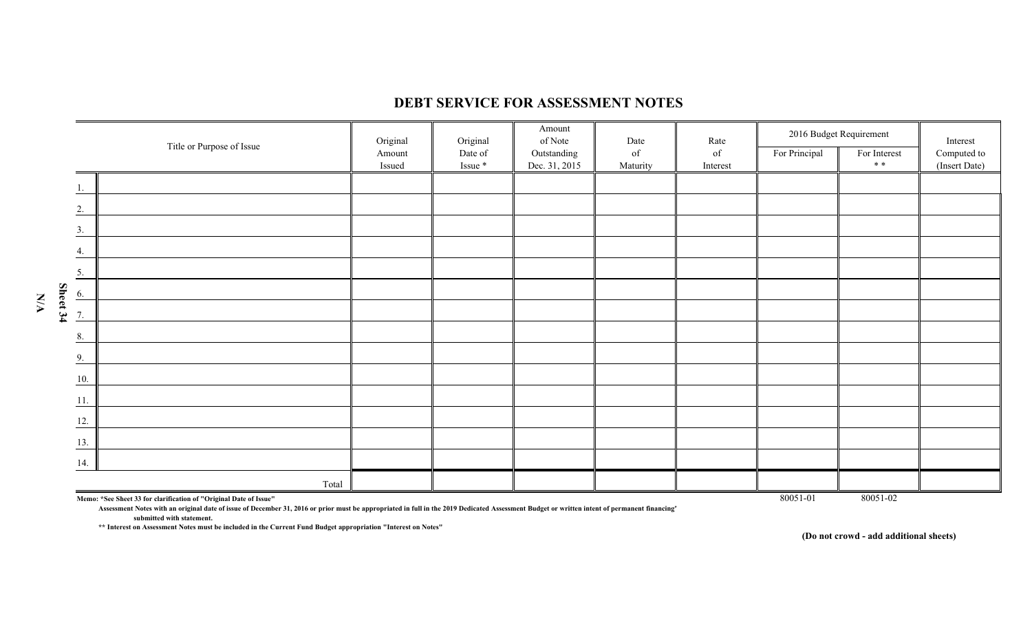

#### **DEBT SERVICE FOR ASSESSMENT NOTES**

**Assessment Notes with an original date of issue of December 31, 2016 or prior must be appropriated in full in the 2019 Dedicated Assessment Budget or written intent of permanent financing" submitted with statement.**

**\*\* Interest on Assessment Notes must be included in the Current Fund Budget appropriation "Interest on Notes"**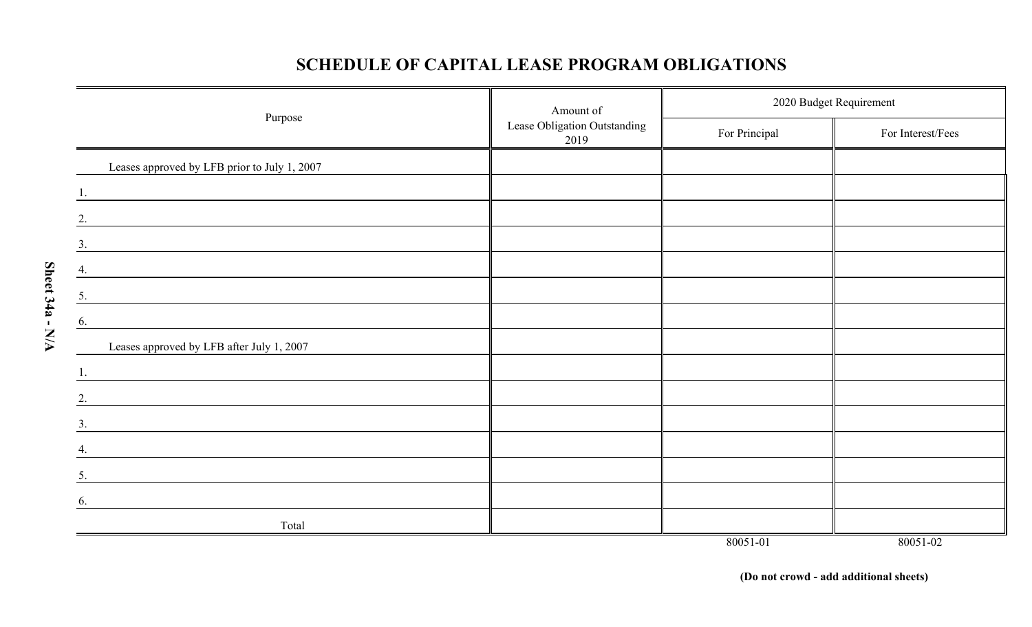## **SCHEDULE OF CAPITAL LEASE PROGRAM OBLIGATIONS**

| Amount of                                                                                                                   |                                      |               | 2020 Budget Requirement |
|-----------------------------------------------------------------------------------------------------------------------------|--------------------------------------|---------------|-------------------------|
| Purpose                                                                                                                     | Lease Obligation Outstanding<br>2019 | For Principal | For Interest/Fees       |
| Leases approved by LFB prior to July 1, 2007                                                                                |                                      |               |                         |
| 1.                                                                                                                          |                                      |               |                         |
| 2.<br><u> 1980 - Jan Samuel Barbara, margaret e populazion del control del control del control del control de la provi</u>  |                                      |               |                         |
| 3.                                                                                                                          |                                      |               |                         |
| 4.                                                                                                                          |                                      |               |                         |
| 5.                                                                                                                          |                                      |               |                         |
| 6.                                                                                                                          |                                      |               |                         |
| Leases approved by LFB after July 1, 2007                                                                                   |                                      |               |                         |
| 1.                                                                                                                          |                                      |               |                         |
| 2.<br><u> 1980 - John Stein, Amerikaansk politiker († 1901)</u>                                                             |                                      |               |                         |
| 3.                                                                                                                          |                                      |               |                         |
| 4.                                                                                                                          |                                      |               |                         |
| 5.                                                                                                                          |                                      |               |                         |
| 6.<br><u> 1989 - Johann John Stein, markin sanadi a shekara 1989 - An tsa a shekara 1989 - An tsa a shekara 1989 - An t</u> |                                      |               |                         |
| Total                                                                                                                       |                                      |               |                         |
|                                                                                                                             |                                      | 80051-01      | 80051-02                |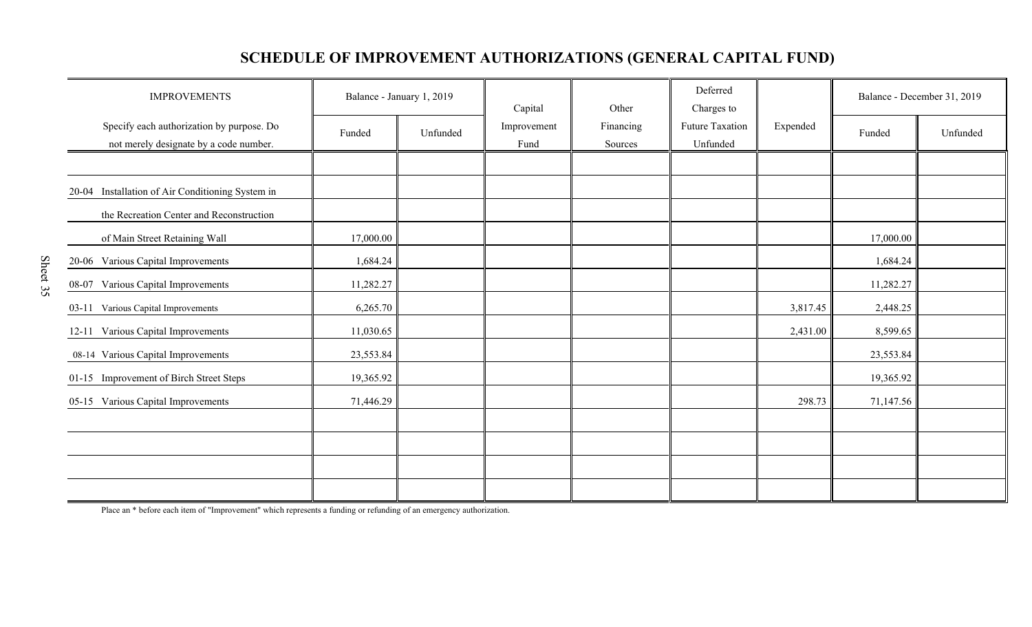# **SCHEDULE OF IMPROVEMENT AUTHORIZATIONS (GENERAL CAPITAL FUND)**

| <b>IMPROVEMENTS</b>                                                                 | Balance - January 1, 2019 |          | Capital<br>Other    |                      | Deferred<br>Charges to      |          | Balance - December 31, 2019 |          |
|-------------------------------------------------------------------------------------|---------------------------|----------|---------------------|----------------------|-----------------------------|----------|-----------------------------|----------|
| Specify each authorization by purpose. Do<br>not merely designate by a code number. | Funded                    | Unfunded | Improvement<br>Fund | Financing<br>Sources | Future Taxation<br>Unfunded | Expended | Funded                      | Unfunded |
|                                                                                     |                           |          |                     |                      |                             |          |                             |          |
| 20-04 Installation of Air Conditioning System in                                    |                           |          |                     |                      |                             |          |                             |          |
| the Recreation Center and Reconstruction                                            |                           |          |                     |                      |                             |          |                             |          |
| of Main Street Retaining Wall                                                       | 17,000.00                 |          |                     |                      |                             |          | 17,000.00                   |          |
| 20-06 Various Capital Improvements                                                  | 1,684.24                  |          |                     |                      |                             |          | 1,684.24                    |          |
| Various Capital Improvements<br>08-07                                               | 11,282.27                 |          |                     |                      |                             |          | 11,282.27                   |          |
| Various Capital Improvements<br>$03-11$                                             | 6,265.70                  |          |                     |                      |                             | 3,817.45 | 2,448.25                    |          |
| 12-11 Various Capital Improvements                                                  | 11,030.65                 |          |                     |                      |                             | 2,431.00 | 8,599.65                    |          |
| 08-14 Various Capital Improvements                                                  | 23,553.84                 |          |                     |                      |                             |          | 23,553.84                   |          |
| 01-15 Improvement of Birch Street Steps                                             | 19,365.92                 |          |                     |                      |                             |          | 19,365.92                   |          |
| 05-15 Various Capital Improvements                                                  | 71,446.29                 |          |                     |                      |                             | 298.73   | 71,147.56                   |          |
|                                                                                     |                           |          |                     |                      |                             |          |                             |          |
|                                                                                     |                           |          |                     |                      |                             |          |                             |          |
|                                                                                     |                           |          |                     |                      |                             |          |                             |          |
|                                                                                     |                           |          |                     |                      |                             |          |                             |          |

Place an \* before each item of "Improvement" which represents a funding or refunding of an emergency authorization.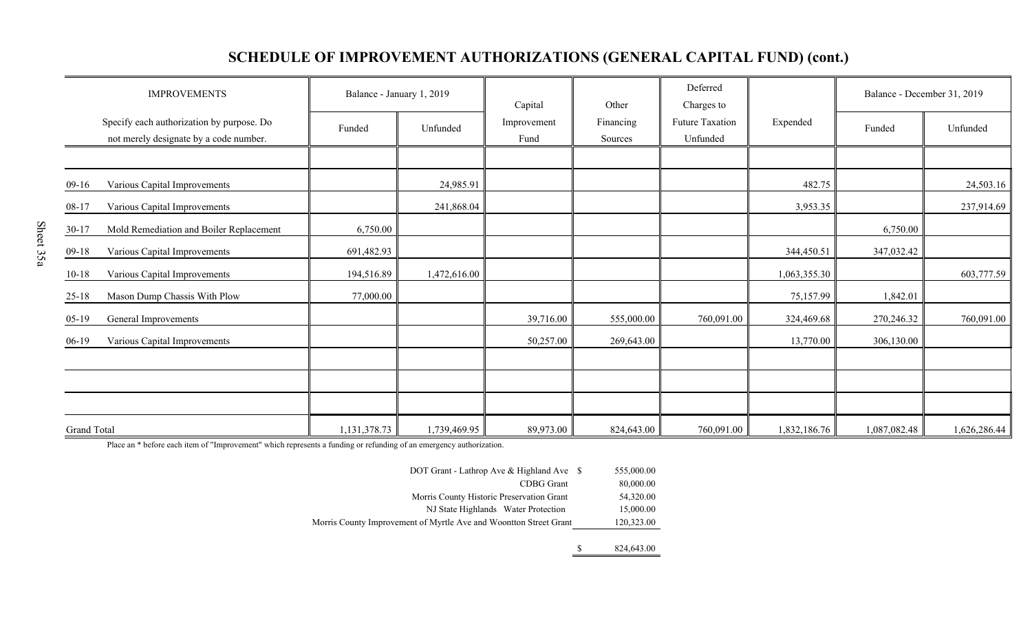## **SCHEDULE OF IMPROVEMENT AUTHORIZATIONS (GENERAL CAPITAL FUND) (cont.)**

| <b>IMPROVEMENTS</b>                                                                 | Balance - January 1, 2019 |              | Capital             | Other                | Deferred<br>Charges to      |              | Balance - December 31, 2019 |              |
|-------------------------------------------------------------------------------------|---------------------------|--------------|---------------------|----------------------|-----------------------------|--------------|-----------------------------|--------------|
| Specify each authorization by purpose. Do<br>not merely designate by a code number. | Funded                    | Unfunded     | Improvement<br>Fund | Financing<br>Sources | Future Taxation<br>Unfunded | Expended     | Funded                      | Unfunded     |
|                                                                                     |                           |              |                     |                      |                             |              |                             |              |
| Various Capital Improvements<br>$09-16$                                             |                           | 24,985.91    |                     |                      |                             | 482.75       |                             | 24,503.16    |
| Various Capital Improvements<br>$08-17$                                             |                           | 241,868.04   |                     |                      |                             | 3,953.35     |                             | 237,914.69   |
| Mold Remediation and Boiler Replacement<br>$30-17$                                  | 6,750.00                  |              |                     |                      |                             |              | 6,750.00                    |              |
| Various Capital Improvements<br>$09-18$                                             | 691,482.93                |              |                     |                      |                             | 344,450.51   | 347,032.42                  |              |
| $10 - 18$<br>Various Capital Improvements                                           | 194,516.89                | 1,472,616.00 |                     |                      |                             | 1,063,355.30 |                             | 603,777.59   |
| Mason Dump Chassis With Plow<br>$25 - 18$                                           | 77,000.00                 |              |                     |                      |                             | 75,157.99    | 1,842.01                    |              |
| General Improvements<br>$05-19$                                                     |                           |              | 39,716.00           | 555,000.00           | 760,091.00                  | 324,469.68   | 270,246.32                  | 760,091.00   |
| Various Capital Improvements<br>$06-19$                                             |                           |              | 50,257.00           | 269,643.00           |                             | 13,770.00    | 306,130.00                  |              |
|                                                                                     |                           |              |                     |                      |                             |              |                             |              |
|                                                                                     |                           |              |                     |                      |                             |              |                             |              |
|                                                                                     |                           |              |                     |                      |                             |              |                             |              |
| <b>Grand Total</b>                                                                  | 1,131,378.73              | 1,739,469.95 | 89,973.00           | 824,643.00           | 760,091.00                  | 1,832,186.76 | 1,087,082.48                | 1,626,286.44 |

Place an \* before each item of "Improvement" which represents a funding or refunding of an emergency authorization.

| DOT Grant - Lathrop Ave & Highland Ave \$                         | 555,000.00 |
|-------------------------------------------------------------------|------------|
| CDBG Grant                                                        | 80,000.00  |
| Morris County Historic Preservation Grant                         | 54,320.00  |
| NJ State Highlands Water Protection                               | 15,000.00  |
| Morris County Improvement of Myrtle Ave and Woontton Street Grant | 120,323.00 |
|                                                                   |            |

\$ 824,643.00

Sheet 35a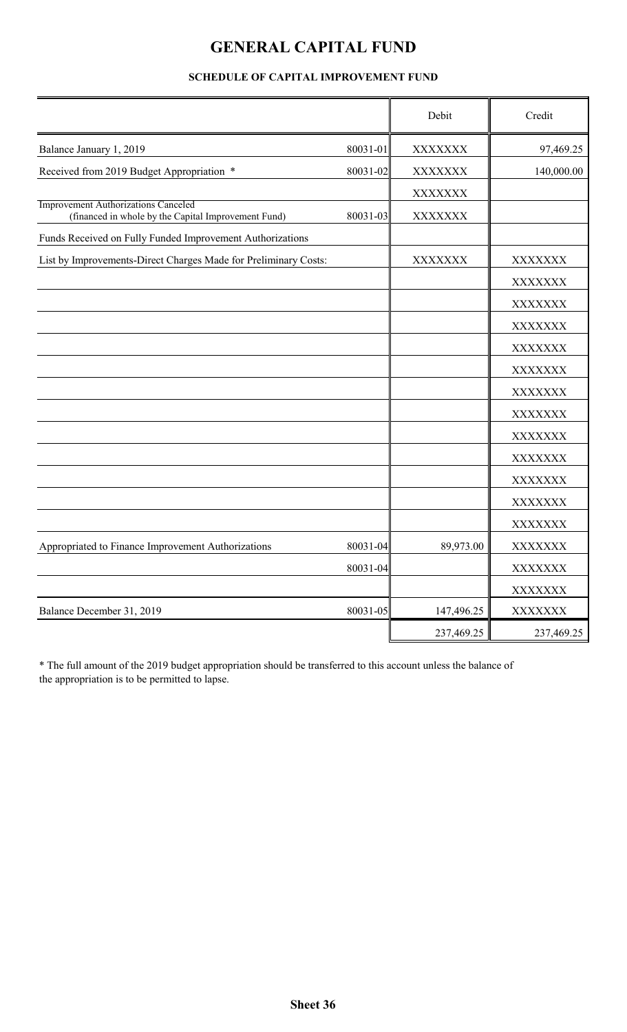## **GENERAL CAPITAL FUND**

## Debit Redit XXXXXXX 80031-01 97,469.25 Received from 2019 Budget Appropriation \* 80031-02 XXXXXXXX 1 140,000.00 XXXXXXX Improvement Authorizations Canceled (financed in whole by the Capital Improvement Fund) Funds Received on Fully Funded Improvement Authorizations List by Improvements-Direct Charges Made for Preliminary Costs: XXXXXXX XXXXXXX XXXXXXX XXXXXXX XXXXXXX XXXXXXX XXXXXXX XXXXXXX XXXXXXX XXXXXXX XXXXXXX XXXXXXX XXXXXXX XXXXXXX Appropriated to Finance Improvement Authorizations 80031-04 89,973.00 XXXXXXX 80031-04 XXXXXXX XXXXXXX Balance December 31, 2019 80031-05 147,496.25 XXXXXXX 237,469.25 237,469.25 80031-03 XXXXXXX Balance January 1, 2019

#### **SCHEDULE OF CAPITAL IMPROVEMENT FUND**

\* The full amount of the 2019 budget appropriation should be transferred to this account unless the balance of the appropriation is to be permitted to lapse.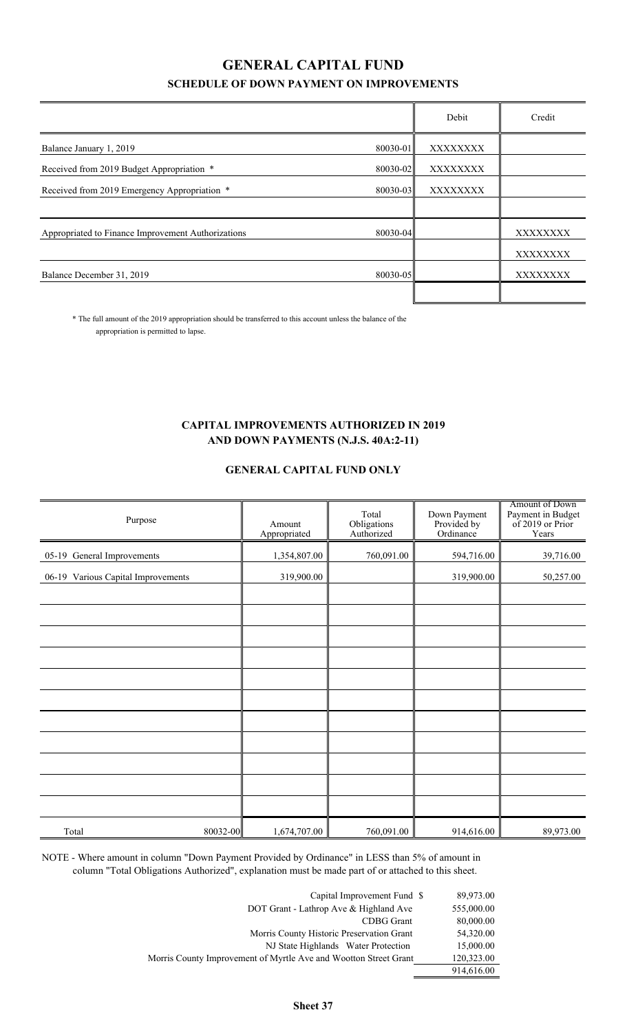## **SCHEDULE OF DOWN PAYMENT ON IMPROVEMENTS GENERAL CAPITAL FUND**

|                                                    |              | Debit    | Credit   |
|----------------------------------------------------|--------------|----------|----------|
| Balance January 1, 2019                            | $80030 - 01$ | XXXXXXXX |          |
| Received from 2019 Budget Appropriation *          | 80030-02     | XXXXXXXX |          |
| Received from 2019 Emergency Appropriation *       | 80030-03     | XXXXXXXX |          |
|                                                    |              |          |          |
| Appropriated to Finance Improvement Authorizations | 80030-04     |          | XXXXXXXX |
|                                                    |              |          | XXXXXXXX |
| Balance December 31, 2019                          | 80030-05     |          | XXXXXXXX |
|                                                    |              |          |          |

\* The full amount of the 2019 appropriation should be transferred to this account unless the balance of the appropriation is permitted to lapse.

#### **CAPITAL IMPROVEMENTS AUTHORIZED IN 2019 AND DOWN PAYMENTS (N.J.S. 40A:2-11)**

#### **GENERAL CAPITAL FUND ONLY**

| Purpose                            | Amount<br>Appropriated | Total<br>Obligations<br>Authorized | Down Payment<br>Provided by<br>Ordinance | Amount of Down<br>Payment in Budget<br>of 2019 or Prior<br>Years |
|------------------------------------|------------------------|------------------------------------|------------------------------------------|------------------------------------------------------------------|
| 05-19 General Improvements         | 1,354,807.00           | 760,091.00                         | 594,716.00                               | 39,716.00                                                        |
| 06-19 Various Capital Improvements | 319,900.00             |                                    | 319,900.00                               | 50,257.00                                                        |
|                                    |                        |                                    |                                          |                                                                  |
|                                    |                        |                                    |                                          |                                                                  |
|                                    |                        |                                    |                                          |                                                                  |
|                                    |                        |                                    |                                          |                                                                  |
|                                    |                        |                                    |                                          |                                                                  |
|                                    |                        |                                    |                                          |                                                                  |
|                                    |                        |                                    |                                          |                                                                  |
|                                    |                        |                                    |                                          |                                                                  |
|                                    |                        |                                    |                                          |                                                                  |
|                                    |                        |                                    |                                          |                                                                  |
|                                    |                        |                                    |                                          |                                                                  |
| 80032-00<br>Total                  | 1,674,707.00           | 760,091.00                         | 914,616.00                               | 89,973.00                                                        |

NOTE - Where amount in column "Down Payment Provided by Ordinance" in LESS than 5% of amount in column "Total Obligations Authorized", explanation must be made part of or attached to this sheet.

| Capital Improvement Fund \$                                      | 89,973.00  |
|------------------------------------------------------------------|------------|
| DOT Grant - Lathrop Ave & Highland Ave                           | 555,000.00 |
| CDBG Grant                                                       | 80,000.00  |
| Morris County Historic Preservation Grant                        | 54,320.00  |
| NJ State Highlands Water Protection                              | 15,000.00  |
| Morris County Improvement of Myrtle Ave and Wootton Street Grant | 120,323.00 |
|                                                                  | 914,616.00 |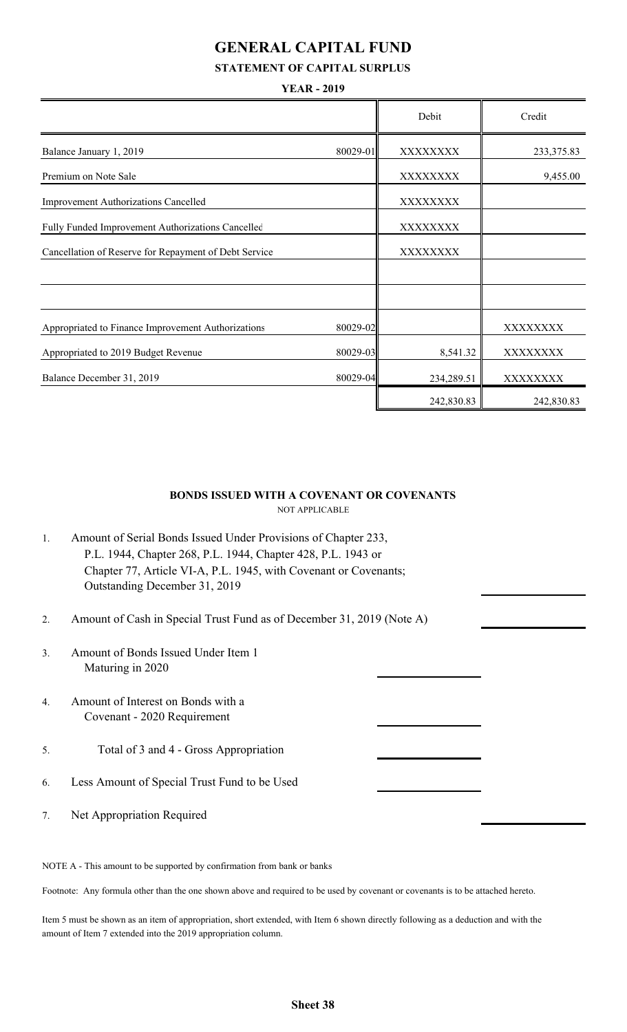## **GENERAL CAPITAL FUND**

#### **STATEMENT OF CAPITAL SURPLUS**

#### **YEAR - 2019**

|                                                       |          | Debit      | Credit     |
|-------------------------------------------------------|----------|------------|------------|
| Balance January 1, 2019                               | 80029-01 | XXXXXXXX   | 233,375.83 |
| Premium on Note Sale                                  |          | XXXXXXXX   | 9,455.00   |
| Improvement Authorizations Cancelled                  |          | XXXXXXXX   |            |
| Fully Funded Improvement Authorizations Cancelled     |          | XXXXXXXX   |            |
| Cancellation of Reserve for Repayment of Debt Service |          | XXXXXXXX   |            |
|                                                       |          |            |            |
|                                                       |          |            |            |
| Appropriated to Finance Improvement Authorizations    | 80029-02 |            | XXXXXXXX   |
| Appropriated to 2019 Budget Revenue                   | 80029-03 | 8,541.32   | XXXXXXXX   |
| Balance December 31, 2019                             | 80029-04 | 234,289.51 | XXXXXXXX   |
|                                                       |          | 242,830.83 | 242,830.83 |

#### NOT APPLICABLE **BONDS ISSUED WITH A COVENANT OR COVENANTS**

| Amount of Serial Bonds Issued Under Provisions of Chapter 233,   |
|------------------------------------------------------------------|
| P.L. 1944, Chapter 268, P.L. 1944, Chapter 428, P.L. 1943 or     |
| Chapter 77, Article VI-A, P.L. 1945, with Covenant or Covenants; |
| Outstanding December 31, 2019                                    |

- 2. Amount of Cash in Special Trust Fund as of December 31, 2019 (Note A)
- 3. Amount of Bonds Issued Under Item 1 Maturing in 2020
- 4. Amount of Interest on Bonds with a Covenant - 2020 Requirement
- 5. Total of 3 and 4 Gross Appropriation
- 6. Less Amount of Special Trust Fund to be Used
- 7. Net Appropriation Required

NOTE A - This amount to be supported by confirmation from bank or banks

Footnote: Any formula other than the one shown above and required to be used by covenant or covenants is to be attached hereto.

Item 5 must be shown as an item of appropriation, short extended, with Item 6 shown directly following as a deduction and with the amount of Item 7 extended into the 2019 appropriation column.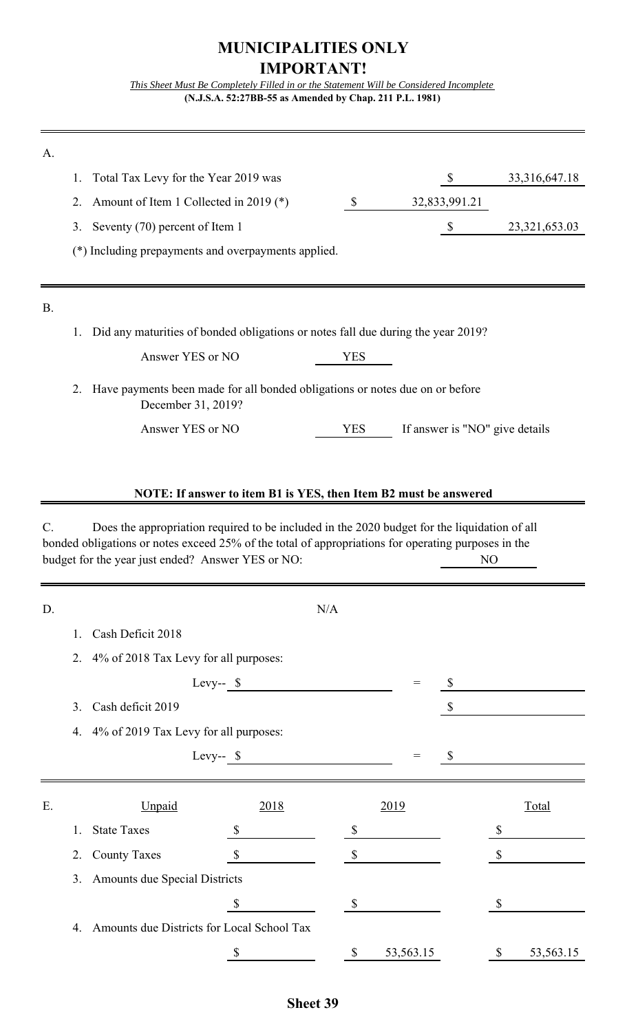## **MUNICIPALITIES ONLY IMPORTANT!**

*This Sheet Must Be Completely Filled in or the Statement Will be Considered Incomplete* **(N.J.S.A. 52:27BB-55 as Amended by Chap. 211 P.L. 1981)**

| A.        |    |                                                                                                                                                                                                                                                          |                                                                  |               |                                 |                                |                  |
|-----------|----|----------------------------------------------------------------------------------------------------------------------------------------------------------------------------------------------------------------------------------------------------------|------------------------------------------------------------------|---------------|---------------------------------|--------------------------------|------------------|
|           | 1. | Total Tax Levy for the Year 2019 was                                                                                                                                                                                                                     |                                                                  |               |                                 | $\mathcal{S}$                  | 33, 316, 647. 18 |
|           | 2. | Amount of Item 1 Collected in 2019 (*)                                                                                                                                                                                                                   |                                                                  | $\mathcal{S}$ |                                 | 32,833,991.21                  |                  |
|           | 3. | Seventy (70) percent of Item 1                                                                                                                                                                                                                           |                                                                  |               |                                 | $\boldsymbol{\mathsf{S}}$      | 23,321,653.03    |
|           |    | (*) Including prepayments and overpayments applied.                                                                                                                                                                                                      |                                                                  |               |                                 |                                |                  |
|           |    |                                                                                                                                                                                                                                                          |                                                                  |               |                                 |                                |                  |
| <b>B.</b> |    |                                                                                                                                                                                                                                                          |                                                                  |               |                                 |                                |                  |
|           | 1. | Did any maturities of bonded obligations or notes fall due during the year 2019?                                                                                                                                                                         |                                                                  |               |                                 |                                |                  |
|           |    | Answer YES or NO                                                                                                                                                                                                                                         |                                                                  | <b>YES</b>    |                                 |                                |                  |
|           | 2. | Have payments been made for all bonded obligations or notes due on or before<br>December 31, 2019?                                                                                                                                                       |                                                                  |               |                                 |                                |                  |
|           |    | Answer YES or NO                                                                                                                                                                                                                                         |                                                                  | <b>YES</b>    |                                 | If answer is "NO" give details |                  |
|           |    |                                                                                                                                                                                                                                                          |                                                                  |               |                                 |                                |                  |
|           |    |                                                                                                                                                                                                                                                          |                                                                  |               |                                 |                                |                  |
|           |    |                                                                                                                                                                                                                                                          | NOTE: If answer to item B1 is YES, then Item B2 must be answered |               |                                 |                                |                  |
| C.        |    | Does the appropriation required to be included in the 2020 budget for the liquidation of all<br>bonded obligations or notes exceed 25% of the total of appropriations for operating purposes in the<br>budget for the year just ended? Answer YES or NO: |                                                                  |               |                                 | N <sub>O</sub>                 |                  |
|           |    |                                                                                                                                                                                                                                                          |                                                                  |               |                                 |                                |                  |
| D.        |    |                                                                                                                                                                                                                                                          |                                                                  | N/A           |                                 |                                |                  |
|           | 1. | Cash Deficit 2018                                                                                                                                                                                                                                        |                                                                  |               |                                 |                                |                  |
|           | 2. | 4% of 2018 Tax Levy for all purposes:                                                                                                                                                                                                                    |                                                                  |               |                                 |                                |                  |
|           |    | Levy-- $\$                                                                                                                                                                                                                                               |                                                                  |               | $\displaystyle \qquad \qquad =$ | $\mathcal{S}$                  |                  |
|           | 3. | Cash deficit 2019                                                                                                                                                                                                                                        |                                                                  |               |                                 | $\mathcal{S}$                  |                  |
|           | 4. | 4% of 2019 Tax Levy for all purposes:                                                                                                                                                                                                                    |                                                                  |               |                                 |                                |                  |
|           |    | Levy-- $\sqrt$                                                                                                                                                                                                                                           |                                                                  |               | $\displaystyle \qquad \qquad =$ | $\boldsymbol{\mathsf{S}}$      |                  |
|           |    |                                                                                                                                                                                                                                                          |                                                                  |               |                                 |                                |                  |
| E.        |    | Unpaid                                                                                                                                                                                                                                                   | 2018                                                             |               | 2019                            |                                | Total            |
|           | 1. | <b>State Taxes</b>                                                                                                                                                                                                                                       | $\mathbb{S}$                                                     | S             |                                 |                                | \$               |
|           | 2. | <b>County Taxes</b>                                                                                                                                                                                                                                      | $\boldsymbol{\mathsf{S}}$                                        | $\mathcal{S}$ |                                 |                                | \$               |
|           | 3. | <b>Amounts due Special Districts</b>                                                                                                                                                                                                                     |                                                                  |               |                                 |                                |                  |
|           |    |                                                                                                                                                                                                                                                          | $\boldsymbol{\mathsf{S}}$                                        | $\mathcal{S}$ |                                 |                                | \$               |
|           | 4. | Amounts due Districts for Local School Tax                                                                                                                                                                                                               |                                                                  |               |                                 |                                |                  |
|           |    |                                                                                                                                                                                                                                                          | \$                                                               | \$            | 53,563.15                       |                                | \$<br>53,563.15  |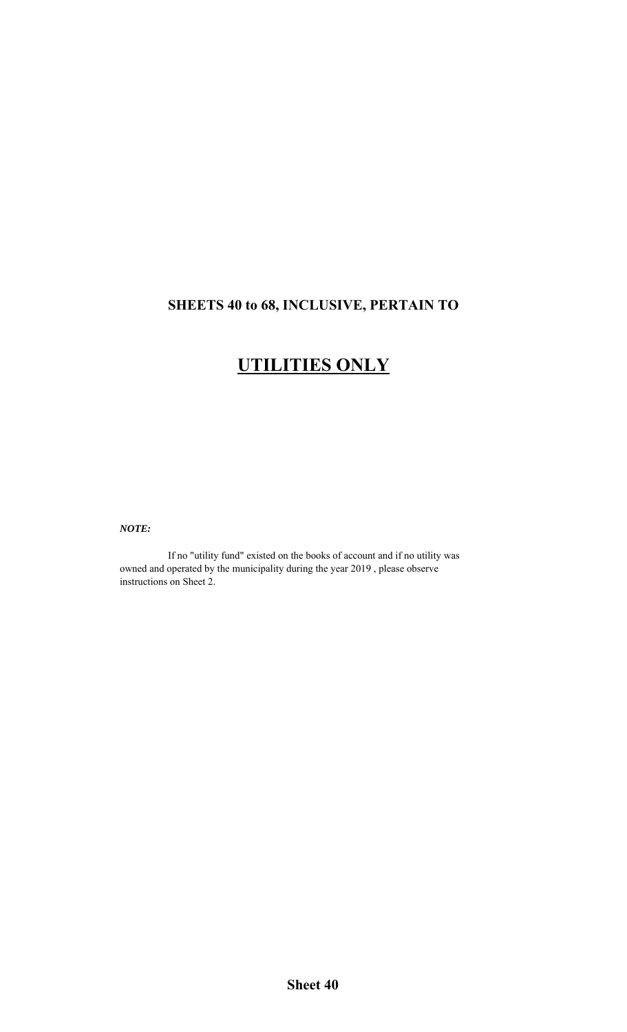## **SHEETS 40 to 68, INCLUSIVE, PERTAIN TO**

# **UTILITIES ONLY**

*NOTE:*

If no "utility fund" existed on the books of account and if no utility was owned and operated by the municipality during the year 2019 , please observe instructions on Sheet 2.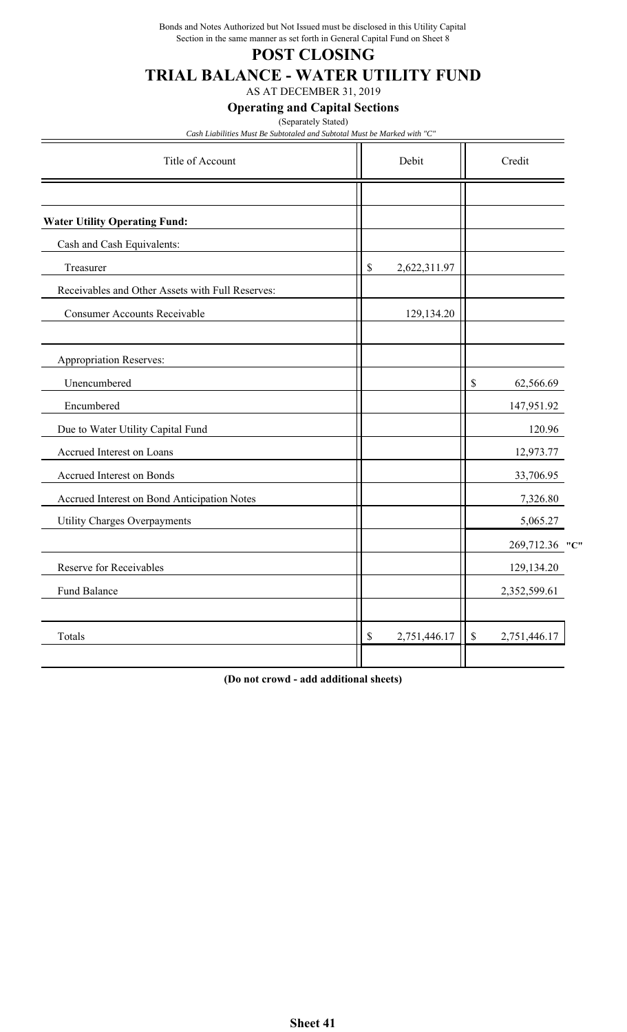Bonds and Notes Authorized but Not Issued must be disclosed in this Utility Capital Section in the same manner as set forth in General Capital Fund on Sheet 8

### **POST CLOSING**

## **TRIAL BALANCE - WATER UTILITY FUND**

AS AT DECEMBER 31, 2019

#### **Operating and Capital Sections**

(Separately Stated)

*Cash Liabilities Must Be Subtotaled and Subtotal Must be Marked with "C"*

| Debit              |      | Credit         |
|--------------------|------|----------------|
|                    |      |                |
|                    |      |                |
|                    |      |                |
| \$<br>2,622,311.97 |      |                |
|                    |      |                |
| 129,134.20         |      |                |
|                    |      |                |
|                    | \$   | 62,566.69      |
|                    |      | 147,951.92     |
|                    |      | 120.96         |
|                    |      | 12,973.77      |
|                    |      | 33,706.95      |
|                    |      | 7,326.80       |
|                    |      | 5,065.27       |
|                    |      | 269,712.36 "C" |
|                    |      | 129,134.20     |
|                    |      | 2,352,599.61   |
| \$<br>2,751,446.17 | $\$$ | 2,751,446.17   |
|                    |      |                |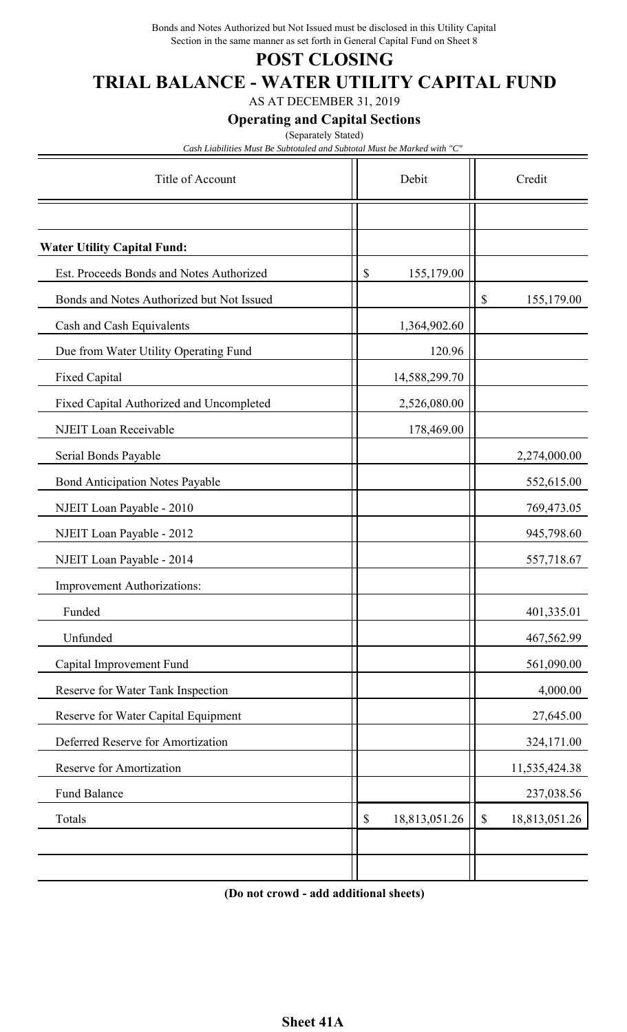Bonds and Notes Authorized but Not Issued must be disclosed in this Utility Capital Section in the same manner as set forth in General Capital Fund on Sheet 8

## **POST CLOSING**

# **TRIAL BALANCE - WATER UTILITY CAPITAL FUND**

AS AT DECEMBER 31, 2019

**Operating and Capital Sections**

(Separately Stated)

*Cash Liabilities Must Be Subtotaled and Subtotal Must be Marked with "C"*

| Title of Account                          | Debit                                      | Credit                                     |
|-------------------------------------------|--------------------------------------------|--------------------------------------------|
|                                           |                                            |                                            |
| <b>Water Utility Capital Fund:</b>        |                                            |                                            |
| Est. Proceeds Bonds and Notes Authorized  | \$<br>155,179.00                           |                                            |
| Bonds and Notes Authorized but Not Issued |                                            | \$<br>155,179.00                           |
| Cash and Cash Equivalents                 | 1,364,902.60                               |                                            |
| Due from Water Utility Operating Fund     | 120.96                                     |                                            |
| <b>Fixed Capital</b>                      | 14,588,299.70                              |                                            |
| Fixed Capital Authorized and Uncompleted  | 2,526,080.00                               |                                            |
| NJEIT Loan Receivable                     | 178,469.00                                 |                                            |
| Serial Bonds Payable                      |                                            | 2,274,000.00                               |
| <b>Bond Anticipation Notes Payable</b>    |                                            | 552,615.00                                 |
| NJEIT Loan Payable - 2010                 |                                            | 769,473.05                                 |
| NJEIT Loan Payable - 2012                 |                                            | 945,798.60                                 |
| NJEIT Loan Payable - 2014                 |                                            | 557,718.67                                 |
| <b>Improvement Authorizations:</b>        |                                            |                                            |
| Funded                                    |                                            | 401,335.01                                 |
| Unfunded                                  |                                            | 467,562.99                                 |
| Capital Improvement Fund                  |                                            | 561,090.00                                 |
| Reserve for Water Tank Inspection         |                                            | 4,000.00                                   |
| Reserve for Water Capital Equipment       |                                            | 27,645.00                                  |
| Deferred Reserve for Amortization         |                                            | 324,171.00                                 |
| Reserve for Amortization                  |                                            | 11,535,424.38                              |
| Fund Balance                              |                                            | 237,038.56                                 |
| Totals                                    | 18,813,051.26<br>$\boldsymbol{\mathsf{S}}$ | $\boldsymbol{\mathsf{S}}$<br>18,813,051.26 |
|                                           |                                            |                                            |
|                                           |                                            |                                            |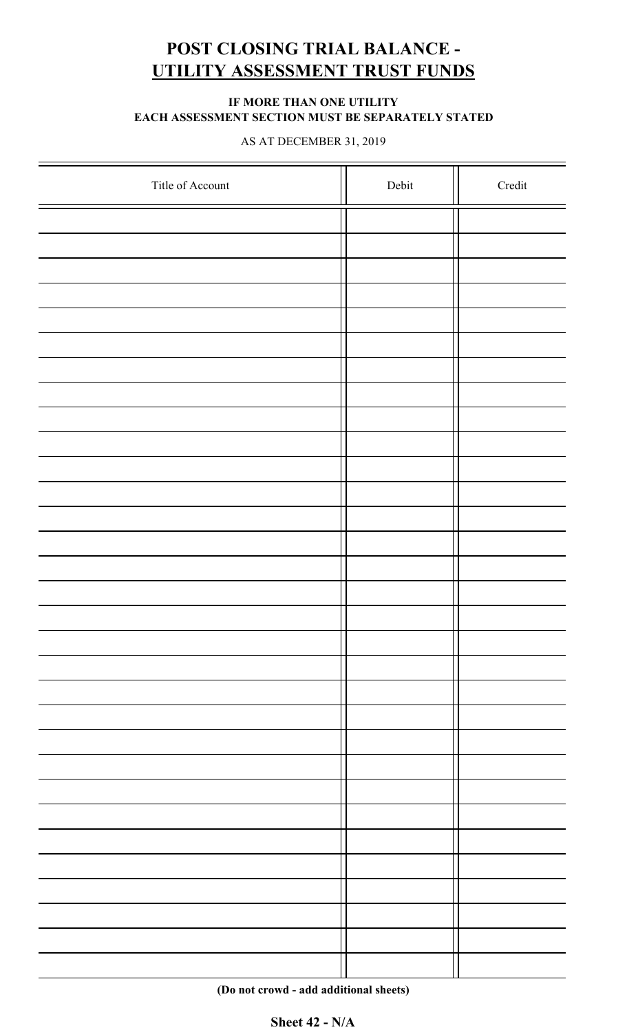# **POST CLOSING TRIAL BALANCE - UTILITY ASSESSMENT TRUST FUNDS**

#### **IF MORE THAN ONE UTILITY EACH ASSESSMENT SECTION MUST BE SEPARATELY STATED**

AS AT DECEMBER 31, 2019

| Title of Account | Debit | Credit |
|------------------|-------|--------|
|                  |       |        |
|                  |       |        |
|                  |       |        |
|                  |       |        |
|                  |       |        |
|                  |       |        |
|                  |       |        |
|                  |       |        |
|                  |       |        |
|                  |       |        |
|                  |       |        |
|                  |       |        |
|                  |       |        |
|                  |       |        |
|                  |       |        |
|                  |       |        |
|                  |       |        |
|                  |       |        |
|                  |       |        |
|                  |       |        |
|                  |       |        |
|                  |       |        |
|                  |       |        |
|                  |       |        |
|                  |       |        |
|                  |       |        |
|                  |       |        |
|                  |       |        |
|                  |       |        |
|                  |       |        |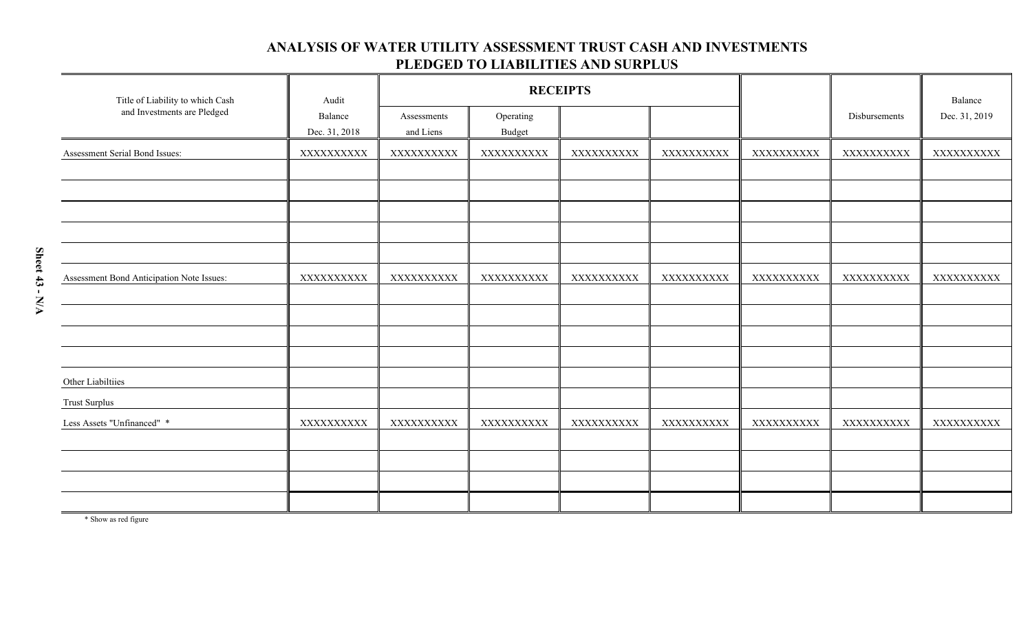#### **ANALYSIS OF WATER UTILITY ASSESSMENT TRUST CASH AND INVESTMENTS PLEDGED TO LIABILITIES AND SURPLUS**

| Title of Liability to which Cash          | Audit                    | <b>RECEIPTS</b>          |                            |            |            |            |               | Balance       |
|-------------------------------------------|--------------------------|--------------------------|----------------------------|------------|------------|------------|---------------|---------------|
| and Investments are Pledged               | Balance<br>Dec. 31, 2018 | Assessments<br>and Liens | Operating<br><b>Budget</b> |            |            |            | Disbursements | Dec. 31, 2019 |
| Assessment Serial Bond Issues:            | XXXXXXXXXX               | XXXXXXXXXX               | XXXXXXXXXX                 | XXXXXXXXXX | XXXXXXXXXX | XXXXXXXXXX | XXXXXXXXXX    | XXXXXXXXXX    |
|                                           |                          |                          |                            |            |            |            |               |               |
|                                           |                          |                          |                            |            |            |            |               |               |
| Assessment Bond Anticipation Note Issues: | XXXXXXXXXX               | XXXXXXXXXX               | XXXXXXXXXX                 | XXXXXXXXXX | XXXXXXXXXX | XXXXXXXXXX | XXXXXXXXX     | XXXXXXXXXX    |
|                                           |                          |                          |                            |            |            |            |               |               |
|                                           |                          |                          |                            |            |            |            |               |               |
| Other Liabiltiies<br><b>Trust Surplus</b> |                          |                          |                            |            |            |            |               |               |
| Less Assets "Unfinanced" *                | XXXXXXXXXX               | XXXXXXXXXX               | XXXXXXXXXX                 | XXXXXXXXXX | XXXXXXXXXX | XXXXXXXXXX | XXXXXXXXXX    | XXXXXXXXXX    |
|                                           |                          |                          |                            |            |            |            |               |               |
|                                           |                          |                          |                            |            |            |            |               |               |
|                                           |                          |                          |                            |            |            |            |               |               |

\* Show as red figure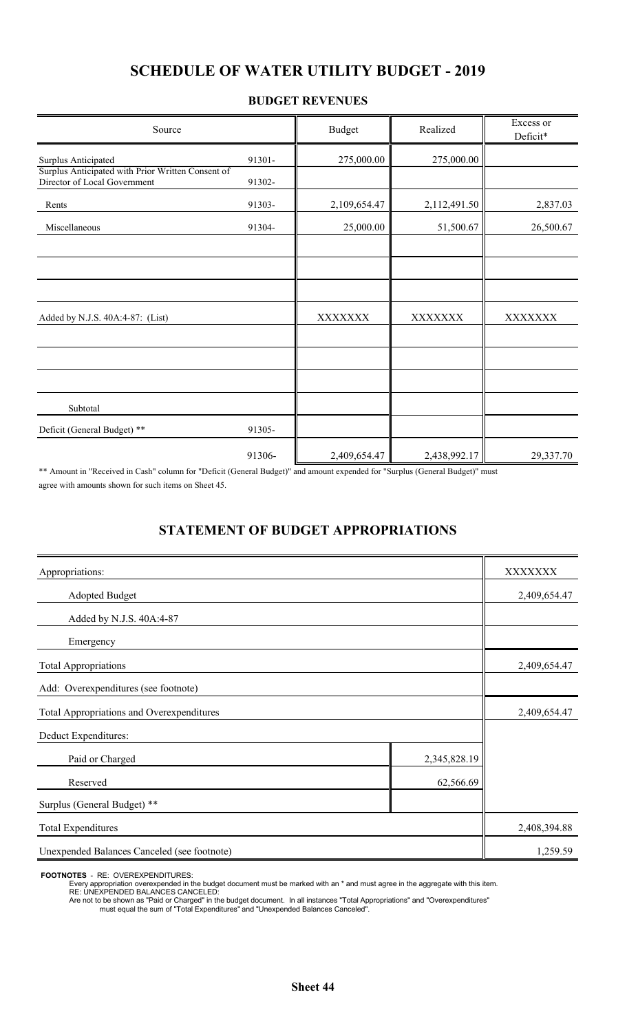## **SCHEDULE OF WATER UTILITY BUDGET - 2019**

#### **BUDGET REVENUES**

| Source                                                                            |        | <b>Budget</b>  | Realized     | Excess or<br>Deficit* |
|-----------------------------------------------------------------------------------|--------|----------------|--------------|-----------------------|
| Surplus Anticipated                                                               | 91301- | 275,000.00     | 275,000.00   |                       |
| Surplus Anticipated with Prior Written Consent of<br>Director of Local Government | 91302- |                |              |                       |
| Rents                                                                             | 91303- | 2,109,654.47   | 2,112,491.50 | 2,837.03              |
| Miscellaneous                                                                     | 91304- | 25,000.00      | 51,500.67    | 26,500.67             |
|                                                                                   |        |                |              |                       |
| Added by N.J.S. 40A:4-87: (List)                                                  |        | <b>XXXXXXX</b> | XXXXXXX      | XXXXXXX               |
|                                                                                   |        |                |              |                       |
| Subtotal                                                                          |        |                |              |                       |
| Deficit (General Budget) **                                                       | 91305- |                |              |                       |
|                                                                                   | 91306- | 2,409,654.47   | 2,438,992.17 | 29,337.70             |

\*\* Amount in "Received in Cash" column for "Deficit (General Budget)" and amount expended for "Surplus (General Budget)" must agree with amounts shown for such items on Sheet 45.

### **STATEMENT OF BUDGET APPROPRIATIONS**

| Appropriations:                             |              | XXXXXXX      |
|---------------------------------------------|--------------|--------------|
| <b>Adopted Budget</b>                       |              | 2,409,654.47 |
| Added by N.J.S. 40A:4-87                    |              |              |
| Emergency                                   |              |              |
| <b>Total Appropriations</b>                 |              | 2,409,654.47 |
| Add: Overexpenditures (see footnote)        |              |              |
| Total Appropriations and Overexpenditures   | 2,409,654.47 |              |
| Deduct Expenditures:                        |              |              |
| Paid or Charged                             | 2,345,828.19 |              |
| Reserved                                    | 62,566.69    |              |
| Surplus (General Budget) **                 |              |              |
| <b>Total Expenditures</b>                   | 2,408,394.88 |              |
| Unexpended Balances Canceled (see footnote) |              | 1,259.59     |

**FOOTNOTES** - RE: OVEREXPENDITURES:

Every appropriation overexpended in the budget document must be marked with an \* and must agree in the aggregate with this item.

RE: UNEXPENDED BALANCES CANCELED:

Are not to be shown as "Paid or Charged" in the budget document. In all instances "Total Appropriations" and "Overexpenditures" must equal the sum of "Total Expenditures" and "Unexpended Balances Canceled".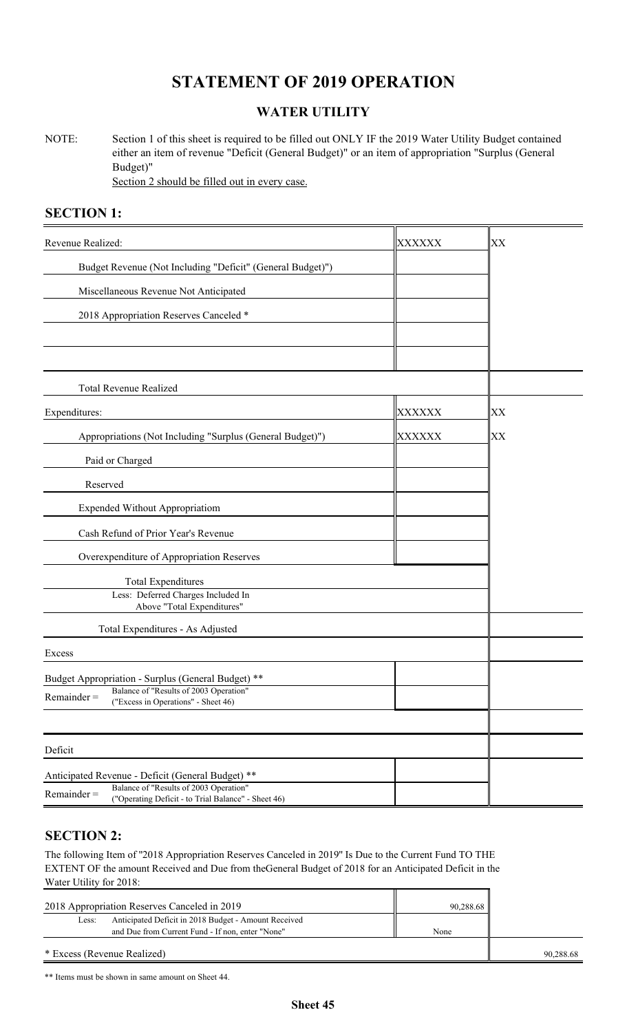## **STATEMENT OF 2019 OPERATION**

### **WATER UTILITY**

NOTE: Section 1 of this sheet is required to be filled out ONLY IF the 2019 Water Utility Budget contained either an item of revenue "Deficit (General Budget)" or an item of appropriation "Surplus (General Budget)" Section 2 should be filled out in every case.

### **SECTION 1:**

| Revenue Realized:                                                                                              | <b>XXXXXX</b> | XX |
|----------------------------------------------------------------------------------------------------------------|---------------|----|
| Budget Revenue (Not Including "Deficit" (General Budget)")                                                     |               |    |
| Miscellaneous Revenue Not Anticipated                                                                          |               |    |
| 2018 Appropriation Reserves Canceled *                                                                         |               |    |
|                                                                                                                |               |    |
|                                                                                                                |               |    |
| <b>Total Revenue Realized</b>                                                                                  |               |    |
| Expenditures:                                                                                                  | XXXXXX        | XХ |
| Appropriations (Not Including "Surplus (General Budget)")                                                      | XXXXXX        | XX |
| Paid or Charged                                                                                                |               |    |
| Reserved                                                                                                       |               |    |
| <b>Expended Without Appropriatiom</b>                                                                          |               |    |
| Cash Refund of Prior Year's Revenue                                                                            |               |    |
| Overexpenditure of Appropriation Reserves                                                                      |               |    |
| <b>Total Expenditures</b>                                                                                      |               |    |
| Less: Deferred Charges Included In<br>Above "Total Expenditures"                                               |               |    |
| Total Expenditures - As Adjusted                                                                               |               |    |
| Excess                                                                                                         |               |    |
| Budget Appropriation - Surplus (General Budget) **                                                             |               |    |
| Balance of "Results of 2003 Operation"<br>$Remainder =$<br>("Excess in Operations" - Sheet 46)                 |               |    |
|                                                                                                                |               |    |
| Deficit                                                                                                        |               |    |
| Anticipated Revenue - Deficit (General Budget) **                                                              |               |    |
| Balance of "Results of 2003 Operation"<br>$Remainder =$<br>("Operating Deficit - to Trial Balance" - Sheet 46) |               |    |

### **SECTION 2:**

The following Item of ''2018 Appropriation Reserves Canceled in 2019'' Is Due to the Current Fund TO THE EXTENT OF the amount Received and Due from theGeneral Budget of 2018 for an Anticipated Deficit in the Water Utility for 2018:

| 2018 Appropriation Reserves Canceled in 2019                  | 90,288.68 |           |
|---------------------------------------------------------------|-----------|-----------|
| Anticipated Deficit in 2018 Budget - Amount Received<br>Less: |           |           |
| and Due from Current Fund - If non, enter "None"              | None      |           |
| * Excess (Revenue Realized)                                   |           | 90.288.68 |

\*\* Items must be shown in same amount on Sheet 44.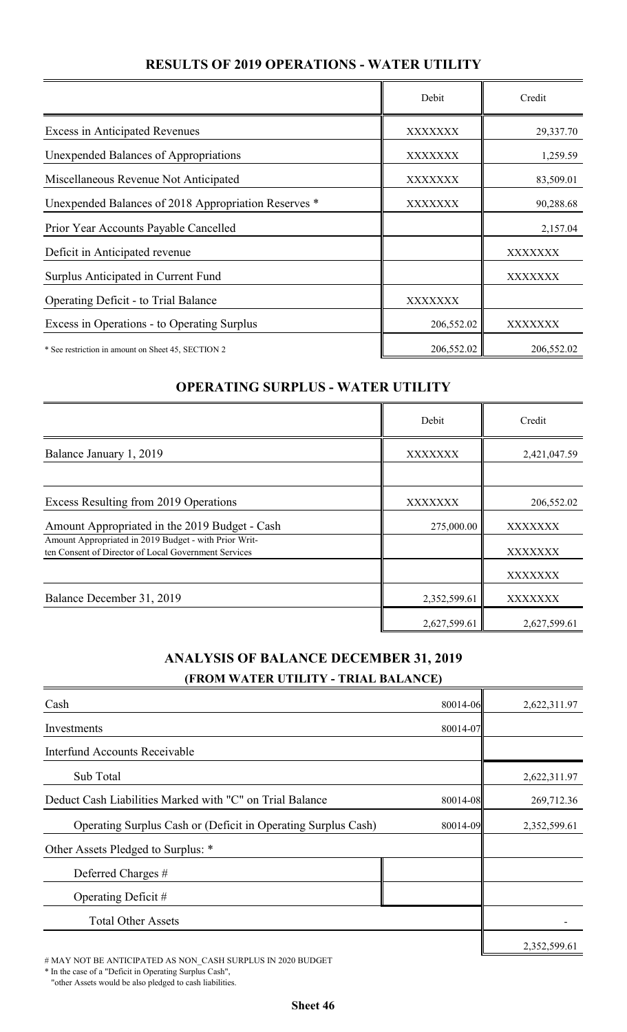## **RESULTS OF 2019 OPERATIONS - WATER UTILITY**

|                                                      | Debit          | Credit     |
|------------------------------------------------------|----------------|------------|
| <b>Excess in Anticipated Revenues</b>                | <b>XXXXXXX</b> | 29,337.70  |
| Unexpended Balances of Appropriations                | XXXXXXX        | 1,259.59   |
| Miscellaneous Revenue Not Anticipated                | XXXXXXX        | 83,509.01  |
| Unexpended Balances of 2018 Appropriation Reserves * | XXXXXXX        | 90,288.68  |
| Prior Year Accounts Payable Cancelled                |                | 2,157.04   |
| Deficit in Anticipated revenue                       |                | XXXXXXX    |
| Surplus Anticipated in Current Fund                  |                | XXXXXXX    |
| Operating Deficit - to Trial Balance                 | XXXXXXX        |            |
| Excess in Operations - to Operating Surplus          | 206,552.02     | XXXXXXX    |
| * See restriction in amount on Sheet 45, SECTION 2   | 206,552.02     | 206,552.02 |

### **OPERATING SURPLUS - WATER UTILITY**

|                                                                                                               | Debit        | Credit       |
|---------------------------------------------------------------------------------------------------------------|--------------|--------------|
| Balance January 1, 2019                                                                                       | XXXXXXX      | 2,421,047.59 |
|                                                                                                               |              |              |
| Excess Resulting from 2019 Operations                                                                         | XXXXXXX      | 206,552.02   |
| Amount Appropriated in the 2019 Budget - Cash                                                                 | 275,000.00   | XXXXXXX      |
| Amount Appropriated in 2019 Budget - with Prior Writ-<br>ten Consent of Director of Local Government Services |              | XXXXXXX      |
|                                                                                                               |              | XXXXXXX      |
| Balance December 31, 2019                                                                                     | 2,352,599.61 | XXXXXXX      |
|                                                                                                               | 2,627,599.61 | 2,627,599.61 |

### **ANALYSIS OF BALANCE DECEMBER 31, 2019 (FROM WATER UTILITY - TRIAL BALANCE)**

| Cash                                                          | 80014-06 | 2,622,311.97 |
|---------------------------------------------------------------|----------|--------------|
| Investments                                                   | 80014-07 |              |
| Interfund Accounts Receivable                                 |          |              |
| Sub Total                                                     |          | 2,622,311.97 |
| Deduct Cash Liabilities Marked with "C" on Trial Balance      | 80014-08 | 269,712.36   |
| Operating Surplus Cash or (Deficit in Operating Surplus Cash) | 80014-09 | 2,352,599.61 |
| Other Assets Pledged to Surplus: *                            |          |              |
| Deferred Charges #                                            |          |              |
| Operating Deficit $#$                                         |          |              |
| <b>Total Other Assets</b>                                     |          |              |
|                                                               |          | 2,352,599.61 |

# MAY NOT BE ANTICIPATED AS NON\_CASH SURPLUS IN 2020 BUDGET

\* In the case of a "Deficit in Operating Surplus Cash",

"other Assets would be also pledged to cash liabilities.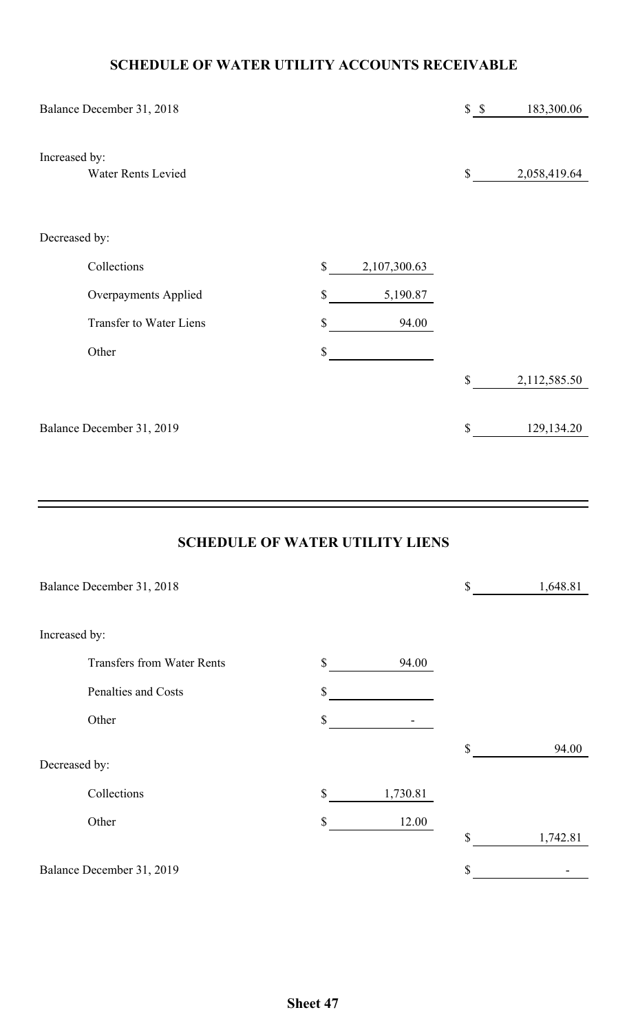## **SCHEDULE OF WATER UTILITY ACCOUNTS RECEIVABLE**

| Balance December 31, 2018                  |               |              | S S | 183,300.06   |
|--------------------------------------------|---------------|--------------|-----|--------------|
| Increased by:<br><b>Water Rents Levied</b> |               |              | \$  | 2,058,419.64 |
| Decreased by:                              |               |              |     |              |
| Collections                                | $\mathbb{S}$  | 2,107,300.63 |     |              |
| <b>Overpayments Applied</b>                | $\mathbb{S}$  | 5,190.87     |     |              |
| <b>Transfer to Water Liens</b>             | \$            | 94.00        |     |              |
| Other                                      | $\mathcal{S}$ |              |     |              |
|                                            |               |              | \$  | 2,112,585.50 |
| Balance December 31, 2019                  |               |              | \$  | 129,134.20   |

## **SCHEDULE OF WATER UTILITY LIENS**

| Balance December 31, 2018         |                | \$<br>1,648.81 |
|-----------------------------------|----------------|----------------|
| Increased by:                     |                |                |
| <b>Transfers from Water Rents</b> | \$<br>94.00    |                |
| Penalties and Costs               | \$             |                |
| Other                             | \$             |                |
|                                   |                | \$<br>94.00    |
| Decreased by:                     |                |                |
| Collections                       | \$<br>1,730.81 |                |
| Other                             | \$<br>12.00    |                |
|                                   |                | \$<br>1,742.81 |
| Balance December 31, 2019         |                | \$             |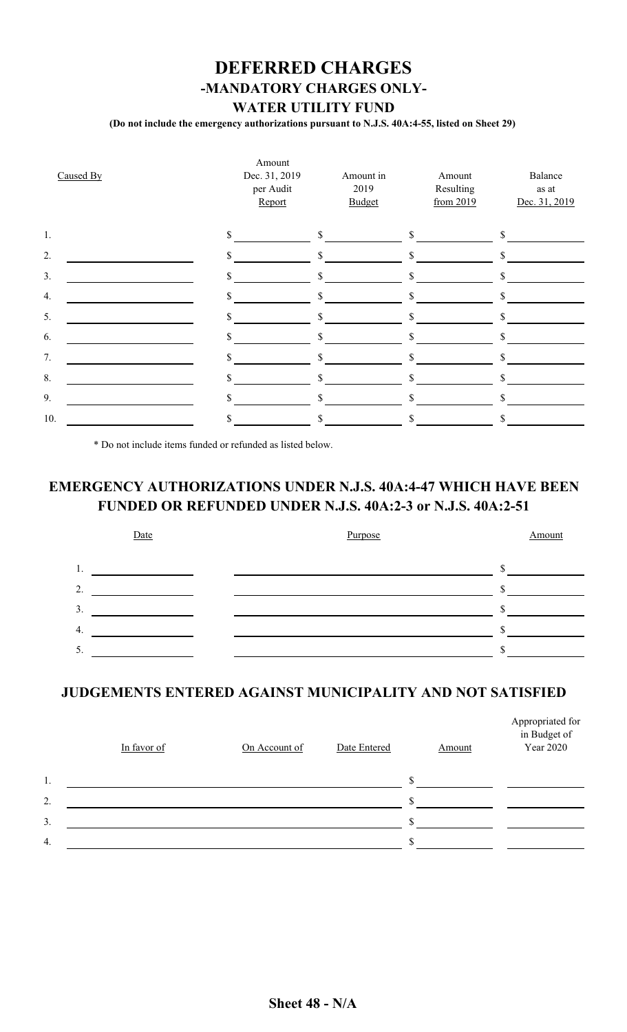## **DEFERRED CHARGES -MANDATORY CHARGES ONLY-WATER UTILITY FUND**

**(Do not include the emergency authorizations pursuant to N.J.S. 40A:4-55, listed on Sheet 29)**

| Caused By | Amount<br>Dec. 31, 2019<br>per Audit<br>Report | Amount in<br>2019<br><b>Budget</b> | Amount<br>Resulting<br>from 2019 | Balance<br>as at<br>Dec. 31, 2019 |
|-----------|------------------------------------------------|------------------------------------|----------------------------------|-----------------------------------|
| 1.        | \$                                             | \$                                 | $\mathbb{S}$                     | \$                                |
| 2.        |                                                | \$                                 |                                  |                                   |
| 3.        |                                                | \$                                 | $\mathcal{S}$                    |                                   |
| 4.        |                                                | \$                                 | \$                               | \$                                |
| 5.        |                                                | \$                                 |                                  |                                   |
| 6.        |                                                | \$                                 | \$                               | \$                                |
| 7.        |                                                | S                                  |                                  |                                   |
| 8.        |                                                | \$                                 | \$                               |                                   |
| 9.        |                                                | S                                  | \$                               |                                   |
| 10.       |                                                |                                    |                                  |                                   |

\* Do not include items funded or refunded as listed below.

## **EMERGENCY AUTHORIZATIONS UNDER N.J.S. 40A:4-47 WHICH HAVE BEEN FUNDED OR REFUNDED UNDER N.J.S. 40A:2-3 or N.J.S. 40A:2-51**



### **JUDGEMENTS ENTERED AGAINST MUNICIPALITY AND NOT SATISFIED**

|    | In favor of | On Account of | Date Entered | Amount | Appropriated for<br>in Budget of<br>Year 2020 |
|----|-------------|---------------|--------------|--------|-----------------------------------------------|
| 1. |             |               |              |        |                                               |
| 2. |             |               |              |        |                                               |
| 3. |             |               |              |        |                                               |
| 4. |             |               |              |        |                                               |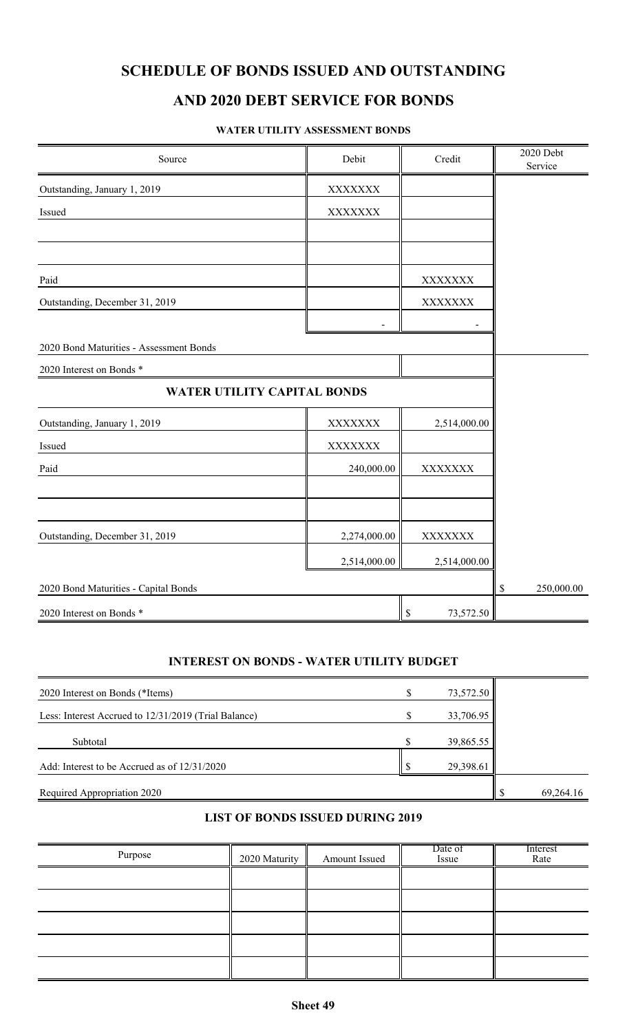## **AND 2020 DEBT SERVICE FOR BONDS**

#### **WATER UTILITY ASSESSMENT BONDS**

| Source                                  | Debit          | Credit                   | 2020 Debt<br>Service |
|-----------------------------------------|----------------|--------------------------|----------------------|
| Outstanding, January 1, 2019            | XXXXXXX        |                          |                      |
| Issued                                  | ${\bf XXXXXX}$ |                          |                      |
|                                         |                |                          |                      |
|                                         |                |                          |                      |
| Paid                                    |                | XXXXXXX                  |                      |
| Outstanding, December 31, 2019          |                | XXXXXXX                  |                      |
|                                         |                |                          |                      |
| 2020 Bond Maturities - Assessment Bonds |                |                          |                      |
| 2020 Interest on Bonds *                |                |                          |                      |
| WATER UTILITY CAPITAL BONDS             |                |                          |                      |
| Outstanding, January 1, 2019            | XXXXXXX        | 2,514,000.00             |                      |
| Issued                                  | XXXXXXX        |                          |                      |
| Paid                                    | 240,000.00     | <b>XXXXXXX</b>           |                      |
|                                         |                |                          |                      |
|                                         |                |                          |                      |
| Outstanding, December 31, 2019          | 2,274,000.00   | XXXXXXX                  |                      |
|                                         | 2,514,000.00   | 2,514,000.00             |                      |
| 2020 Bond Maturities - Capital Bonds    |                |                          | 250,000.00<br>\$     |
| 2020 Interest on Bonds *                |                | $\mathbb S$<br>73,572.50 |                      |

#### **INTEREST ON BONDS - WATER UTILITY BUDGET**

| 2020 Interest on Bonds (*Items)                      | ΔD | 73,572.50 |           |
|------------------------------------------------------|----|-----------|-----------|
| Less: Interest Accrued to 12/31/2019 (Trial Balance) |    | 33,706.95 |           |
| Subtotal                                             |    | 39,865.55 |           |
| Add: Interest to be Accrued as of $12/31/2020$       |    | 29,398.61 |           |
| Required Appropriation 2020                          |    |           | 69,264.16 |

### **LIST OF BONDS ISSUED DURING 2019**

| Purpose | 2020 Maturity | Amount Issued | Date of<br>Issue | Interest<br>Rate |
|---------|---------------|---------------|------------------|------------------|
|         |               |               |                  |                  |
|         |               |               |                  |                  |
|         |               |               |                  |                  |
|         |               |               |                  |                  |
|         |               |               |                  |                  |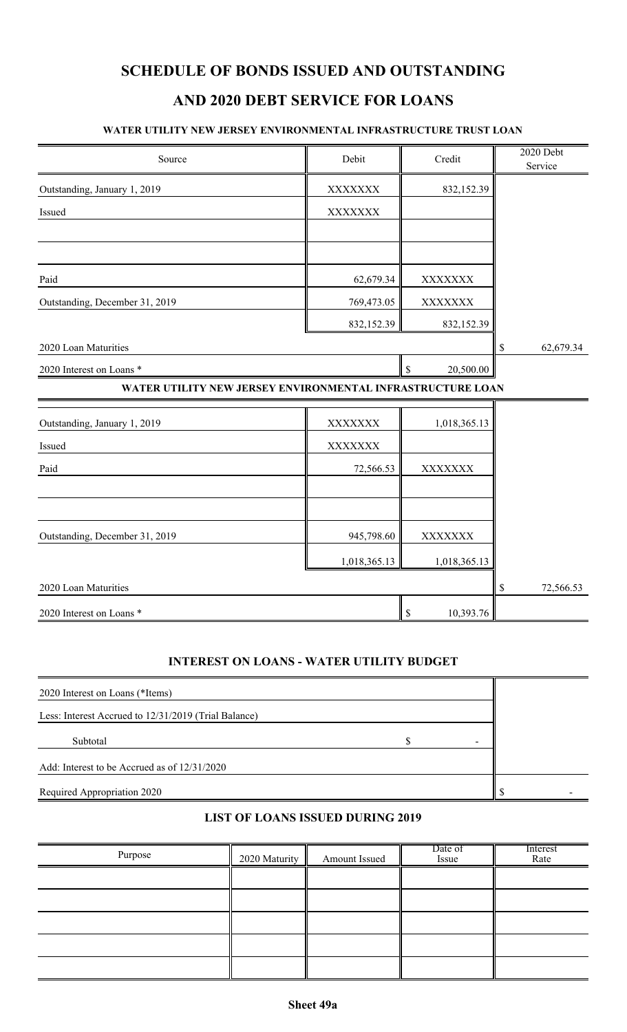## **AND 2020 DEBT SERVICE FOR LOANS**

#### **WATER UTILITY NEW JERSEY ENVIRONMENTAL INFRASTRUCTURE TRUST LOAN**

| Source                                                     | Debit          | Credit          | 2020 Debt<br>Service |
|------------------------------------------------------------|----------------|-----------------|----------------------|
| Outstanding, January 1, 2019                               | XXXXXXX        | 832,152.39      |                      |
| Issued                                                     | XXXXXXX        |                 |                      |
|                                                            |                |                 |                      |
|                                                            |                |                 |                      |
| Paid                                                       | 62,679.34      | XXXXXXX         |                      |
| Outstanding, December 31, 2019                             | 769,473.05     | XXXXXXX         |                      |
|                                                            | 832,152.39     | 832,152.39      |                      |
| 2020 Loan Maturities                                       |                |                 | 62,679.34<br>\$      |
| 2020 Interest on Loans *                                   |                | \$<br>20,500.00 |                      |
| WATER UTILITY NEW JERSEY ENVIRONMENTAL INFRASTRUCTURE LOAN |                |                 |                      |
| Outstanding, January 1, 2019                               | <b>XXXXXXX</b> | 1,018,365.13    |                      |
| Issued                                                     | <b>XXXXXXX</b> |                 |                      |
| Paid                                                       | 72,566.53      | XXXXXXX         |                      |
|                                                            |                |                 |                      |
|                                                            |                |                 |                      |
| Outstanding, December 31, 2019                             | 945,798.60     | XXXXXXX         |                      |
|                                                            | 1,018,365.13   | 1,018,365.13    |                      |
| 2020 Loan Maturities                                       |                |                 | 72,566.53<br>\$      |
| 2020 Interest on Loans*                                    |                | \$<br>10,393.76 |                      |

#### **INTEREST ON LOANS - WATER UTILITY BUDGET**

| 2020 Interest on Loans (*Items)                      |  |  |
|------------------------------------------------------|--|--|
| Less: Interest Accrued to 12/31/2019 (Trial Balance) |  |  |
| Subtotal                                             |  |  |
| Add: Interest to be Accrued as of 12/31/2020         |  |  |
| Required Appropriation 2020                          |  |  |

### **LIST OF LOANS ISSUED DURING 2019**

| Purpose | 2020 Maturity | Amount Issued | Date of<br>Issue | Interest<br>Rate |
|---------|---------------|---------------|------------------|------------------|
|         |               |               |                  |                  |
|         |               |               |                  |                  |
|         |               |               |                  |                  |
|         |               |               |                  |                  |
|         |               |               |                  |                  |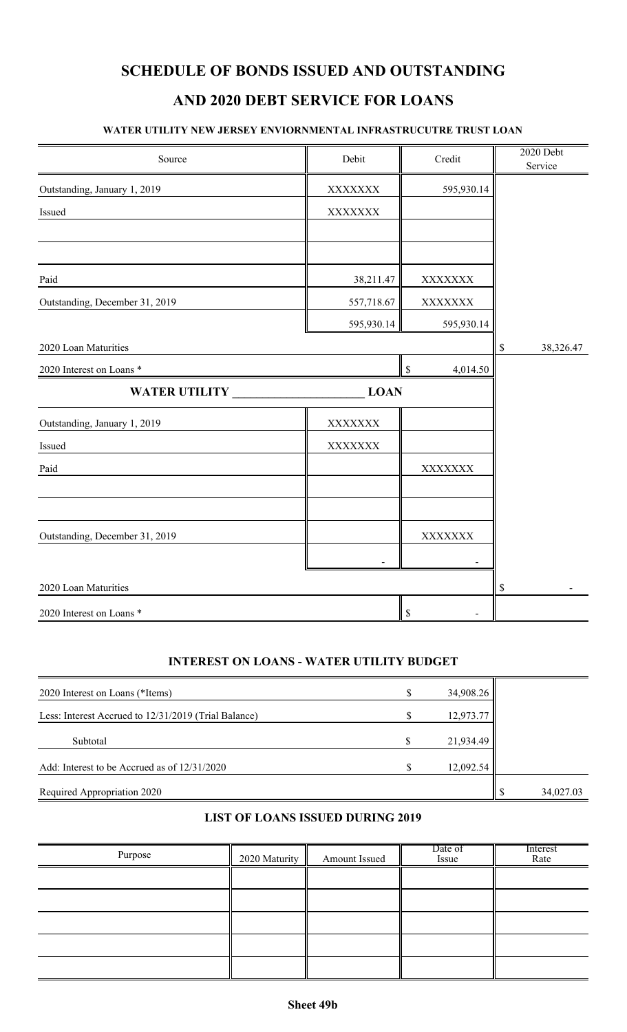## **AND 2020 DEBT SERVICE FOR LOANS**

#### **WATER UTILITY NEW JERSEY ENVIORNMENTAL INFRASTRUCUTRE TRUST LOAN**

| Source                         | Debit      | Credit                  | 2020 Debt<br>Service |
|--------------------------------|------------|-------------------------|----------------------|
| Outstanding, January 1, 2019   | XXXXXXX    | 595,930.14              |                      |
| Issued                         | XXXXXXX    |                         |                      |
|                                |            |                         |                      |
|                                |            |                         |                      |
| Paid                           | 38,211.47  | XXXXXXX                 |                      |
| Outstanding, December 31, 2019 | 557,718.67 | XXXXXXX                 |                      |
|                                | 595,930.14 | 595,930.14              |                      |
| 2020 Loan Maturities           |            |                         | \$<br>38,326.47      |
| 2020 Interest on Loans*        |            | $\mathbb S$<br>4,014.50 |                      |
| <b>WATER UTILITY</b>           | LOAN       |                         |                      |
| Outstanding, January 1, 2019   | XXXXXXX    |                         |                      |
| Issued                         | XXXXXXX    |                         |                      |
| Paid                           |            | XXXXXXX                 |                      |
|                                |            |                         |                      |
|                                |            |                         |                      |
| Outstanding, December 31, 2019 |            | XXXXXXX                 |                      |
|                                |            |                         |                      |
| 2020 Loan Maturities           |            |                         | \$                   |
| 2020 Interest on Loans *       |            |                         |                      |

#### **INTEREST ON LOANS - WATER UTILITY BUDGET**

| 2020 Interest on Loans (*Items)                      |   | 34,908.26 |           |
|------------------------------------------------------|---|-----------|-----------|
| Less: Interest Accrued to 12/31/2019 (Trial Balance) |   | 12,973.77 |           |
| Subtotal                                             | S | 21,934.49 |           |
| Add: Interest to be Accrued as of $12/31/2020$       |   | 12,092.54 |           |
| Required Appropriation 2020                          |   |           | 34,027.03 |

### **LIST OF LOANS ISSUED DURING 2019**

| Purpose | 2020 Maturity | Amount Issued | Date of<br>Issue | Interest<br>Rate |
|---------|---------------|---------------|------------------|------------------|
|         |               |               |                  |                  |
|         |               |               |                  |                  |
|         |               |               |                  |                  |
|         |               |               |                  |                  |
|         |               |               |                  |                  |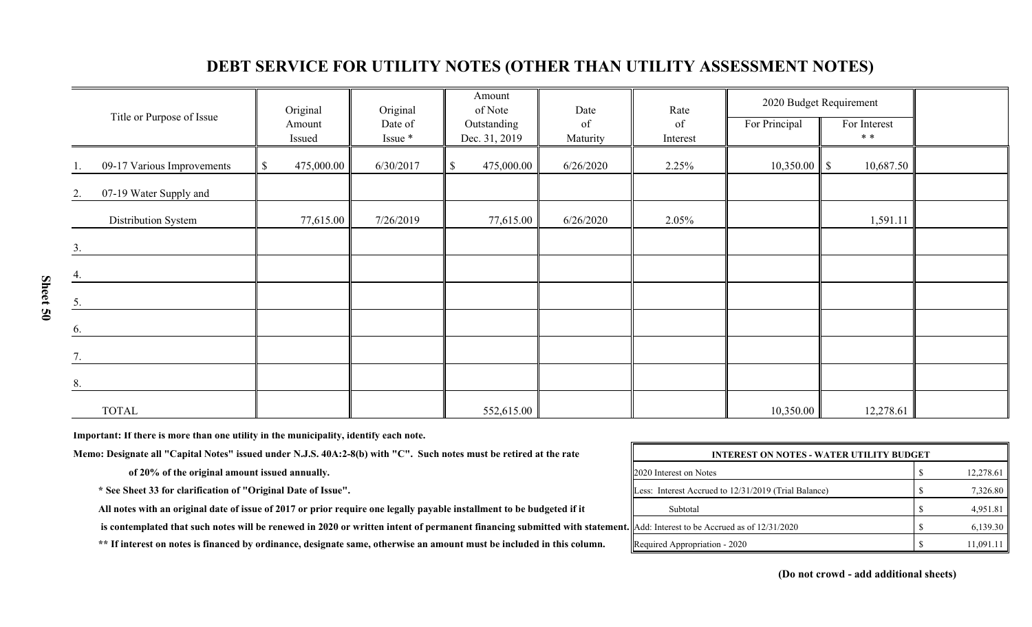| Title or Purpose of Issue    | Original                   | Original           | Amount<br>of Note            | Date           | Rate           |               | 2020 Budget Requirement |  |
|------------------------------|----------------------------|--------------------|------------------------------|----------------|----------------|---------------|-------------------------|--|
|                              | Amount<br>Issued           | Date of<br>Issue * | Outstanding<br>Dec. 31, 2019 | of<br>Maturity | of<br>Interest | For Principal | For Interest<br>$**$    |  |
| 09-17 Various Improvements   | 475,000.00<br>$\mathbb{S}$ | 6/30/2017          | 475,000.00<br>S.             | 6/26/2020      | 2.25%          |               | 10,687.50               |  |
| 07-19 Water Supply and<br>2. |                            |                    |                              |                |                |               |                         |  |
| Distribution System          | 77,615.00                  | 7/26/2019          | 77,615.00                    | 6/26/2020      | 2.05%          |               | 1,591.11                |  |
| 3.                           |                            |                    |                              |                |                |               |                         |  |
| 4.                           |                            |                    |                              |                |                |               |                         |  |
| 5.                           |                            |                    |                              |                |                |               |                         |  |
| 6.                           |                            |                    |                              |                |                |               |                         |  |
| 7.                           |                            |                    |                              |                |                |               |                         |  |
| 8.                           |                            |                    |                              |                |                |               |                         |  |
| <b>TOTAL</b>                 |                            |                    | 552,615.00                   |                |                | 10,350.00     | 12,278.61               |  |

## **DEBT SERVICE FOR UTILITY NOTES (OTHER THAN UTILITY ASSESSMENT NOTES)**

**Important: If there is more than one utility in the municipality, identify each note.**

Memo: Designate all "Capital Notes" issued under N.J.S. 40A:2-8(b) with "C". Such notes must be retired at the rate

of 20% of the original amount issued annually.

\* See Sheet 33 for clarification of "Original Date of Issue".

All notes with an original date of issue of 2017 or prior require one legally payable installment to be budgeted if it

is contemplated that such notes will be renewed in 2020 or written intent of permanent financing submitted with statement.

\*\* If interest on notes is financed by ordinance, designate same, otherwise an amount must be included in this column.

| <b>INTEREST ON NOTES - WATER UTILITY BUDGET</b>      |  |           |  |  |  |  |
|------------------------------------------------------|--|-----------|--|--|--|--|
| 2020 Interest on Notes                               |  | 12,278.61 |  |  |  |  |
| Less: Interest Accrued to 12/31/2019 (Trial Balance) |  | 7,326.80  |  |  |  |  |
| Subtotal                                             |  | 4,951.81  |  |  |  |  |
| Add: Interest to be Accrued as of 12/31/2020         |  | 6,139.30  |  |  |  |  |
| Required Appropriation - 2020                        |  | 11,091.11 |  |  |  |  |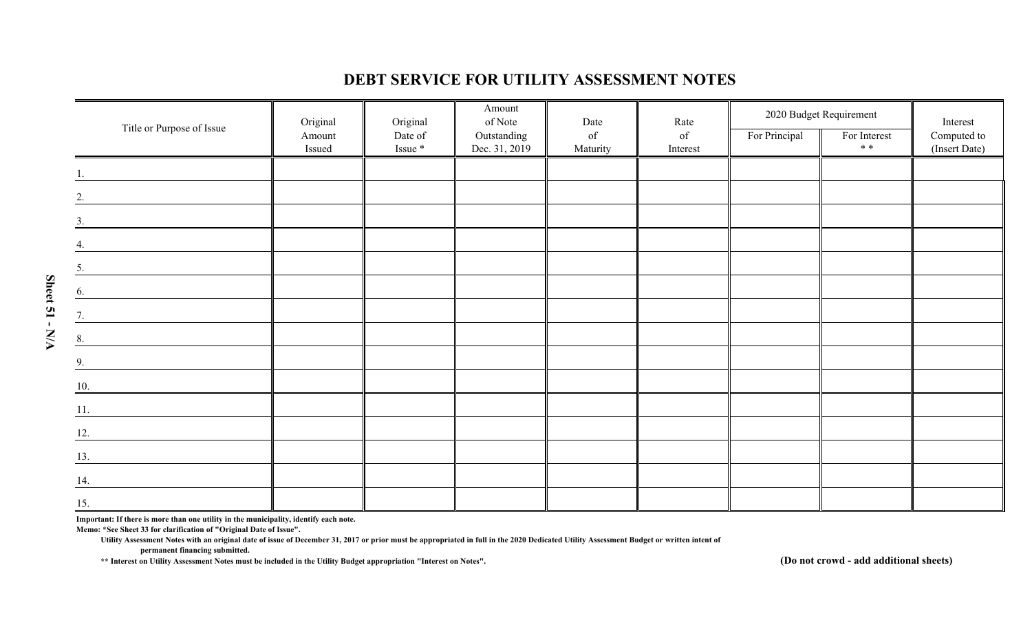### **DEBT SERVICE FOR UTILITY ASSESSMENT NOTES**

|                              | Original         | Original           | Amount<br>of Note            | Date           | Rate           | 2020 Budget Requirement |                       | Interest                     |
|------------------------------|------------------|--------------------|------------------------------|----------------|----------------|-------------------------|-----------------------|------------------------------|
| Title or Purpose of Issue    | Amount<br>Issued | Date of<br>Issue * | Outstanding<br>Dec. 31, 2019 | of<br>Maturity | of<br>Interest | For Principal           | For Interest<br>$* *$ | Computed to<br>(Insert Date) |
|                              |                  |                    |                              |                |                |                         |                       |                              |
| $\frac{1}{ }$                |                  |                    |                              |                |                |                         |                       |                              |
| 2.                           |                  |                    |                              |                |                |                         |                       |                              |
| 3.                           |                  |                    |                              |                |                |                         |                       |                              |
| $\frac{4}{ }$                |                  |                    |                              |                |                |                         |                       |                              |
| $\overline{5}$ .             |                  |                    |                              |                |                |                         |                       |                              |
| 6.                           |                  |                    |                              |                |                |                         |                       |                              |
| 7.                           |                  |                    |                              |                |                |                         |                       |                              |
| 8.                           |                  |                    |                              |                |                |                         |                       |                              |
| $\frac{9}{2}$                |                  |                    |                              |                |                |                         |                       |                              |
| 10.                          |                  |                    |                              |                |                |                         |                       |                              |
| 11.                          |                  |                    |                              |                |                |                         |                       |                              |
| 12.                          |                  |                    |                              |                |                |                         |                       |                              |
| 13.                          |                  |                    |                              |                |                |                         |                       |                              |
| 14.                          |                  |                    |                              |                |                |                         |                       |                              |
| $\stackrel{15}{\phantom{1}}$ |                  |                    |                              |                |                |                         |                       |                              |

**Important: If there is more than one utility in the municipality, identify each note. Memo: \*See Sheet 33 for clarification of "Original Date of Issue".**

**Sheet 51 - N/A**

Sheet 51 - N/A

**Utility Assessment Notes with an original date of issue of December 31, 2017 or prior must be appropriated in full in the 2020 Dedicated Utility Assessment Budget or written intent of permanent financing submitted.**

**\*\* Interest on Utility Assessment Notes must be included in the Utility Budget appropriation "Interest on Notes".**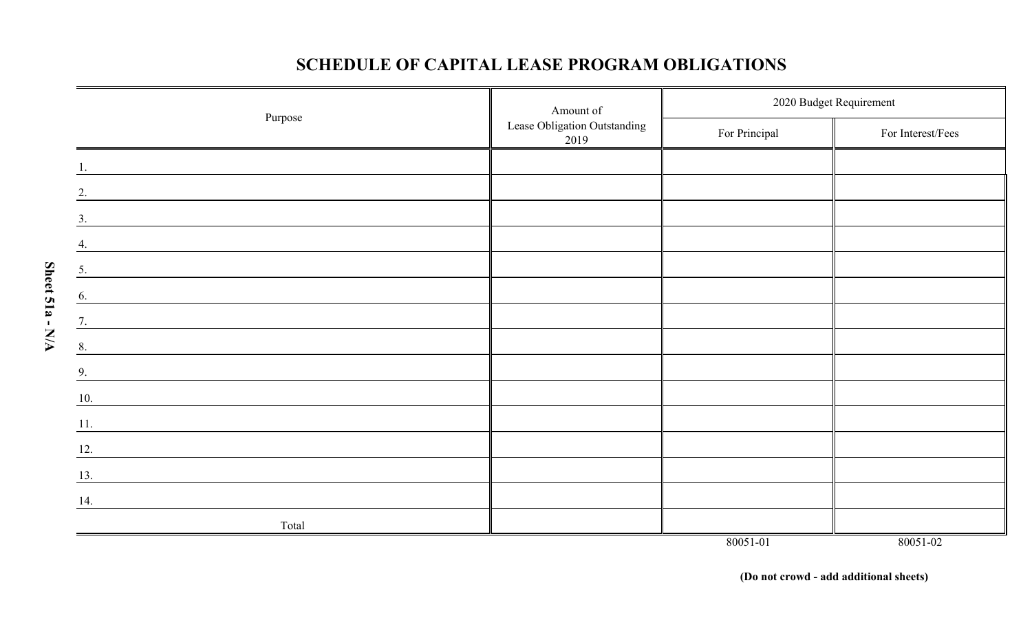## **SCHEDULE OF CAPITAL LEASE PROGRAM OBLIGATIONS**

|                                                                                                                             | Amount of                            | 2020 Budget Requirement |                   |  |  |
|-----------------------------------------------------------------------------------------------------------------------------|--------------------------------------|-------------------------|-------------------|--|--|
| Purpose                                                                                                                     | Lease Obligation Outstanding<br>2019 | For Principal           | For Interest/Fees |  |  |
|                                                                                                                             |                                      |                         |                   |  |  |
| 2.                                                                                                                          |                                      |                         |                   |  |  |
| 3.                                                                                                                          |                                      |                         |                   |  |  |
| 4.                                                                                                                          |                                      |                         |                   |  |  |
| 5.                                                                                                                          |                                      |                         |                   |  |  |
| 6.                                                                                                                          |                                      |                         |                   |  |  |
| 7.                                                                                                                          |                                      |                         |                   |  |  |
| 8.                                                                                                                          |                                      |                         |                   |  |  |
| 9.<br><u> 1989 - Johann Barbara, martxa al III-lea (h. 1989).</u>                                                           |                                      |                         |                   |  |  |
| 10.                                                                                                                         |                                      |                         |                   |  |  |
| 11.<br><u> 1989 - Johann Stein, mars and de Britain (b. 1989)</u>                                                           |                                      |                         |                   |  |  |
| 12.<br><u> 1989 - Johann John Stein, mars and de British and de British and de British and de British and de British an</u> |                                      |                         |                   |  |  |
| 13.<br><u> 1980 - Johann John Stein, markin f</u>                                                                           |                                      |                         |                   |  |  |
| 14.                                                                                                                         |                                      |                         |                   |  |  |
| Total                                                                                                                       |                                      |                         |                   |  |  |
|                                                                                                                             |                                      | 80051-01                | 80051-02          |  |  |

**Sheet 51a - N/A**

Sheet 51a - N/A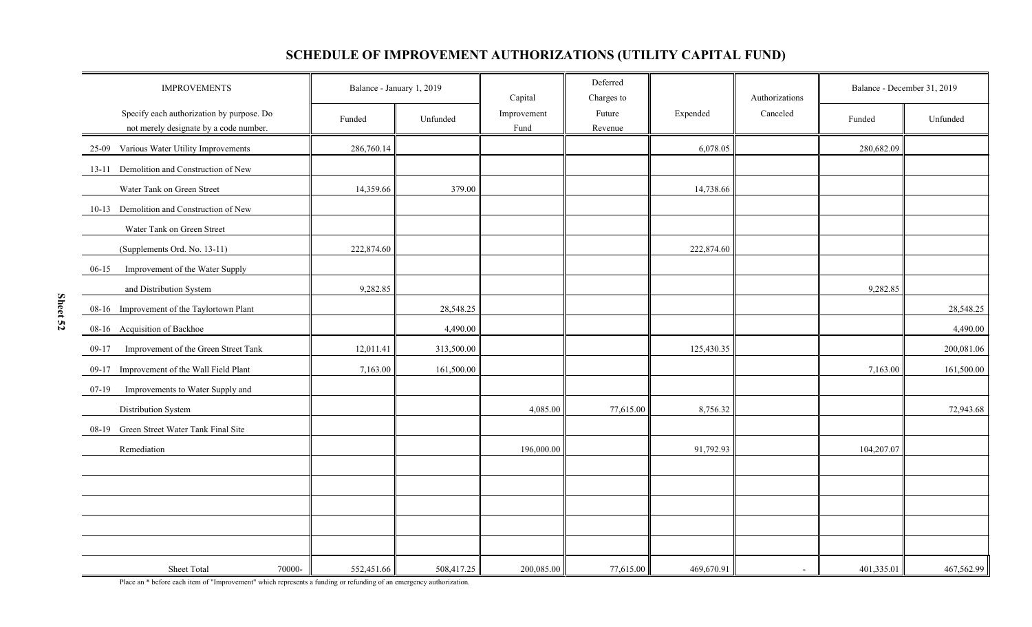## **SCHEDULE OF IMPROVEMENT AUTHORIZATIONS (UTILITY CAPITAL FUND)**

| <b>IMPROVEMENTS</b>                                                                 | Balance - January 1, 2019 |            | Capital             | Deferred<br>Charges to |            | Authorizations | Balance - December 31, 2019 |            |
|-------------------------------------------------------------------------------------|---------------------------|------------|---------------------|------------------------|------------|----------------|-----------------------------|------------|
| Specify each authorization by purpose. Do<br>not merely designate by a code number. | Funded                    | Unfunded   | Improvement<br>Fund | Future<br>Revenue      | Expended   | Canceled       | Funded                      | Unfunded   |
| Various Water Utility Improvements<br>25-09                                         | 286,760.14                |            |                     |                        | 6,078.05   |                | 280,682.09                  |            |
| Demolition and Construction of New<br>13-11                                         |                           |            |                     |                        |            |                |                             |            |
| Water Tank on Green Street                                                          | 14,359.66                 | 379.00     |                     |                        | 14,738.66  |                |                             |            |
| 10-13 Demolition and Construction of New                                            |                           |            |                     |                        |            |                |                             |            |
| Water Tank on Green Street                                                          |                           |            |                     |                        |            |                |                             |            |
| (Supplements Ord. No. 13-11)                                                        | 222,874.60                |            |                     |                        | 222,874.60 |                |                             |            |
| $06-15$<br>Improvement of the Water Supply                                          |                           |            |                     |                        |            |                |                             |            |
| and Distribution System                                                             | 9,282.85                  |            |                     |                        |            |                | 9,282.85                    |            |
| Improvement of the Taylortown Plant<br>08-16                                        |                           | 28,548.25  |                     |                        |            |                |                             | 28,548.25  |
| Acquisition of Backhoe<br>$08-16$                                                   |                           | 4,490.00   |                     |                        |            |                |                             | 4,490.00   |
| Improvement of the Green Street Tank<br>$09-17$                                     | 12,011.41                 | 313,500.00 |                     |                        | 125,430.35 |                |                             | 200,081.06 |
| Improvement of the Wall Field Plant<br>09-17                                        | 7,163.00                  | 161,500.00 |                     |                        |            |                | 7,163.00                    | 161,500.00 |
| Improvements to Water Supply and<br>$07-19$                                         |                           |            |                     |                        |            |                |                             |            |
| Distribution System                                                                 |                           |            | 4,085.00            | 77,615.00              | 8,756.32   |                |                             | 72,943.68  |
| Green Street Water Tank Final Site<br>08-19                                         |                           |            |                     |                        |            |                |                             |            |
| Remediation                                                                         |                           |            | 196,000.00          |                        | 91,792.93  |                | 104,207.07                  |            |
|                                                                                     |                           |            |                     |                        |            |                |                             |            |
|                                                                                     |                           |            |                     |                        |            |                |                             |            |
|                                                                                     |                           |            |                     |                        |            |                |                             |            |
|                                                                                     |                           |            |                     |                        |            |                |                             |            |
|                                                                                     |                           |            |                     |                        |            |                |                             |            |
| Sheet Total<br>70000-                                                               | 552,451.66                | 508,417.25 | 200,085.00          | 77,615.00              | 469,670.91 | $\sim$         | 401,335.01                  | 467,562.99 |

Place an \* before each item of "Improvement" which represents a funding or refunding of an emergency authorization.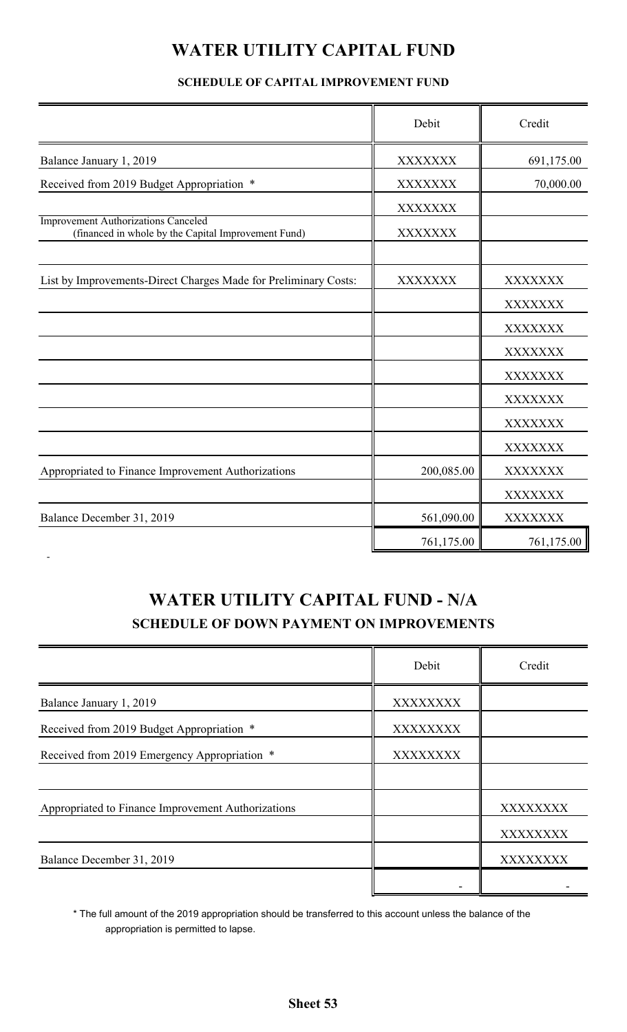# **WATER UTILITY CAPITAL FUND**

### **SCHEDULE OF CAPITAL IMPROVEMENT FUND**

|                                                                                                   | Debit          | Credit         |
|---------------------------------------------------------------------------------------------------|----------------|----------------|
| Balance January 1, 2019                                                                           | XXXXXXX        | 691,175.00     |
| Received from 2019 Budget Appropriation *                                                         | <b>XXXXXXX</b> | 70,000.00      |
|                                                                                                   | <b>XXXXXXX</b> |                |
| <b>Improvement Authorizations Canceled</b><br>(financed in whole by the Capital Improvement Fund) | <b>XXXXXXX</b> |                |
| List by Improvements-Direct Charges Made for Preliminary Costs:                                   | <b>XXXXXXX</b> | XXXXXXX        |
|                                                                                                   |                | XXXXXXX        |
|                                                                                                   |                | XXXXXXX        |
|                                                                                                   |                | <b>XXXXXXX</b> |
|                                                                                                   |                | XXXXXXX        |
|                                                                                                   |                | XXXXXXX        |
|                                                                                                   |                | <b>XXXXXXX</b> |
|                                                                                                   |                | XXXXXXX        |
| Appropriated to Finance Improvement Authorizations                                                | 200,085.00     | <b>XXXXXXX</b> |
|                                                                                                   |                | <b>XXXXXXX</b> |
| Balance December 31, 2019                                                                         | 561,090.00     | <b>XXXXXXX</b> |
|                                                                                                   | 761,175.00     | 761,175.00     |

# **WATER UTILITY CAPITAL FUND - N/A SCHEDULE OF DOWN PAYMENT ON IMPROVEMENTS**

|                                                    | Debit           | Credit   |
|----------------------------------------------------|-----------------|----------|
| Balance January 1, 2019                            | <b>XXXXXXXX</b> |          |
| Received from 2019 Budget Appropriation *          | <b>XXXXXXXX</b> |          |
| Received from 2019 Emergency Appropriation *       | <b>XXXXXXXX</b> |          |
|                                                    |                 |          |
| Appropriated to Finance Improvement Authorizations |                 | XXXXXXXX |
|                                                    |                 | XXXXXXXX |
| Balance December 31, 2019                          |                 | XXXXXXXX |
|                                                    |                 |          |

\* The full amount of the 2019 appropriation should be transferred to this account unless the balance of the appropriation is permitted to lapse.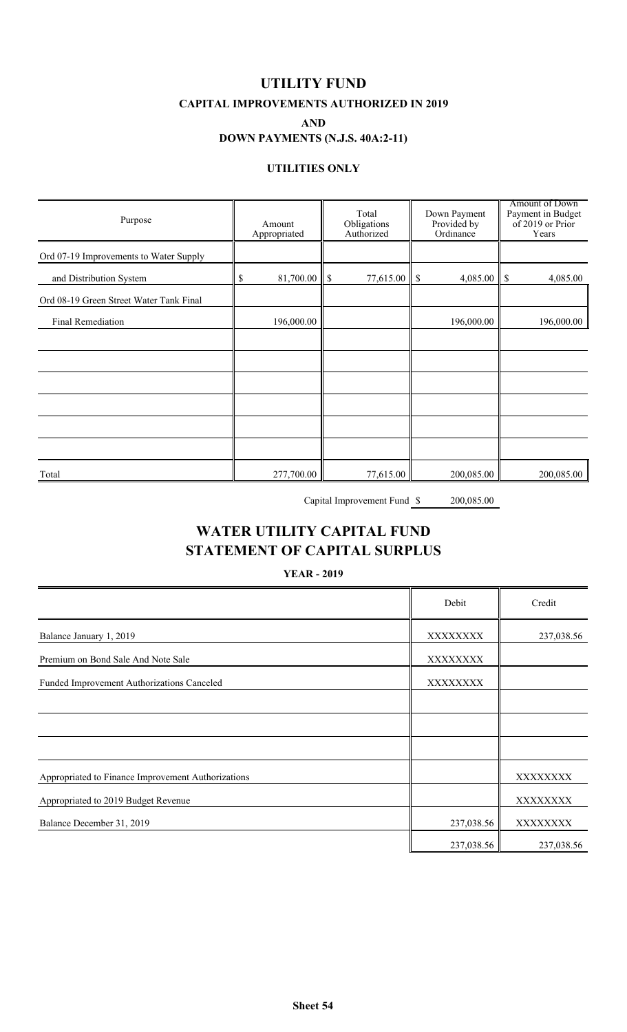**UTILITY FUND CAPITAL IMPROVEMENTS AUTHORIZED IN 2019**

**AND**

#### **DOWN PAYMENTS (N.J.S. 40A:2-11)**

#### **UTILITIES ONLY**

| Purpose                                 | Amount<br>Appropriated | Total<br>Obligations<br>Authorized | Down Payment<br>Provided by<br>Ordinance | Amount of Down<br>Payment in Budget<br>of 2019 or Prior<br>Years |
|-----------------------------------------|------------------------|------------------------------------|------------------------------------------|------------------------------------------------------------------|
| Ord 07-19 Improvements to Water Supply  |                        |                                    |                                          |                                                                  |
| and Distribution System                 | 81,700.00<br>\$        | 77,615.00<br>\$                    | 4,085.00<br>$\boldsymbol{\mathsf{S}}$    | $\sqrt{S}$<br>4,085.00                                           |
| Ord 08-19 Green Street Water Tank Final |                        |                                    |                                          |                                                                  |
| Final Remediation                       | 196,000.00             |                                    | 196,000.00                               | 196,000.00                                                       |
|                                         |                        |                                    |                                          |                                                                  |
|                                         |                        |                                    |                                          |                                                                  |
|                                         |                        |                                    |                                          |                                                                  |
|                                         |                        |                                    |                                          |                                                                  |
|                                         |                        |                                    |                                          |                                                                  |
|                                         |                        |                                    |                                          |                                                                  |
| Total                                   | 277,700.00             | 77,615.00                          | 200,085.00                               | 200,085.00                                                       |

Capital Improvement Fund  $\frac{\$}{\$}$  200,085.00

## **WATER UTILITY CAPITAL FUND STATEMENT OF CAPITAL SURPLUS**

**YEAR - 2019**

|                                                    | Debit      | Credit     |
|----------------------------------------------------|------------|------------|
| Balance January 1, 2019                            | XXXXXXXX   | 237,038.56 |
| Premium on Bond Sale And Note Sale                 | XXXXXXXX   |            |
| Funded Improvement Authorizations Canceled         | XXXXXXXX   |            |
|                                                    |            |            |
|                                                    |            |            |
|                                                    |            |            |
| Appropriated to Finance Improvement Authorizations |            | XXXXXXXX   |
| Appropriated to 2019 Budget Revenue                |            | XXXXXXXX   |
| Balance December 31, 2019                          | 237,038.56 | XXXXXXXX   |
|                                                    | 237,038.56 | 237,038.56 |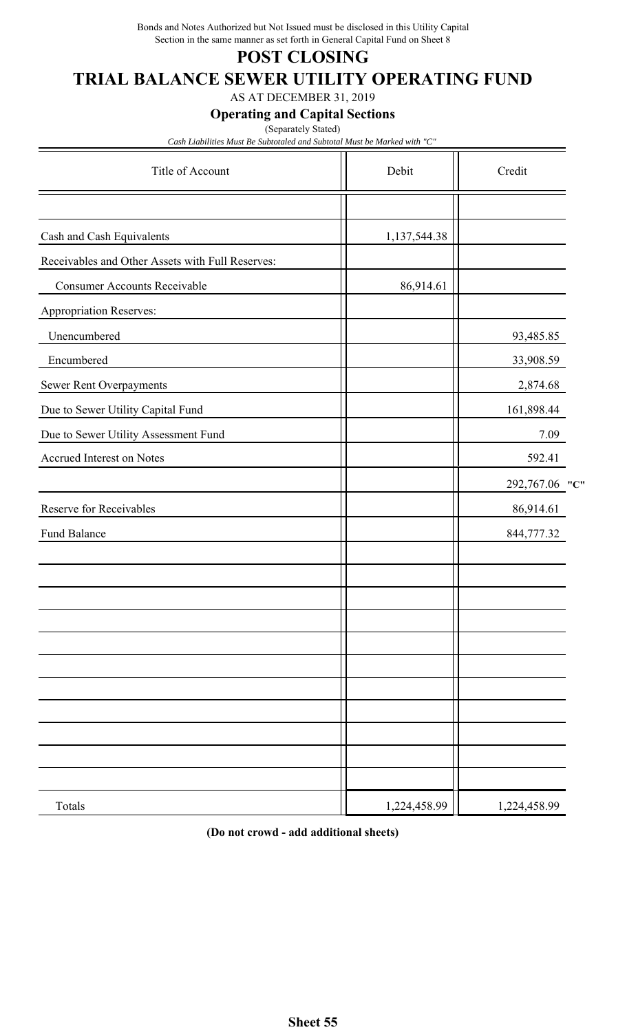Bonds and Notes Authorized but Not Issued must be disclosed in this Utility Capital Section in the same manner as set forth in General Capital Fund on Sheet 8

## **POST CLOSING**

# **TRIAL BALANCE SEWER UTILITY OPERATING FUND**

AS AT DECEMBER 31, 2019

**Operating and Capital Sections**

(Separately Stated)

*Cash Liabilities Must Be Subtotaled and Subtotal Must be Marked with "C"*

| Title of Account                                 | Debit        | Credit            |
|--------------------------------------------------|--------------|-------------------|
|                                                  |              |                   |
| Cash and Cash Equivalents                        | 1,137,544.38 |                   |
| Receivables and Other Assets with Full Reserves: |              |                   |
| <b>Consumer Accounts Receivable</b>              | 86,914.61    |                   |
| Appropriation Reserves:                          |              |                   |
| Unencumbered                                     |              | 93,485.85         |
| Encumbered                                       |              | 33,908.59         |
| Sewer Rent Overpayments                          |              | 2,874.68          |
| Due to Sewer Utility Capital Fund                |              | 161,898.44        |
| Due to Sewer Utility Assessment Fund             |              | 7.09              |
| Accrued Interest on Notes                        |              | 592.41            |
|                                                  |              | 292,767.06<br>"C" |
| Reserve for Receivables                          |              | 86,914.61         |
| Fund Balance                                     |              | 844,777.32        |
|                                                  |              |                   |
|                                                  |              |                   |
|                                                  |              |                   |
|                                                  |              |                   |
|                                                  |              |                   |
|                                                  |              |                   |
|                                                  |              |                   |
|                                                  |              |                   |
|                                                  |              |                   |
|                                                  |              |                   |
| Totals                                           | 1,224,458.99 | 1,224,458.99      |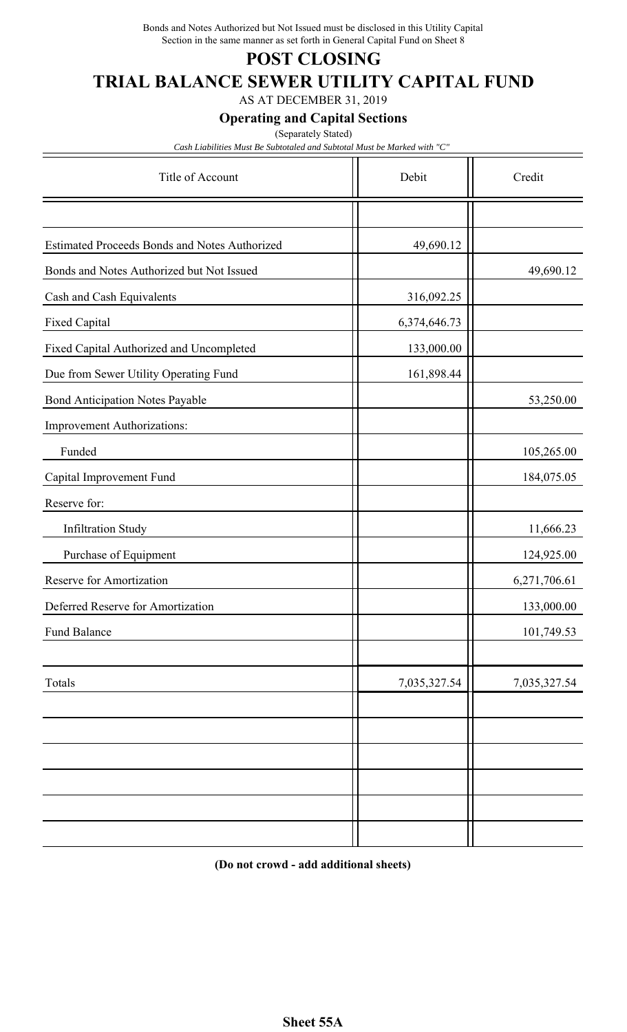Bonds and Notes Authorized but Not Issued must be disclosed in this Utility Capital Section in the same manner as set forth in General Capital Fund on Sheet 8

## **POST CLOSING**

# **TRIAL BALANCE SEWER UTILITY CAPITAL FUND**

AS AT DECEMBER 31, 2019

**Operating and Capital Sections**

(Separately Stated)

*Cash Liabilities Must Be Subtotaled and Subtotal Must be Marked with "C"*

| Title of Account                                     | Debit        | Credit       |
|------------------------------------------------------|--------------|--------------|
|                                                      |              |              |
| <b>Estimated Proceeds Bonds and Notes Authorized</b> | 49,690.12    |              |
| Bonds and Notes Authorized but Not Issued            |              | 49,690.12    |
| Cash and Cash Equivalents                            | 316,092.25   |              |
| Fixed Capital                                        | 6,374,646.73 |              |
| Fixed Capital Authorized and Uncompleted             | 133,000.00   |              |
| Due from Sewer Utility Operating Fund                | 161,898.44   |              |
| <b>Bond Anticipation Notes Payable</b>               |              | 53,250.00    |
| Improvement Authorizations:                          |              |              |
| Funded                                               |              | 105,265.00   |
| Capital Improvement Fund                             |              | 184,075.05   |
| Reserve for:                                         |              |              |
| <b>Infiltration Study</b>                            |              | 11,666.23    |
| Purchase of Equipment                                |              | 124,925.00   |
| Reserve for Amortization                             |              | 6,271,706.61 |
| Deferred Reserve for Amortization                    |              | 133,000.00   |
| Fund Balance                                         |              | 101,749.53   |
| Totals                                               | 7,035,327.54 | 7,035,327.54 |
|                                                      |              |              |
|                                                      |              |              |
|                                                      |              |              |
|                                                      |              |              |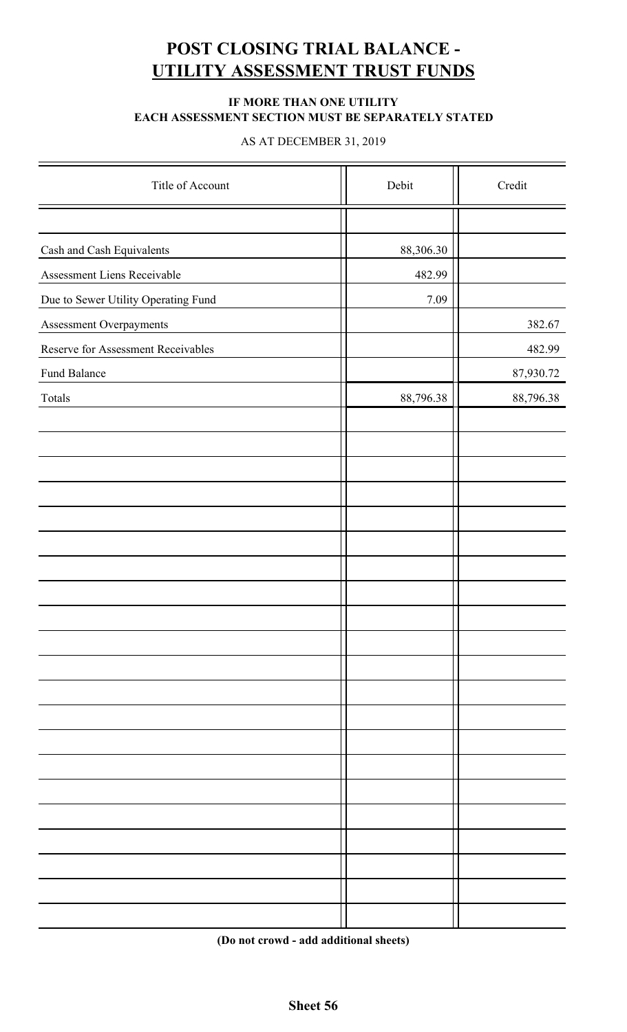# **POST CLOSING TRIAL BALANCE - UTILITY ASSESSMENT TRUST FUNDS**

#### **IF MORE THAN ONE UTILITY EACH ASSESSMENT SECTION MUST BE SEPARATELY STATED**

#### AS AT DECEMBER 31, 2019

| Title of Account                    | Debit     | Credit    |
|-------------------------------------|-----------|-----------|
|                                     |           |           |
| Cash and Cash Equivalents           | 88,306.30 |           |
| Assessment Liens Receivable         | 482.99    |           |
| Due to Sewer Utility Operating Fund | 7.09      |           |
| Assessment Overpayments             |           | 382.67    |
| Reserve for Assessment Receivables  |           | 482.99    |
| Fund Balance                        |           | 87,930.72 |
| Totals                              | 88,796.38 | 88,796.38 |
|                                     |           |           |
|                                     |           |           |
|                                     |           |           |
|                                     |           |           |
|                                     |           |           |
|                                     |           |           |
|                                     |           |           |
|                                     |           |           |
|                                     |           |           |
|                                     |           |           |
|                                     |           |           |
|                                     |           |           |
|                                     |           |           |
|                                     |           |           |
|                                     |           |           |
|                                     |           |           |
|                                     |           |           |
|                                     |           |           |
|                                     |           |           |
|                                     |           |           |
|                                     |           |           |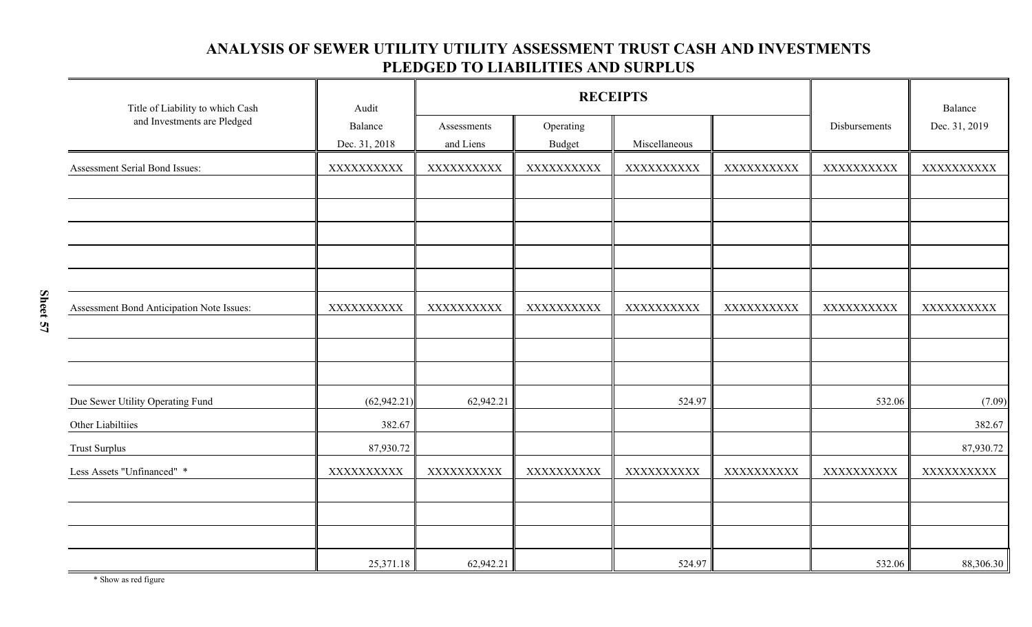### **ANALYSIS OF SEWER UTILITY UTILITY ASSESSMENT TRUST CASH AND INVESTMENTS PLEDGED TO LIABILITIES AND SURPLUS**

| Title of Liability to which Cash          | Audit                    | <b>RECEIPTS</b>          |                     |               |            | Balance       |               |
|-------------------------------------------|--------------------------|--------------------------|---------------------|---------------|------------|---------------|---------------|
| and Investments are Pledged               | Balance<br>Dec. 31, 2018 | Assessments<br>and Liens | Operating<br>Budget | Miscellaneous |            | Disbursements | Dec. 31, 2019 |
| Assessment Serial Bond Issues:            | XXXXXXXXXX               | XXXXXXXXXX               | XXXXXXXXXX          | XXXXXXXXXX    | XXXXXXXXXX | XXXXXXXXXX    | XXXXXXXXXX    |
|                                           |                          |                          |                     |               |            |               |               |
|                                           |                          |                          |                     |               |            |               |               |
|                                           |                          |                          |                     |               |            |               |               |
|                                           |                          |                          |                     |               |            |               |               |
|                                           |                          |                          |                     |               |            |               |               |
| Assessment Bond Anticipation Note Issues: | XXXXXXXXXX               | XXXXXXXXXX               | XXXXXXXXXX          | XXXXXXXXXX    | XXXXXXXXXX | XXXXXXXXXX    | XXXXXXXXXX    |
|                                           |                          |                          |                     |               |            |               |               |
|                                           |                          |                          |                     |               |            |               |               |
|                                           |                          |                          |                     |               |            |               |               |
| Due Sewer Utility Operating Fund          | (62, 942.21)             | 62,942.21                |                     | 524.97        |            | 532.06        | (7.09)        |
| Other Liabiltiies                         | 382.67                   |                          |                     |               |            |               | 382.67        |
| <b>Trust Surplus</b>                      | 87,930.72                |                          |                     |               |            |               | 87,930.72     |
| Less Assets "Unfinanced" *                | XXXXXXXXXX               | XXXXXXXXXX               | XXXXXXXXXX          | XXXXXXXXXX    | XXXXXXXXXX | XXXXXXXXXX    | XXXXXXXXXX    |
|                                           |                          |                          |                     |               |            |               |               |
|                                           |                          |                          |                     |               |            |               |               |
|                                           |                          |                          |                     |               |            |               |               |
|                                           | 25,371.18                | 62,942.21                |                     | 524.97        |            | 532.06        | 88,306.30     |

\* Show as red figure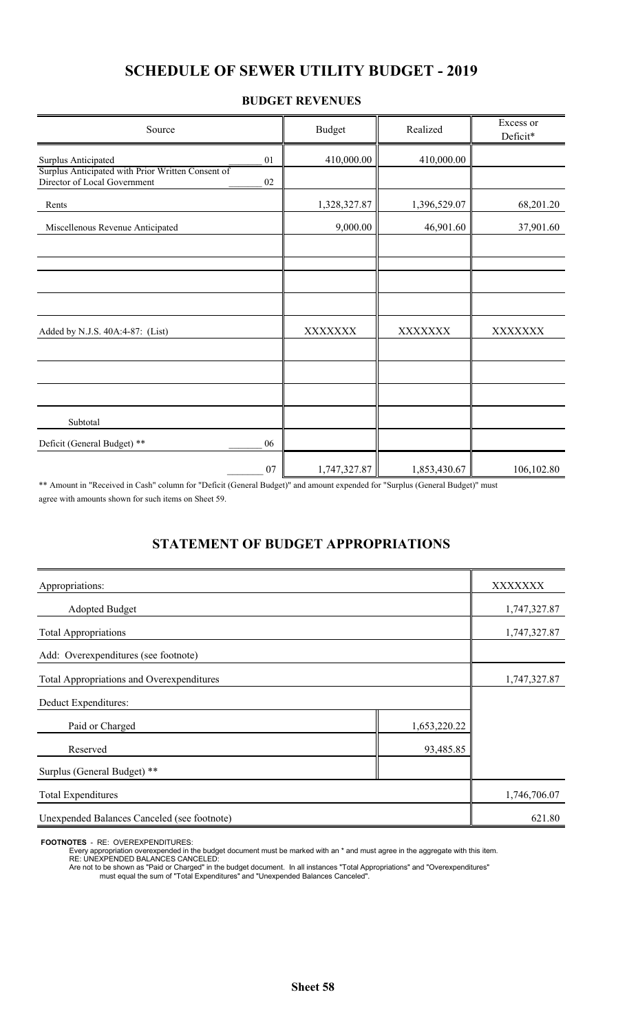## **SCHEDULE OF SEWER UTILITY BUDGET - 2019**

#### **BUDGET REVENUES**

| Source                                                                                  | <b>Budget</b> | Realized     | Excess or<br>Deficit* |
|-----------------------------------------------------------------------------------------|---------------|--------------|-----------------------|
| Surplus Anticipated<br>01                                                               | 410,000.00    | 410,000.00   |                       |
| Surplus Anticipated with Prior Written Consent of<br>Director of Local Government<br>02 |               |              |                       |
| Rents                                                                                   | 1,328,327.87  | 1,396,529.07 | 68,201.20             |
| Miscellenous Revenue Anticipated                                                        | 9,000.00      | 46,901.60    | 37,901.60             |
|                                                                                         |               |              |                       |
|                                                                                         |               |              |                       |
|                                                                                         |               |              |                       |
| Added by N.J.S. 40A:4-87: (List)                                                        | XXXXXXX       | XXXXXXX      | XXXXXXX               |
|                                                                                         |               |              |                       |
|                                                                                         |               |              |                       |
| Subtotal                                                                                |               |              |                       |
| Deficit (General Budget) **<br>06                                                       |               |              |                       |
| 07                                                                                      | 1,747,327.87  | 1,853,430.67 | 106,102.80            |

\*\* Amount in "Received in Cash" column for "Deficit (General Budget)" and amount expended for "Surplus (General Budget)" must agree with amounts shown for such items on Sheet 59.

### **STATEMENT OF BUDGET APPROPRIATIONS**

| Appropriations:                             |              | XXXXXXX      |
|---------------------------------------------|--------------|--------------|
| <b>Adopted Budget</b>                       |              | 1,747,327.87 |
| <b>Total Appropriations</b>                 |              | 1,747,327.87 |
| Add: Overexpenditures (see footnote)        |              |              |
| Total Appropriations and Overexpenditures   |              | 1,747,327.87 |
| Deduct Expenditures:                        |              |              |
| Paid or Charged                             | 1,653,220.22 |              |
| Reserved                                    | 93,485.85    |              |
| Surplus (General Budget) **                 |              |              |
| <b>Total Expenditures</b>                   |              | 1,746,706.07 |
| Unexpended Balances Canceled (see footnote) |              | 621.80       |

**FOOTNOTES** - RE: OVEREXPENDITURES:

Every appropriation overexpended in the budget document must be marked with an \* and must agree in the aggregate with this item.

RE: UNEXPENDED BALANCES CANCELED:

Are not to be shown as "Paid or Charged" in the budget document. In all instances "Total Appropriations" and "Overexpenditures" must equal the sum of "Total Expenditures" and "Unexpended Balances Canceled".

**Sheet 58**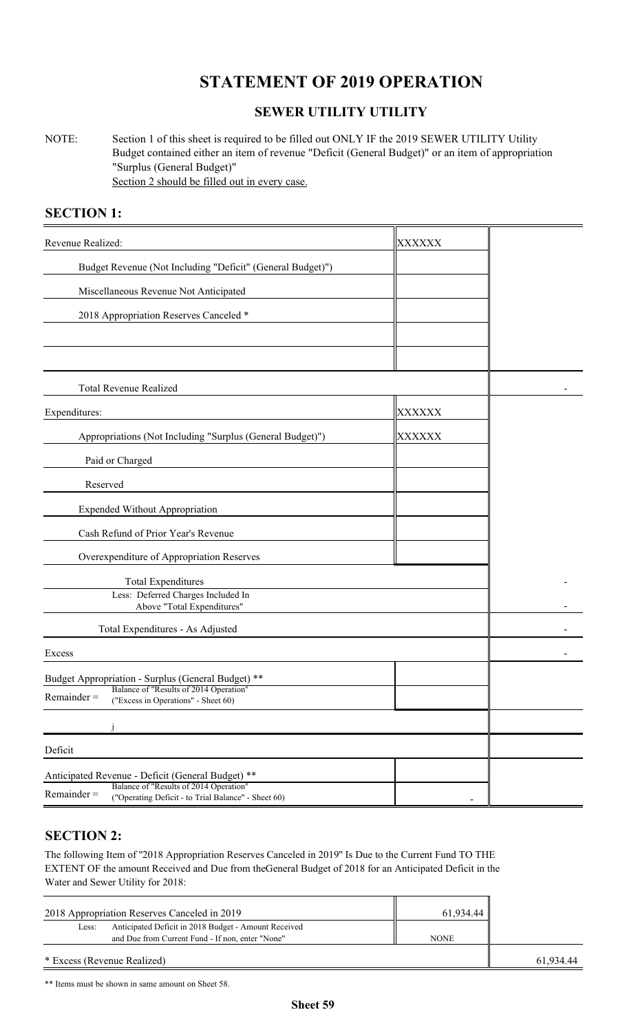# **STATEMENT OF 2019 OPERATION**

### **SEWER UTILITY UTILITY**

NOTE: Section 1 of this sheet is required to be filled out ONLY IF the 2019 SEWER UTILITY Utility Budget contained either an item of revenue "Deficit (General Budget)" or an item of appropriation "Surplus (General Budget)" Section 2 should be filled out in every case.

### **SECTION 1:**

| Revenue Realized:                                                                                              | XXXXXX |  |
|----------------------------------------------------------------------------------------------------------------|--------|--|
| Budget Revenue (Not Including "Deficit" (General Budget)")                                                     |        |  |
| Miscellaneous Revenue Not Anticipated                                                                          |        |  |
| 2018 Appropriation Reserves Canceled *                                                                         |        |  |
|                                                                                                                |        |  |
|                                                                                                                |        |  |
| Total Revenue Realized                                                                                         |        |  |
| Expenditures:                                                                                                  | XXXXXX |  |
| Appropriations (Not Including "Surplus (General Budget)")                                                      | XXXXXX |  |
| Paid or Charged                                                                                                |        |  |
| Reserved                                                                                                       |        |  |
| <b>Expended Without Appropriation</b>                                                                          |        |  |
| Cash Refund of Prior Year's Revenue                                                                            |        |  |
| Overexpenditure of Appropriation Reserves                                                                      |        |  |
| <b>Total Expenditures</b>                                                                                      |        |  |
| Less: Deferred Charges Included In<br>Above "Total Expenditures"                                               |        |  |
| Total Expenditures - As Adjusted                                                                               |        |  |
| Excess                                                                                                         |        |  |
| Budget Appropriation - Surplus (General Budget) **                                                             |        |  |
| Balance of "Results of 2014 Operation"<br>$Remainder =$<br>("Excess in Operations" - Sheet 60)                 |        |  |
|                                                                                                                |        |  |
| Deficit                                                                                                        |        |  |
| Anticipated Revenue - Deficit (General Budget) **                                                              |        |  |
| Balance of "Results of 2014 Operation"<br>$Remainder =$<br>("Operating Deficit - to Trial Balance" - Sheet 60) |        |  |

#### **SECTION 2:**

The following Item of ''2018 Appropriation Reserves Canceled in 2019'' Is Due to the Current Fund TO THE EXTENT OF the amount Received and Due from theGeneral Budget of 2018 for an Anticipated Deficit in the Water and Sewer Utility for 2018:

| 2018 Appropriation Reserves Canceled in 2019                                                                      | 61.934.44   |           |
|-------------------------------------------------------------------------------------------------------------------|-------------|-----------|
| Anticipated Deficit in 2018 Budget - Amount Received<br>Less:<br>and Due from Current Fund - If non, enter "None" | <b>NONE</b> |           |
|                                                                                                                   |             |           |
| * Excess (Revenue Realized)                                                                                       |             | 61.934.44 |

\*\* Items must be shown in same amount on Sheet 58.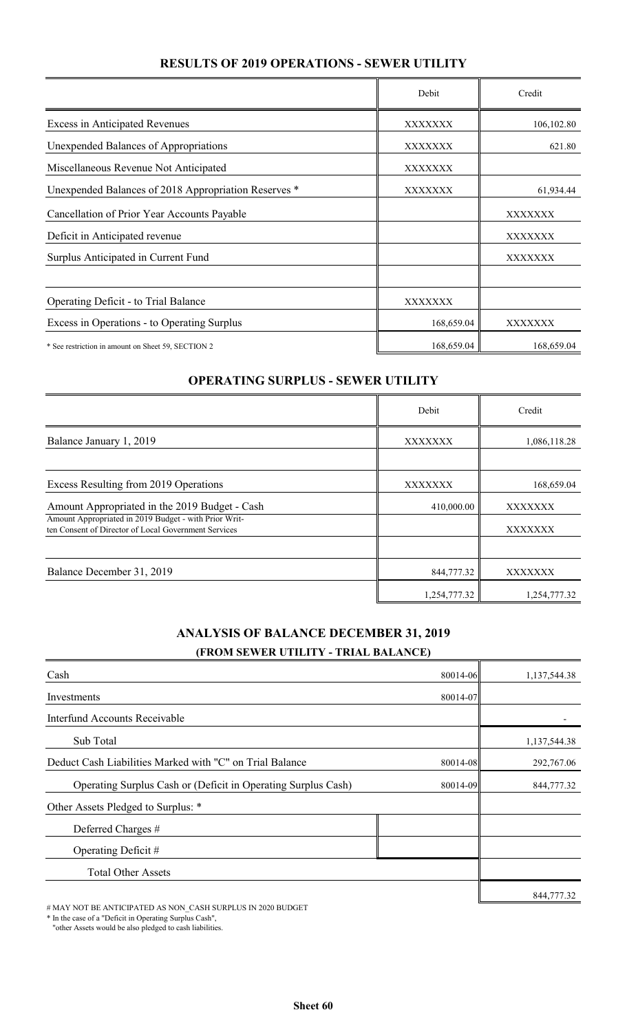### **RESULTS OF 2019 OPERATIONS - SEWER UTILITY**

|                                                      | Debit          | Credit     |
|------------------------------------------------------|----------------|------------|
| <b>Excess in Anticipated Revenues</b>                | XXXXXXX        | 106,102.80 |
| Unexpended Balances of Appropriations                | XXXXXXX        | 621.80     |
| Miscellaneous Revenue Not Anticipated                | XXXXXXX        |            |
| Unexpended Balances of 2018 Appropriation Reserves * | XXXXXXX        | 61,934.44  |
| Cancellation of Prior Year Accounts Payable          |                | XXXXXXX    |
| Deficit in Anticipated revenue                       |                | XXXXXXX    |
| Surplus Anticipated in Current Fund                  |                | XXXXXXX    |
|                                                      |                |            |
| Operating Deficit - to Trial Balance                 | <b>XXXXXXX</b> |            |
| Excess in Operations - to Operating Surplus          | 168,659.04     | XXXXXXX    |
| * See restriction in amount on Sheet 59, SECTION 2   | 168,659.04     | 168,659.04 |

#### **OPERATING SURPLUS - SEWER UTILITY**

|                                                                                                               | Debit        | Credit       |
|---------------------------------------------------------------------------------------------------------------|--------------|--------------|
| Balance January 1, 2019                                                                                       | XXXXXXX      | 1,086,118.28 |
|                                                                                                               |              |              |
| Excess Resulting from 2019 Operations                                                                         | XXXXXXX      | 168,659.04   |
| Amount Appropriated in the 2019 Budget - Cash                                                                 | 410,000.00   | XXXXXXX      |
| Amount Appropriated in 2019 Budget - with Prior Writ-<br>ten Consent of Director of Local Government Services |              | XXXXXXX      |
|                                                                                                               |              |              |
| Balance December 31, 2019                                                                                     | 844,777.32   | XXXXXXX      |
|                                                                                                               | 1,254,777.32 | 1,254,777.32 |

### **ANALYSIS OF BALANCE DECEMBER 31, 2019 (FROM SEWER UTILITY - TRIAL BALANCE)**

| Cash                                                          | 80014-06 | 1,137,544.38 |
|---------------------------------------------------------------|----------|--------------|
| Investments                                                   | 80014-07 |              |
| Interfund Accounts Receivable                                 |          |              |
| Sub Total                                                     |          | 1,137,544.38 |
| Deduct Cash Liabilities Marked with "C" on Trial Balance      | 80014-08 | 292,767.06   |
| Operating Surplus Cash or (Deficit in Operating Surplus Cash) | 80014-09 | 844,777.32   |
| Other Assets Pledged to Surplus: *                            |          |              |
| Deferred Charges #                                            |          |              |
| Operating Deficit #                                           |          |              |
| <b>Total Other Assets</b>                                     |          |              |
|                                                               |          | 844,777.32   |

# MAY NOT BE ANTICIPATED AS NON\_CASH SURPLUS IN 2020 BUDGET

\* In the case of a "Deficit in Operating Surplus Cash",

"other Assets would be also pledged to cash liabilities.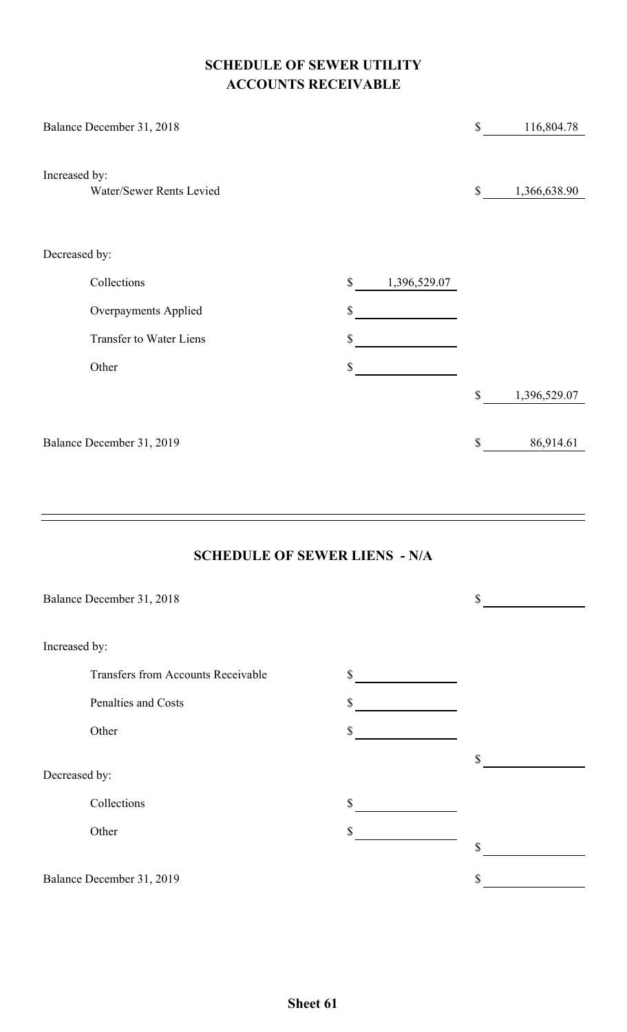### **SCHEDULE OF SEWER UTILITY ACCOUNTS RECEIVABLE**

| Balance December 31, 2018      |                              | \$          | 116,804.78   |
|--------------------------------|------------------------------|-------------|--------------|
|                                |                              |             |              |
| Increased by:                  |                              |             |              |
| Water/Sewer Rents Levied       |                              | $\mathbb S$ | 1,366,638.90 |
|                                |                              |             |              |
|                                |                              |             |              |
| Decreased by:                  |                              |             |              |
| Collections                    | 1,396,529.07<br>$\mathbb{S}$ |             |              |
| Overpayments Applied           | \$                           |             |              |
| <b>Transfer to Water Liens</b> | \$                           |             |              |
| Other                          | \$                           |             |              |
|                                |                              | $\$$        | 1,396,529.07 |
|                                |                              |             |              |
| Balance December 31, 2019      |                              | \$          | 86,914.61    |
|                                |                              |             |              |
|                                |                              |             |              |

### **SCHEDULE OF SEWER LIENS - N/A**

|               | Balance December 31, 2018                 |              | \$ |
|---------------|-------------------------------------------|--------------|----|
|               |                                           |              |    |
| Increased by: |                                           |              |    |
|               | <b>Transfers from Accounts Receivable</b> | \$           |    |
|               | Penalties and Costs                       | \$           |    |
|               | Other                                     | \$           |    |
|               |                                           |              | \$ |
| Decreased by: |                                           |              |    |
|               | Collections                               | $\mathbb{S}$ |    |
|               | Other                                     | \$           |    |
|               |                                           |              | \$ |
|               | Balance December 31, 2019                 |              | \$ |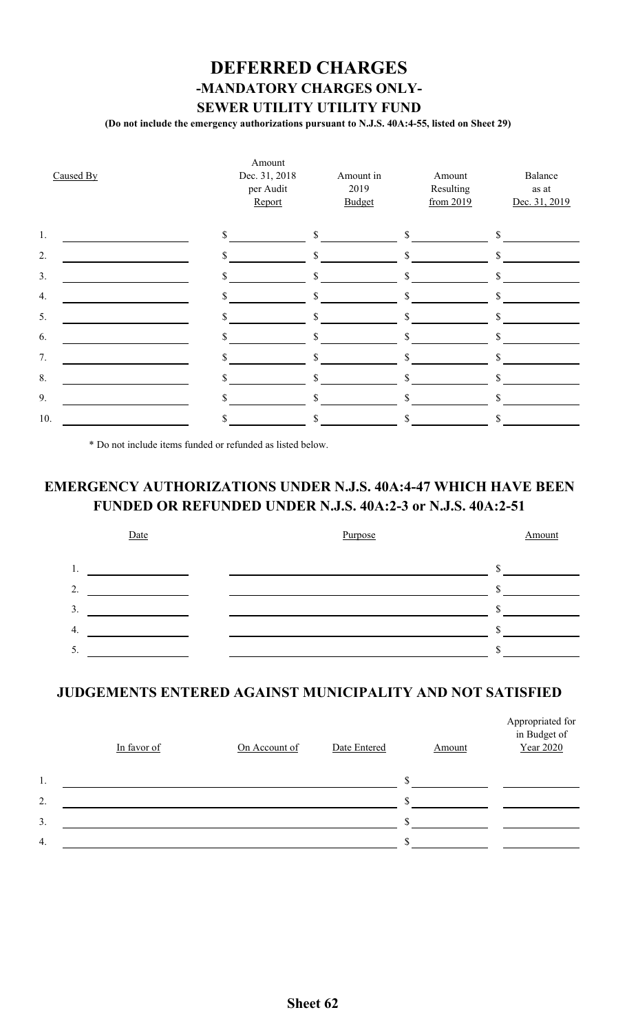## **DEFERRED CHARGES -MANDATORY CHARGES ONLY-SEWER UTILITY UTILITY FUND**

**(Do not include the emergency authorizations pursuant to N.J.S. 40A:4-55, listed on Sheet 29)**

| Caused By | Amount<br>Dec. 31, 2018<br>per Audit<br>Report | Amount in<br>2019<br>Budget | Amount<br>Resulting<br>from 2019 | Balance<br>as at<br>Dec. 31, 2019 |
|-----------|------------------------------------------------|-----------------------------|----------------------------------|-----------------------------------|
| 1.        | \$                                             | \$                          | \$                               | \$                                |
| 2.        |                                                |                             |                                  |                                   |
| 3.        | \$                                             | \$                          | \$                               | \$                                |
| 4.        |                                                | \$                          | S                                | $\mathbb{S}$                      |
| 5.        |                                                | \$                          |                                  | \$                                |
| 6.        | \$                                             | \$.                         | S                                | \$                                |
| 7.        |                                                |                             |                                  |                                   |
| 8.        |                                                |                             |                                  |                                   |
| 9.        |                                                | S.                          | S                                | \$                                |
| 10.       |                                                |                             |                                  |                                   |

\* Do not include items funded or refunded as listed below.

## **EMERGENCY AUTHORIZATIONS UNDER N.J.S. 40A:4-47 WHICH HAVE BEEN FUNDED OR REFUNDED UNDER N.J.S. 40A:2-3 or N.J.S. 40A:2-51**



### **JUDGEMENTS ENTERED AGAINST MUNICIPALITY AND NOT SATISFIED**

|    | In favor of | On Account of | Date Entered | Amount | Appropriated for<br>in Budget of<br>Year 2020 |
|----|-------------|---------------|--------------|--------|-----------------------------------------------|
| 1. |             |               |              |        |                                               |
| 2. |             |               |              |        |                                               |
| 3. |             |               |              |        |                                               |
| 4. |             |               |              |        |                                               |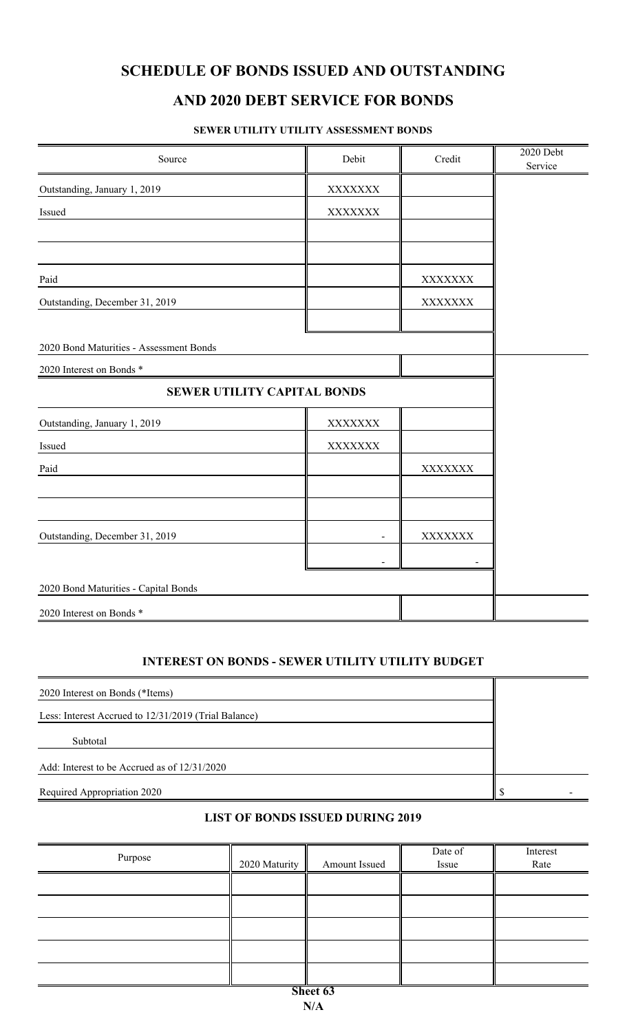### **SCHEDULE OF BONDS ISSUED AND OUTSTANDING**

### **AND 2020 DEBT SERVICE FOR BONDS**

#### **SEWER UTILITY UTILITY ASSESSMENT BONDS**

| Source                                  | Debit   | Credit  | 2020 Debt<br>Service |
|-----------------------------------------|---------|---------|----------------------|
| Outstanding, January 1, 2019            | XXXXXXX |         |                      |
| Issued                                  | XXXXXXX |         |                      |
|                                         |         |         |                      |
|                                         |         |         |                      |
| Paid                                    |         | XXXXXXX |                      |
| Outstanding, December 31, 2019          |         | XXXXXXX |                      |
|                                         |         |         |                      |
| 2020 Bond Maturities - Assessment Bonds |         |         |                      |
| 2020 Interest on Bonds *                |         |         |                      |
| <b>SEWER UTILITY CAPITAL BONDS</b>      |         |         |                      |
| Outstanding, January 1, 2019            | XXXXXXX |         |                      |
| Issued                                  | XXXXXXX |         |                      |
| Paid                                    |         | XXXXXXX |                      |
|                                         |         |         |                      |
|                                         |         |         |                      |
| Outstanding, December 31, 2019          |         |         |                      |
|                                         |         |         |                      |
| 2020 Bond Maturities - Capital Bonds    |         |         |                      |
| 2020 Interest on Bonds *                |         |         |                      |

#### **INTEREST ON BONDS - SEWER UTILITY UTILITY BUDGET**

| 2020 Interest on Bonds (*Items)                      |  |
|------------------------------------------------------|--|
| Less: Interest Accrued to 12/31/2019 (Trial Balance) |  |
| Subtotal                                             |  |
| Add: Interest to be Accrued as of 12/31/2020         |  |
| Required Appropriation 2020                          |  |

### **LIST OF BONDS ISSUED DURING 2019**

| Purpose  | 2020 Maturity | Amount Issued | Date of<br>Issue | Interest<br>Rate |  |  |  |  |
|----------|---------------|---------------|------------------|------------------|--|--|--|--|
|          |               |               |                  |                  |  |  |  |  |
|          |               |               |                  |                  |  |  |  |  |
|          |               |               |                  |                  |  |  |  |  |
|          |               |               |                  |                  |  |  |  |  |
|          |               |               |                  |                  |  |  |  |  |
| Sheet 63 |               |               |                  |                  |  |  |  |  |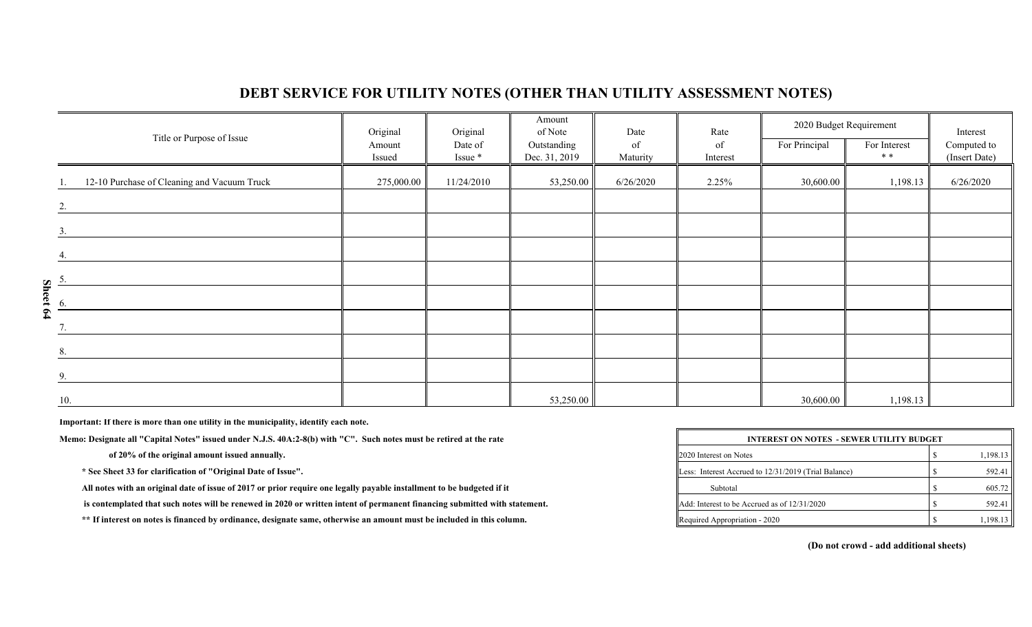### **DEBT SERVICE FOR UTILITY NOTES (OTHER THAN UTILITY ASSESSMENT NOTES)**

|                               | Title or Purpose of Issue                   | Original         | Original           | Amount<br>of Note            | Date           | Rate           | 2020 Budget Requirement |                      | Interest                     |
|-------------------------------|---------------------------------------------|------------------|--------------------|------------------------------|----------------|----------------|-------------------------|----------------------|------------------------------|
|                               |                                             | Amount<br>Issued | Date of<br>Issue * | Outstanding<br>Dec. 31, 2019 | of<br>Maturity | of<br>Interest | For Principal           | For Interest<br>$**$ | Computed to<br>(Insert Date) |
|                               | 12-10 Purchase of Cleaning and Vacuum Truck | 275,000.00       | 11/24/2010         | 53,250.00                    | 6/26/2020      | 2.25%          | 30,600.00               | 1,198.13             | 6/26/2020                    |
|                               | 2.                                          |                  |                    |                              |                |                |                         |                      |                              |
|                               | 3.                                          |                  |                    |                              |                |                |                         |                      |                              |
|                               | 4.                                          |                  |                    |                              |                |                |                         |                      |                              |
|                               |                                             |                  |                    |                              |                |                |                         |                      |                              |
| $\frac{1}{\sqrt{2}}$ Sheet 64 |                                             |                  |                    |                              |                |                |                         |                      |                              |
|                               |                                             |                  |                    |                              |                |                |                         |                      |                              |
|                               | 8.                                          |                  |                    |                              |                |                |                         |                      |                              |
|                               | 9.                                          |                  |                    |                              |                |                |                         |                      |                              |
|                               | 10.                                         |                  |                    | 53,250.00                    |                |                | 30,600.00               | 1,198.13             |                              |

**Important: If there is more than one utility in the municipality, identify each note.**

Memo: Designate all "Capital Notes" issued under N.J.S. 40A:2-8(b) with "C". Such notes must be retired at the rate

of 20% of the original amount issued annually.

\* See Sheet 33 for clarification of "Original Date of Issue".

All notes with an original date of issue of 2017 or prior require one legally payable installment to be budgeted if it

is contemplated that such notes will be renewed in 2020 or written intent of permanent financing submitted with statement.

\*\* If interest on notes is financed by ordinance, designate same, otherwise an amount must be included in this column.

| <b>INTEREST ON NOTES - SEWER UTILITY BUDGET</b>      |  |          |  |  |  |  |  |
|------------------------------------------------------|--|----------|--|--|--|--|--|
| 2020 Interest on Notes                               |  | 1,198.13 |  |  |  |  |  |
| Less: Interest Accrued to 12/31/2019 (Trial Balance) |  | 592.41   |  |  |  |  |  |
| Subtotal                                             |  | 605.72   |  |  |  |  |  |
| <b>Add:</b> Interest to be Accrued as of 12/31/2020  |  | 592.41   |  |  |  |  |  |
| Required Appropriation - 2020                        |  | 1,198.13 |  |  |  |  |  |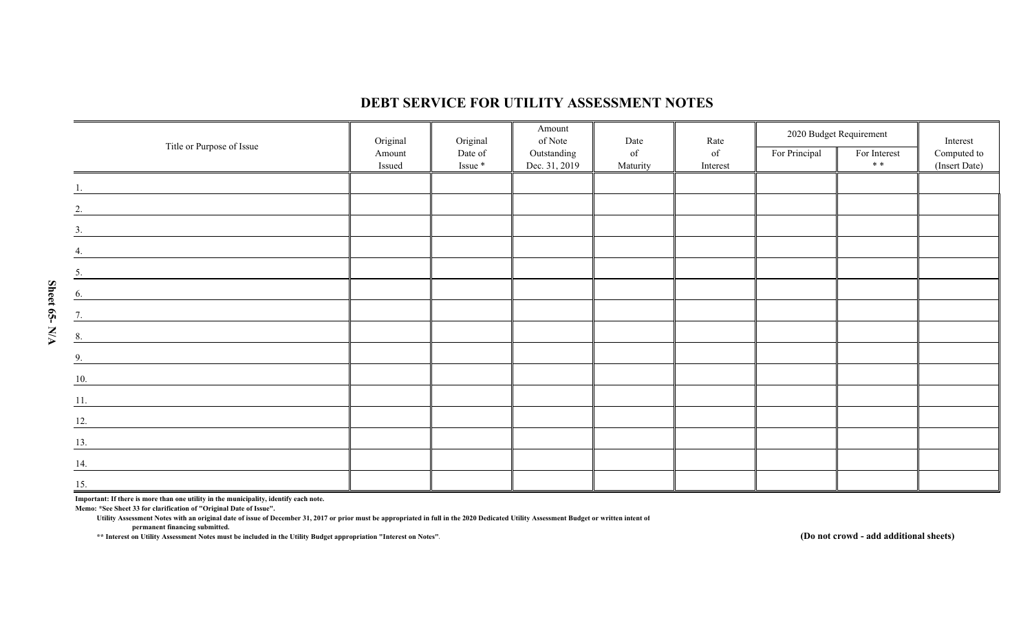|                                                                                                                            | Original | Original | Amount<br>of Note | Date     | Rate     |               | 2020 Budget Requirement | Interest      |
|----------------------------------------------------------------------------------------------------------------------------|----------|----------|-------------------|----------|----------|---------------|-------------------------|---------------|
| Title or Purpose of Issue                                                                                                  | Amount   | Date of  | Outstanding       | of       | of       | For Principal | For Interest            | Computed to   |
|                                                                                                                            | Issued   | Issue *  | Dec. 31, 2019     | Maturity | Interest |               | * *                     | (Insert Date) |
|                                                                                                                            |          |          |                   |          |          |               |                         |               |
| 2.                                                                                                                         |          |          |                   |          |          |               |                         |               |
| 3.<br><u> 1989 - Andrea Station Books, amerikansk politik (</u>                                                            |          |          |                   |          |          |               |                         |               |
| 4.                                                                                                                         |          |          |                   |          |          |               |                         |               |
| 5.<br><u> 1989 - Johann Stone, fransk politiker (</u>                                                                      |          |          |                   |          |          |               |                         |               |
| 6.                                                                                                                         |          |          |                   |          |          |               |                         |               |
| 7.<br><u> 1989 - Andrea State Barbara, amerikan per</u>                                                                    |          |          |                   |          |          |               |                         |               |
| 8.<br><u> 1980 - Andrea Britain, politik eta provincia eta provincia eta provincia eta provincia eta provincia eta pro</u> |          |          |                   |          |          |               |                         |               |
| 9.                                                                                                                         |          |          |                   |          |          |               |                         |               |
| 10.                                                                                                                        |          |          |                   |          |          |               |                         |               |
| 11.                                                                                                                        |          |          |                   |          |          |               |                         |               |
| 12.                                                                                                                        |          |          |                   |          |          |               |                         |               |
| 13.                                                                                                                        |          |          |                   |          |          |               |                         |               |
| 14.                                                                                                                        |          |          |                   |          |          |               |                         |               |
| 15.                                                                                                                        |          |          |                   |          |          |               |                         |               |

#### **DEBT SERVICE FOR UTILITY ASSESSMENT NOTES**

**Important: If there is more than one utility in the municipality, identify each note.**

**Memo: \*See Sheet 33 for clarification of "Original Date of Issue".**

**Utility Assessment Notes with an original date of issue of December 31, 2017 or prior must be appropriated in full in the 2020 Dedicated Utility Assessment Budget or written intent of**

**permanent financing submitted.**

**\*\* Interest on Utility Assessment Notes must be included in the Utility Budget appropriation "Interest on Notes".**

**(Do not crowd - add additional sheets)**

Sheet 65- N/A **Sheet 65- N/A**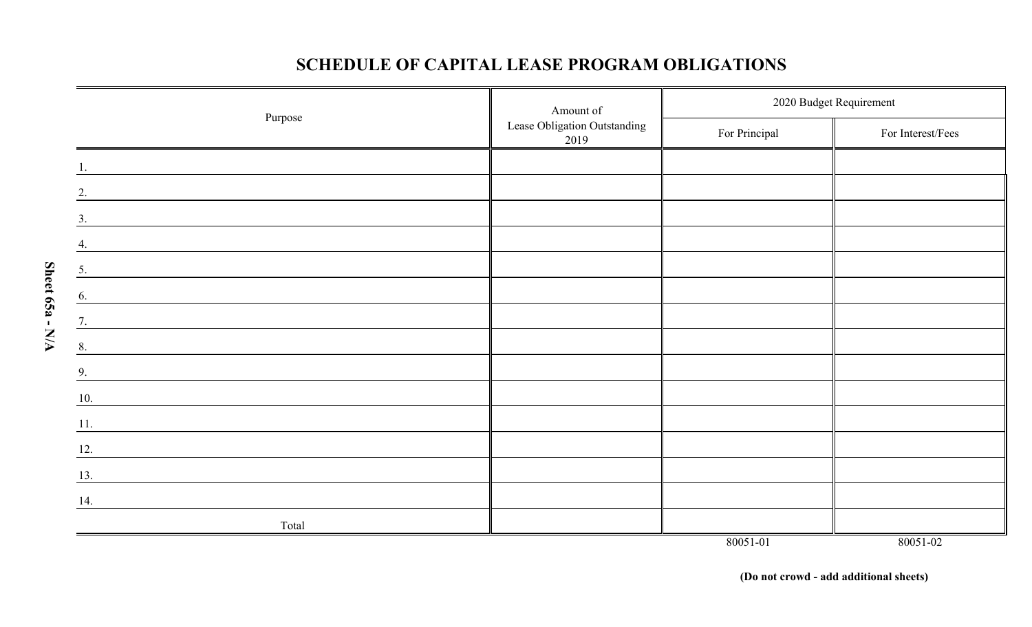## **SCHEDULE OF CAPITAL LEASE PROGRAM OBLIGATIONS**

| Amount of                                                                                                                    |                                      | 2020 Budget Requirement |                   |  |  |
|------------------------------------------------------------------------------------------------------------------------------|--------------------------------------|-------------------------|-------------------|--|--|
| Purpose                                                                                                                      | Lease Obligation Outstanding<br>2019 | For Principal           | For Interest/Fees |  |  |
|                                                                                                                              |                                      |                         |                   |  |  |
| 2.                                                                                                                           |                                      |                         |                   |  |  |
| 3.<br><u> 1980 - Jan Samuel Barbara, margaret e popular e popular e popular e popular e popular e popular e popular e</u>    |                                      |                         |                   |  |  |
|                                                                                                                              |                                      |                         |                   |  |  |
| 5.                                                                                                                           |                                      |                         |                   |  |  |
| 6.<br><u> 1980 - Johann Barbara, martxa a shekara 1980 - An tsaran 1980 - An tsara 1980 - An tsara 1980 - An tsara 198</u>   |                                      |                         |                   |  |  |
| 7.                                                                                                                           |                                      |                         |                   |  |  |
| 8.<br><u> 1989 - Johann Barn, mars eta bainar eta industrial eta industrial eta industrial eta industrial eta industria</u>  |                                      |                         |                   |  |  |
| <u> 1989 - Johann Stoff, deutscher Stoffen und der Stoffen und der Stoffen und der Stoffen und der Stoffen und der</u><br>9. |                                      |                         |                   |  |  |
| 10.                                                                                                                          |                                      |                         |                   |  |  |
| 11.<br><u> 1989 - Johann Stein, mars an deutscher Stein († 1989)</u>                                                         |                                      |                         |                   |  |  |
| 12.                                                                                                                          |                                      |                         |                   |  |  |
| 13.                                                                                                                          |                                      |                         |                   |  |  |
| 14.                                                                                                                          |                                      |                         |                   |  |  |
| Total                                                                                                                        |                                      |                         |                   |  |  |
|                                                                                                                              |                                      | 80051-01                | 80051-02          |  |  |

**Sheet 65a - N/A**

Sheet 65a - N/A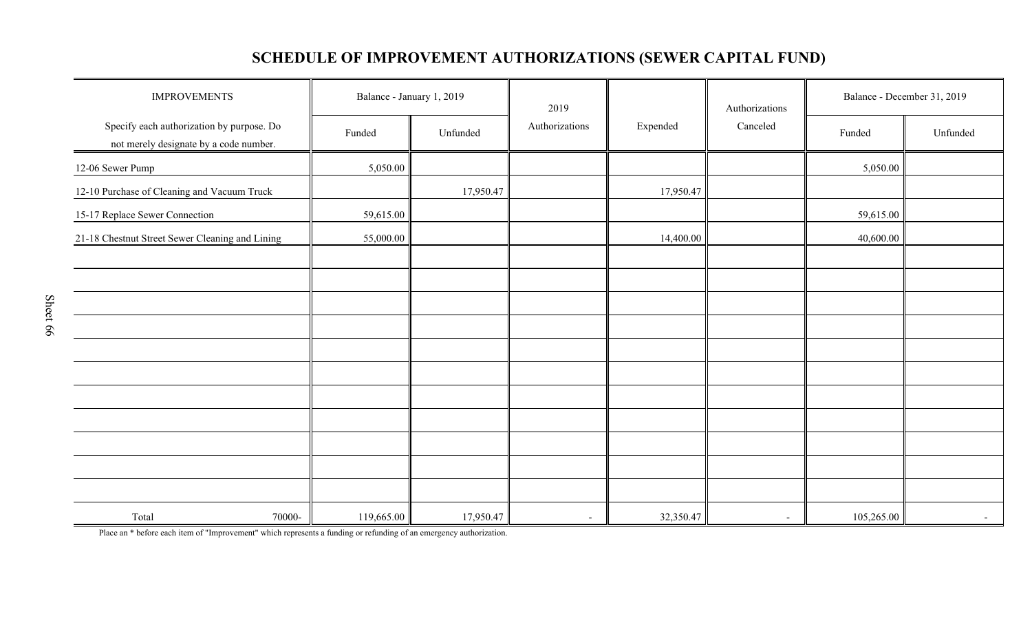# **SCHEDULE OF IMPROVEMENT AUTHORIZATIONS (SEWER CAPITAL FUND)**

| <b>IMPROVEMENTS</b>                                                                 |            | Balance - January 1, 2019 | 2019           | Expended  | Authorizations<br>Canceled | Balance - December 31, 2019 |          |
|-------------------------------------------------------------------------------------|------------|---------------------------|----------------|-----------|----------------------------|-----------------------------|----------|
| Specify each authorization by purpose. Do<br>not merely designate by a code number. | Funded     | Unfunded                  | Authorizations |           |                            | Funded                      | Unfunded |
| 12-06 Sewer Pump                                                                    | 5,050.00   |                           |                |           |                            | 5,050.00                    |          |
| 12-10 Purchase of Cleaning and Vacuum Truck                                         |            | 17,950.47                 |                | 17,950.47 |                            |                             |          |
| 15-17 Replace Sewer Connection                                                      | 59,615.00  |                           |                |           |                            | 59,615.00                   |          |
| 21-18 Chestnut Street Sewer Cleaning and Lining                                     | 55,000.00  |                           |                | 14,400.00 |                            | 40,600.00                   |          |
|                                                                                     |            |                           |                |           |                            |                             |          |
|                                                                                     |            |                           |                |           |                            |                             |          |
|                                                                                     |            |                           |                |           |                            |                             |          |
|                                                                                     |            |                           |                |           |                            |                             |          |
|                                                                                     |            |                           |                |           |                            |                             |          |
|                                                                                     |            |                           |                |           |                            |                             |          |
|                                                                                     |            |                           |                |           |                            |                             |          |
|                                                                                     |            |                           |                |           |                            |                             |          |
|                                                                                     |            |                           |                |           |                            |                             |          |
|                                                                                     |            |                           |                |           |                            |                             |          |
|                                                                                     |            |                           |                |           |                            |                             |          |
| Total<br>70000-                                                                     | 119,665.00 | 17,950.47                 |                | 32,350.47 | $\sim$                     | 105,265.00                  | $\sim$   |

Place an \* before each item of "Improvement" which represents a funding or refunding of an emergency authorization.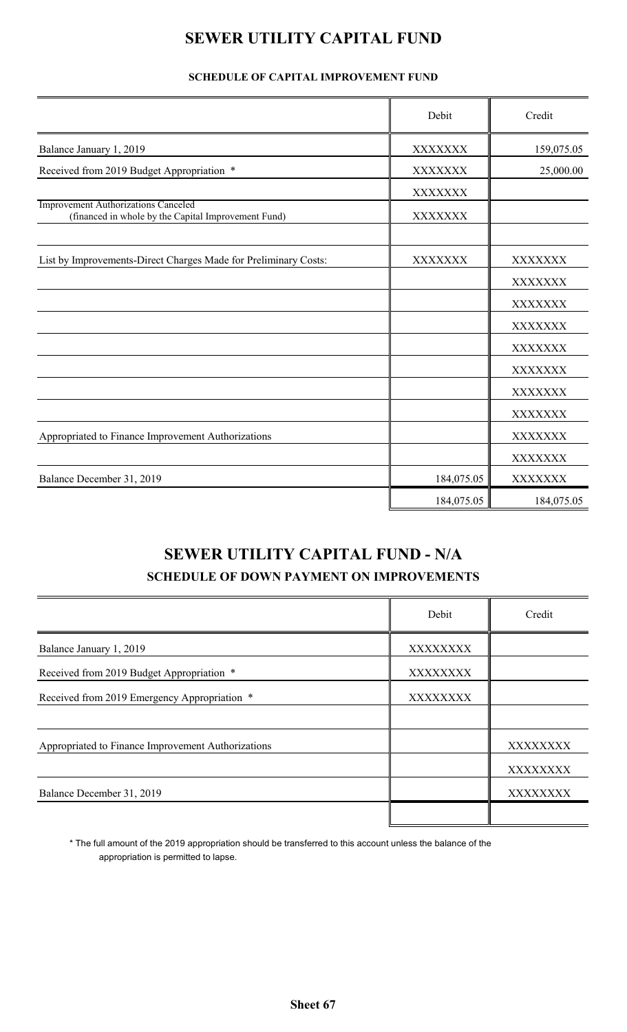# **SEWER UTILITY CAPITAL FUND**

### **SCHEDULE OF CAPITAL IMPROVEMENT FUND**

|                                                                                            | Debit          | Credit     |
|--------------------------------------------------------------------------------------------|----------------|------------|
| Balance January 1, 2019                                                                    | XXXXXXX        | 159,075.05 |
| Received from 2019 Budget Appropriation *                                                  | <b>XXXXXXX</b> | 25,000.00  |
|                                                                                            | <b>XXXXXXX</b> |            |
| Improvement Authorizations Canceled<br>(financed in whole by the Capital Improvement Fund) | <b>XXXXXXX</b> |            |
| List by Improvements-Direct Charges Made for Preliminary Costs:                            | XXXXXXX        | XXXXXXX    |
|                                                                                            |                | XXXXXXX    |
|                                                                                            |                | XXXXXXX    |
|                                                                                            |                | XXXXXXX    |
|                                                                                            |                | XXXXXXX    |
|                                                                                            |                | XXXXXXX    |
|                                                                                            |                | XXXXXXX    |
|                                                                                            |                | XXXXXXX    |
| Appropriated to Finance Improvement Authorizations                                         |                | XXXXXXX    |
|                                                                                            |                | XXXXXXX    |
| Balance December 31, 2019                                                                  | 184,075.05     | XXXXXXX    |
|                                                                                            | 184,075.05     | 184,075.05 |

# **SEWER UTILITY CAPITAL FUND - N/A SCHEDULE OF DOWN PAYMENT ON IMPROVEMENTS**

|                                                    | Debit    | Credit   |
|----------------------------------------------------|----------|----------|
| Balance January 1, 2019                            | XXXXXXXX |          |
| Received from 2019 Budget Appropriation *          | XXXXXXXX |          |
| Received from 2019 Emergency Appropriation *       | XXXXXXXX |          |
|                                                    |          |          |
| Appropriated to Finance Improvement Authorizations |          | XXXXXXXX |
|                                                    |          | XXXXXXXX |
| Balance December 31, 2019                          |          | XXXXXXXX |
|                                                    |          |          |

\* The full amount of the 2019 appropriation should be transferred to this account unless the balance of the appropriation is permitted to lapse.